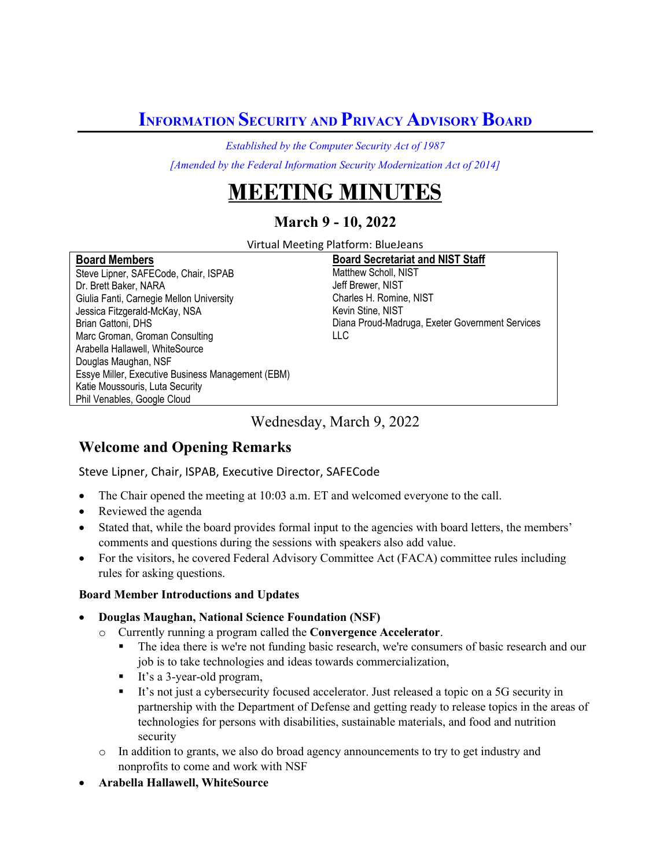**INFORMATION SECURITY AND PRIVACY ADVISORY BOARD** 

*Established by the Computer Security Act of 1987*

*[Amended by the Federal Information Security Modernization Act of 2014]*

# **IEETING MINUTES**

## **March 9 - 10, 2022**

Virtual Meeting Platform: BlueJeans

#### **Board Members**

Steve Lipner, SAFECode, Chair, ISPAB Dr. Brett Baker, NARA Giulia Fanti, Carnegie Mellon University Jessica Fitzgerald-McKay, NSA Brian Gattoni, DHS Marc Groman, Groman Consulting Arabella Hallawell, WhiteSource Douglas Maughan, NSF Essye Miller, Executive Business Management (EBM) Katie Moussouris, Luta Security Phil Venables, Google Cloud

#### **Board Secretariat and NIST Staff**  Matthew Scholl, NIST

Jeff Brewer, NIST Charles H. Romine, NIST Kevin Stine, NIST Diana Proud-Madruga, Exeter Government Services LLC

Wednesday, March 9, 2022

## **Welcome and Opening Remarks**

Steve Lipner, Chair, ISPAB, Executive Director, SAFECode

- The Chair opened the meeting at 10:03 a.m. ET and welcomed everyone to the call.
- Reviewed the agenda
- Stated that, while the board provides formal input to the agencies with board letters, the members' comments and questions during the sessions with speakers also add value.
- For the visitors, he covered Federal Advisory Committee Act (FACA) committee rules including rules for asking questions.

## **Board Member Introductions and Updates**

- **Douglas Maughan, National Science Foundation (NSF)** 
	- o Currently running a program called the **Convergence Accelerator**.
		- The idea there is we're not funding basic research, we're consumers of basic research and our job is to take technologies and ideas towards commercialization,
		- It's a 3-year-old program,
		- It's not just a cybersecurity focused accelerator. Just released a topic on a 5G security in partnership with the Department of Defense and getting ready to release topics in the areas of technologies for persons with disabilities, sustainable materials, and food and nutrition security
	- o In addition to grants, we also do broad agency announcements to try to get industry and nonprofits to come and work with NSF
- **Arabella Hallawell, WhiteSource**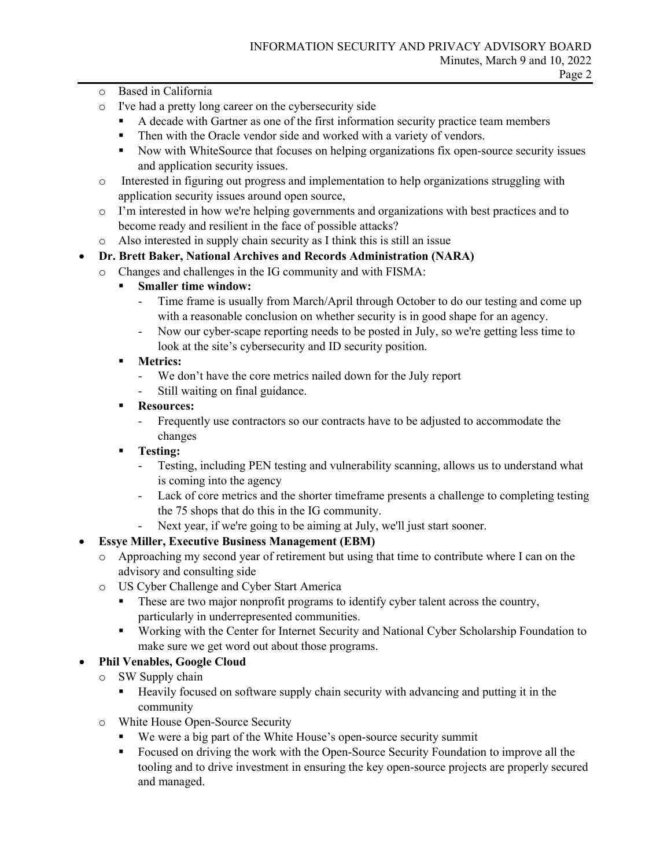- o Based in California
- o I've had a pretty long career on the cybersecurity side
	- A decade with Gartner as one of the first information security practice team members
	- Then with the Oracle vendor side and worked with a variety of vendors.
	- Now with WhiteSource that focuses on helping organizations fix open-source security issues and application security issues.
- o Interested in figuring out progress and implementation to help organizations struggling with application security issues around open source,
- o I'm interested in how we're helping governments and organizations with best practices and to become ready and resilient in the face of possible attacks?
- o Also interested in supply chain security as I think this is still an issue

## • **Dr. Brett Baker, National Archives and Records Administration (NARA)**

- o Changes and challenges in the IG community and with FISMA:
	- **Smaller time window:**
		- Time frame is usually from March/April through October to do our testing and come up with a reasonable conclusion on whether security is in good shape for an agency.
		- Now our cyber-scape reporting needs to be posted in July, so we're getting less time to look at the site's cybersecurity and ID security position.
	- **Metrics:** 
		- We don't have the core metrics nailed down for the July report
		- Still waiting on final guidance.
	- **Resources:**
		- Frequently use contractors so our contracts have to be adjusted to accommodate the changes
	- **Testing:**
		- Testing, including PEN testing and vulnerability scanning, allows us to understand what is coming into the agency
		- Lack of core metrics and the shorter timeframe presents a challenge to completing testing the 75 shops that do this in the IG community.
		- Next year, if we're going to be aiming at July, we'll just start sooner.

## • **Essye Miller, Executive Business Management (EBM)**

- o Approaching my second year of retirement but using that time to contribute where I can on the advisory and consulting side
- o US Cyber Challenge and Cyber Start America
	- **These are two major nonprofit programs to identify cyber talent across the country,** particularly in underrepresented communities.
	- Working with the Center for Internet Security and National Cyber Scholarship Foundation to make sure we get word out about those programs.

## • **Phil Venables, Google Cloud**

- o SW Supply chain
	- Heavily focused on software supply chain security with advancing and putting it in the community
- o White House Open-Source Security
	- We were a big part of the White House's open-source security summit
	- Focused on driving the work with the Open-Source Security Foundation to improve all the tooling and to drive investment in ensuring the key open-source projects are properly secured and managed.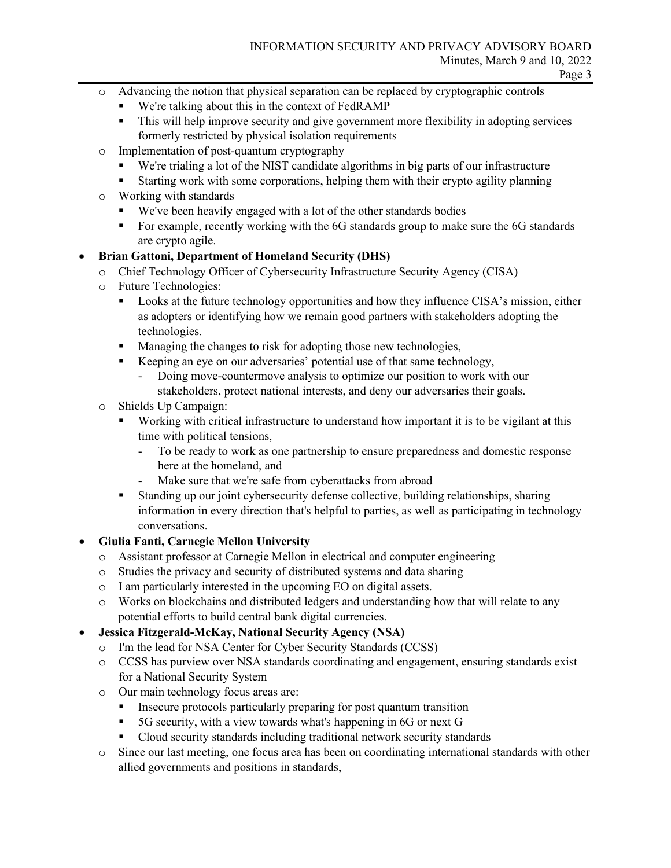- o Advancing the notion that physical separation can be replaced by cryptographic controls
	- We're talking about this in the context of FedRAMP
	- This will help improve security and give government more flexibility in adopting services formerly restricted by physical isolation requirements
- o Implementation of post-quantum cryptography
	- We're trialing a lot of the NIST candidate algorithms in big parts of our infrastructure
	- Starting work with some corporations, helping them with their crypto agility planning
- o Working with standards
	- We've been heavily engaged with a lot of the other standards bodies
	- For example, recently working with the 6G standards group to make sure the 6G standards are crypto agile.

## • **Brian Gattoni, Department of Homeland Security (DHS)**

- o Chief Technology Officer of Cybersecurity Infrastructure Security Agency (CISA)
- o Future Technologies:
	- **Looks at the future technology opportunities and how they influence CISA's mission, either** as adopters or identifying how we remain good partners with stakeholders adopting the technologies.
	- **Managing the changes to risk for adopting those new technologies,**
	- Keeping an eye on our adversaries' potential use of that same technology,
		- Doing move-countermove analysis to optimize our position to work with our stakeholders, protect national interests, and deny our adversaries their goals.
- o Shields Up Campaign:
	- Working with critical infrastructure to understand how important it is to be vigilant at this time with political tensions,
		- To be ready to work as one partnership to ensure preparedness and domestic response here at the homeland, and
		- Make sure that we're safe from cyberattacks from abroad
	- Standing up our joint cybersecurity defense collective, building relationships, sharing information in every direction that's helpful to parties, as well as participating in technology conversations.

## • **Giulia Fanti, Carnegie Mellon University**

- o Assistant professor at Carnegie Mellon in electrical and computer engineering
- o Studies the privacy and security of distributed systems and data sharing
- o I am particularly interested in the upcoming EO on digital assets.
- o Works on blockchains and distributed ledgers and understanding how that will relate to any potential efforts to build central bank digital currencies.

## • **Jessica Fitzgerald-McKay, National Security Agency (NSA)**

- o I'm the lead for NSA Center for Cyber Security Standards (CCSS)
- o CCSS has purview over NSA standards coordinating and engagement, ensuring standards exist for a National Security System
- o Our main technology focus areas are:
	- Insecure protocols particularly preparing for post quantum transition
	- 5G security, with a view towards what's happening in 6G or next G
	- Cloud security standards including traditional network security standards
- o Since our last meeting, one focus area has been on coordinating international standards with other allied governments and positions in standards,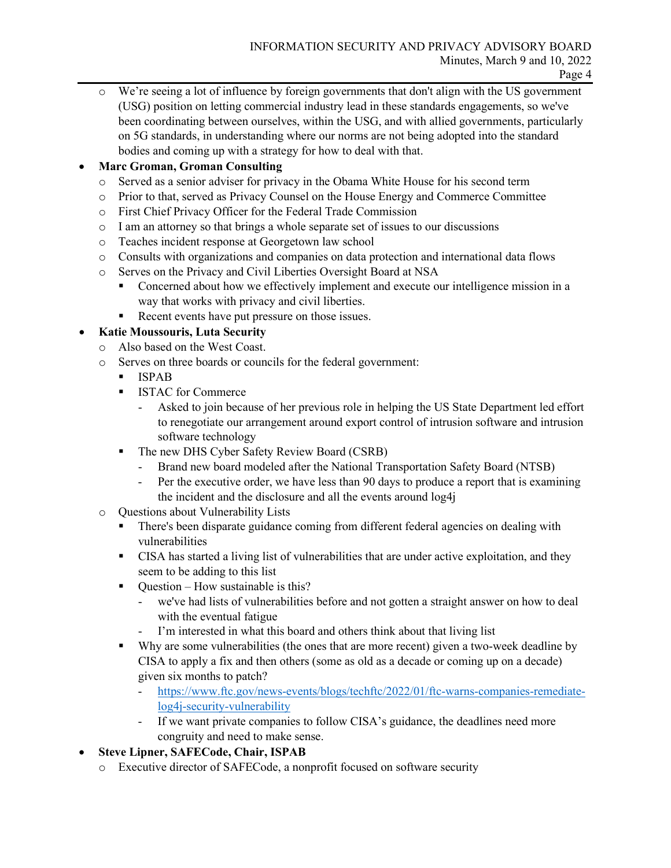We're seeing a lot of influence by foreign governments that don't align with the US government (USG) position on letting commercial industry lead in these standards engagements, so we've been coordinating between ourselves, within the USG, and with allied governments, particularly on 5G standards, in understanding where our norms are not being adopted into the standard bodies and coming up with a strategy for how to deal with that.

## • **Marc Groman, Groman Consulting**

- o Served as a senior adviser for privacy in the Obama White House for his second term
- o Prior to that, served as Privacy Counsel on the House Energy and Commerce Committee
- o First Chief Privacy Officer for the Federal Trade Commission
- $\circ$  I am an attorney so that brings a whole separate set of issues to our discussions
- o Teaches incident response at Georgetown law school
- o Consults with organizations and companies on data protection and international data flows
- o Serves on the Privacy and Civil Liberties Oversight Board at NSA
	- Concerned about how we effectively implement and execute our intelligence mission in a way that works with privacy and civil liberties.
	- Recent events have put pressure on those issues.

## • **Katie Moussouris, Luta Security**

- o Also based on the West Coast.
- o Serves on three boards or councils for the federal government:
	- **ISPAB**
	- **ISTAC for Commerce** 
		- Asked to join because of her previous role in helping the US State Department led effort to renegotiate our arrangement around export control of intrusion software and intrusion software technology
	- The new DHS Cyber Safety Review Board (CSRB)
		- Brand new board modeled after the National Transportation Safety Board (NTSB)
		- Per the executive order, we have less than 90 days to produce a report that is examining the incident and the disclosure and all the events around log4j
- o Questions about Vulnerability Lists
	- There's been disparate guidance coming from different federal agencies on dealing with vulnerabilities
	- CISA has started a living list of vulnerabilities that are under active exploitation, and they seem to be adding to this list
	- $\blacksquare$  Ouestion How sustainable is this?
		- we've had lists of vulnerabilities before and not gotten a straight answer on how to deal with the eventual fatigue
		- I'm interested in what this board and others think about that living list
	- Why are some vulnerabilities (the ones that are more recent) given a two-week deadline by CISA to apply a fix and then others (some as old as a decade or coming up on a decade) given six months to patch?
		- [https://www.ftc.gov/news-events/blogs/techftc/2022/01/ftc-warns-companies-remediate](https://www.ftc.gov/news-events/blogs/techftc/2022/01/ftc-warns-companies-remediate-log4j-security-vulnerability)[log4j-security-vulnerability](https://www.ftc.gov/news-events/blogs/techftc/2022/01/ftc-warns-companies-remediate-log4j-security-vulnerability)
		- If we want private companies to follow CISA's guidance, the deadlines need more congruity and need to make sense.
- **Steve Lipner, SAFECode, Chair, ISPAB**
	- o Executive director of SAFECode, a nonprofit focused on software security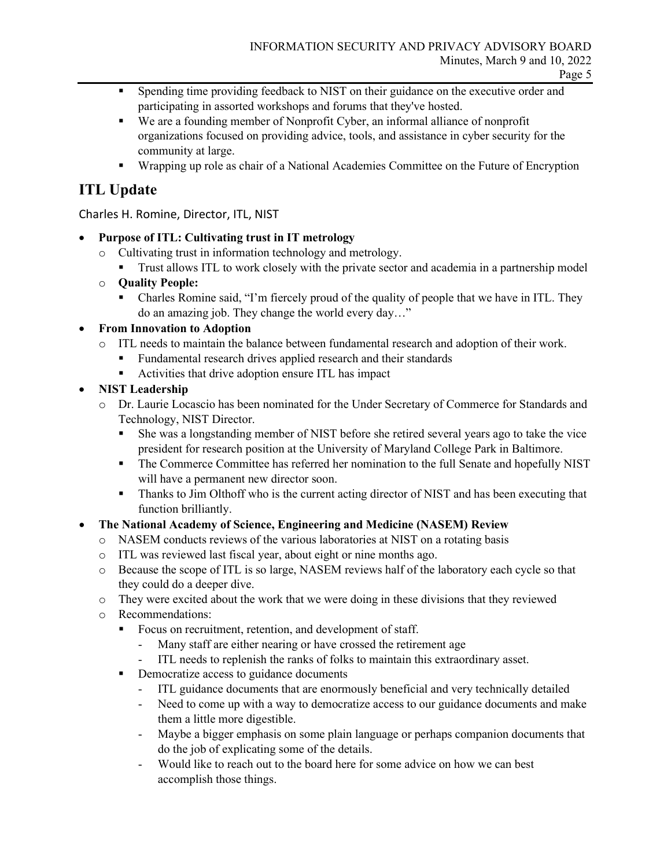- **Spending time providing feedback to NIST on their guidance on the executive order and** participating in assorted workshops and forums that they've hosted.
- We are a founding member of Nonprofit Cyber, an informal alliance of nonprofit organizations focused on providing advice, tools, and assistance in cyber security for the community at large.
- **Wrapping up role as chair of a National Academies Committee on the Future of Encryption**

## **ITL Update**

Charles H. Romine, Director, ITL, NIST

## • **Purpose of ITL: Cultivating trust in IT metrology**

- o Cultivating trust in information technology and metrology.
	- Trust allows ITL to work closely with the private sector and academia in a partnership model
- o **Quality People:**
	- Charles Romine said, "I'm fiercely proud of the quality of people that we have in ITL. They do an amazing job. They change the world every day…"

## • **From Innovation to Adoption**

- o ITL needs to maintain the balance between fundamental research and adoption of their work.
	- Fundamental research drives applied research and their standards
	- Activities that drive adoption ensure ITL has impact
- **NIST Leadership**
	- o Dr. Laurie Locascio has been nominated for the Under Secretary of Commerce for Standards and Technology, NIST Director.
		- She was a longstanding member of NIST before she retired several years ago to take the vice president for research position at the University of Maryland College Park in Baltimore.
		- The Commerce Committee has referred her nomination to the full Senate and hopefully NIST will have a permanent new director soon.
		- **Thanks to Jim Olthoff who is the current acting director of NIST and has been executing that** function brilliantly.

## • **The National Academy of Science, Engineering and Medicine (NASEM) Review**

- o NASEM conducts reviews of the various laboratories at NIST on a rotating basis
- o ITL was reviewed last fiscal year, about eight or nine months ago.
- o Because the scope of ITL is so large, NASEM reviews half of the laboratory each cycle so that they could do a deeper dive.
- o They were excited about the work that we were doing in these divisions that they reviewed
- o Recommendations:
	- Focus on recruitment, retention, and development of staff.
		- Many staff are either nearing or have crossed the retirement age
		- ITL needs to replenish the ranks of folks to maintain this extraordinary asset.
	- Democratize access to guidance documents
		- ITL guidance documents that are enormously beneficial and very technically detailed
		- Need to come up with a way to democratize access to our guidance documents and make them a little more digestible.
		- Maybe a bigger emphasis on some plain language or perhaps companion documents that do the job of explicating some of the details.
		- Would like to reach out to the board here for some advice on how we can best accomplish those things.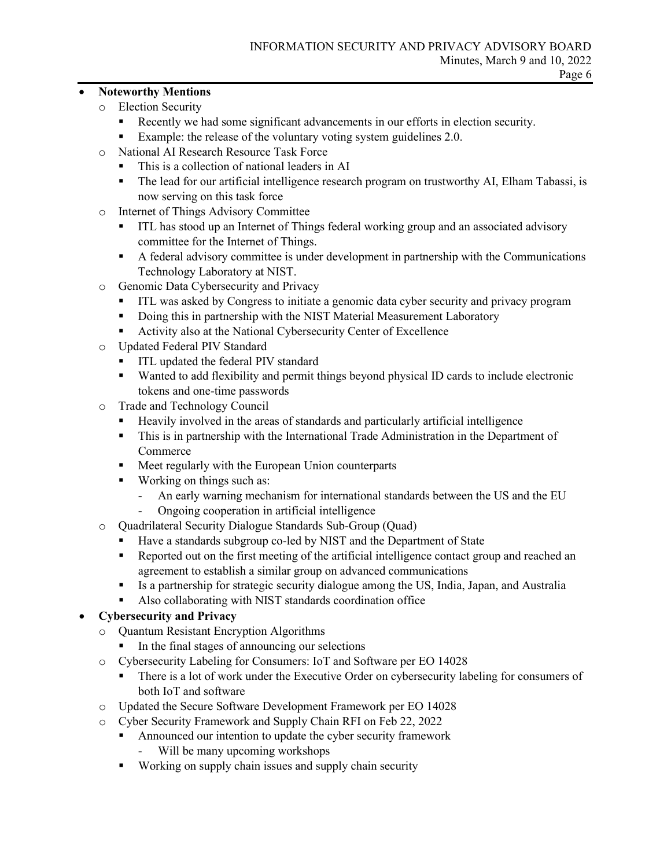#### • **Noteworthy Mentions**

- o Election Security
	- Recently we had some significant advancements in our efforts in election security.
	- Example: the release of the voluntary voting system guidelines 2.0.
- o National AI Research Resource Task Force
	- This is a collection of national leaders in AI
	- The lead for our artificial intelligence research program on trustworthy AI, Elham Tabassi, is now serving on this task force
- o Internet of Things Advisory Committee
	- ITL has stood up an Internet of Things federal working group and an associated advisory committee for the Internet of Things.
	- A federal advisory committee is under development in partnership with the Communications Technology Laboratory at NIST.
- o Genomic Data Cybersecurity and Privacy
	- ITL was asked by Congress to initiate a genomic data cyber security and privacy program
	- Doing this in partnership with the NIST Material Measurement Laboratory
	- Activity also at the National Cybersecurity Center of Excellence
- o Updated Federal PIV Standard
	- **ITL updated the federal PIV standard**
	- Wanted to add flexibility and permit things beyond physical ID cards to include electronic tokens and one-time passwords
- o Trade and Technology Council
	- Heavily involved in the areas of standards and particularly artificial intelligence
	- This is in partnership with the International Trade Administration in the Department of Commerce
	- **Meet regularly with the European Union counterparts**
	- Working on things such as:
		- An early warning mechanism for international standards between the US and the EU
		- Ongoing cooperation in artificial intelligence
- o Quadrilateral Security Dialogue Standards Sub-Group (Quad)
	- Have a standards subgroup co-led by NIST and the Department of State
	- Reported out on the first meeting of the artificial intelligence contact group and reached an agreement to establish a similar group on advanced communications
	- Is a partnership for strategic security dialogue among the US, India, Japan, and Australia
	- Also collaborating with NIST standards coordination office

## • **Cybersecurity and Privacy**

- o Quantum Resistant Encryption Algorithms
	- In the final stages of announcing our selections
- o Cybersecurity Labeling for Consumers: IoT and Software per EO 14028
	- There is a lot of work under the Executive Order on cybersecurity labeling for consumers of both IoT and software
- o Updated the Secure Software Development Framework per EO 14028
- o Cyber Security Framework and Supply Chain RFI on Feb 22, 2022
	- **Announced our intention to update the cyber security framework** 
		- Will be many upcoming workshops
	- Working on supply chain issues and supply chain security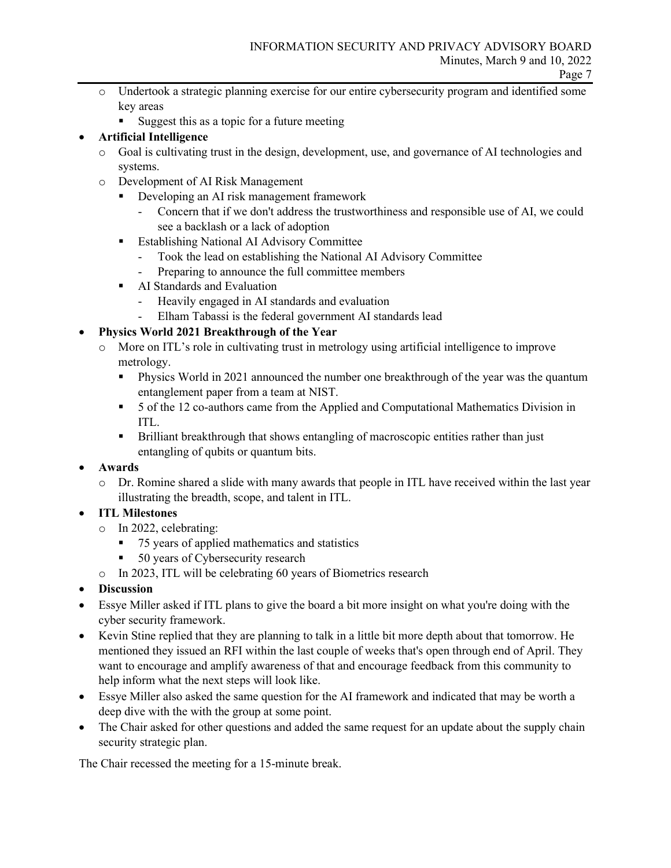- o Undertook a strategic planning exercise for our entire cybersecurity program and identified some key areas
	- Suggest this as a topic for a future meeting

## • **Artificial Intelligence**

- o Goal is cultivating trust in the design, development, use, and governance of AI technologies and systems.
- o Development of AI Risk Management
	- Developing an AI risk management framework
		- Concern that if we don't address the trustworthiness and responsible use of AI, we could see a backlash or a lack of adoption
	- **Establishing National AI Advisory Committee** 
		- Took the lead on establishing the National AI Advisory Committee
		- Preparing to announce the full committee members
	- **AI Standards and Evaluation** 
		- Heavily engaged in AI standards and evaluation
		- Elham Tabassi is the federal government AI standards lead

## • **Physics World 2021 Breakthrough of the Year**

- o More on ITL's role in cultivating trust in metrology using artificial intelligence to improve metrology.
	- **Physics World in 2021 announced the number one breakthrough of the year was the quantum** entanglement paper from a team at NIST.
	- 5 of the 12 co-authors came from the Applied and Computational Mathematics Division in ITL.
	- Brilliant breakthrough that shows entangling of macroscopic entities rather than just entangling of qubits or quantum bits.
- **Awards**
	- o Dr. Romine shared a slide with many awards that people in ITL have received within the last year illustrating the breadth, scope, and talent in ITL.
- **ITL Milestones**
	- o In 2022, celebrating:
		- 75 years of applied mathematics and statistics
		- 50 years of Cybersecurity research
	- o In 2023, ITL will be celebrating 60 years of Biometrics research
- **Discussion**
- Essye Miller asked if ITL plans to give the board a bit more insight on what you're doing with the cyber security framework.
- Kevin Stine replied that they are planning to talk in a little bit more depth about that tomorrow. He mentioned they issued an RFI within the last couple of weeks that's open through end of April. They want to encourage and amplify awareness of that and encourage feedback from this community to help inform what the next steps will look like.
- Essye Miller also asked the same question for the AI framework and indicated that may be worth a deep dive with the with the group at some point.
- The Chair asked for other questions and added the same request for an update about the supply chain security strategic plan.

The Chair recessed the meeting for a 15-minute break.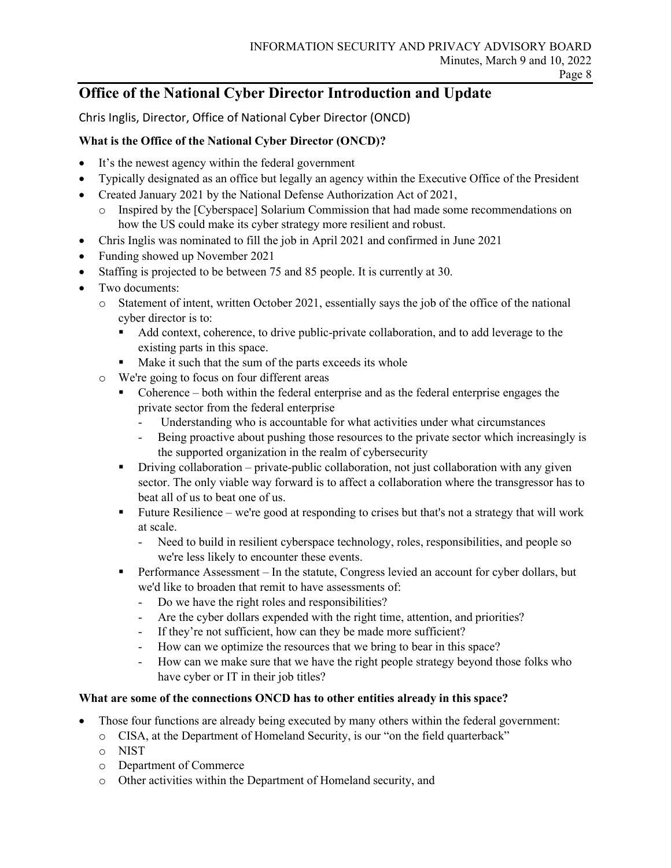## **Office of the National Cyber Director Introduction and Update**

Chris Inglis, Director, Office of National Cyber Director (ONCD)

## **What is the Office of the National Cyber Director (ONCD)?**

- It's the newest agency within the federal government
- Typically designated as an office but legally an agency within the Executive Office of the President
- Created January 2021 by the National Defense Authorization Act of 2021,
	- o Inspired by the [Cyberspace] Solarium Commission that had made some recommendations on how the US could make its cyber strategy more resilient and robust.
- Chris Inglis was nominated to fill the job in April 2021 and confirmed in June 2021
- Funding showed up November 2021
- Staffing is projected to be between 75 and 85 people. It is currently at 30.
- Two documents:
	- o Statement of intent, written October 2021, essentially says the job of the office of the national cyber director is to:
		- Add context, coherence, to drive public-private collaboration, and to add leverage to the existing parts in this space.
		- Make it such that the sum of the parts exceeds its whole
	- o We're going to focus on four different areas
		- Coherence both within the federal enterprise and as the federal enterprise engages the private sector from the federal enterprise
			- Understanding who is accountable for what activities under what circumstances
			- Being proactive about pushing those resources to the private sector which increasingly is the supported organization in the realm of cybersecurity
		- Driving collaboration private-public collaboration, not just collaboration with any given sector. The only viable way forward is to affect a collaboration where the transgressor has to beat all of us to beat one of us.
		- Future Resilience we're good at responding to crises but that's not a strategy that will work at scale.
			- Need to build in resilient cyberspace technology, roles, responsibilities, and people so we're less likely to encounter these events.
		- Performance Assessment In the statute, Congress levied an account for cyber dollars, but we'd like to broaden that remit to have assessments of:
			- Do we have the right roles and responsibilities?
			- Are the cyber dollars expended with the right time, attention, and priorities?
			- If they're not sufficient, how can they be made more sufficient?
			- How can we optimize the resources that we bring to bear in this space?
			- How can we make sure that we have the right people strategy beyond those folks who have cyber or IT in their job titles?

## **What are some of the connections ONCD has to other entities already in this space?**

- Those four functions are already being executed by many others within the federal government:
	- o CISA, at the Department of Homeland Security, is our "on the field quarterback"
	- o NIST
	- o Department of Commerce
	- o Other activities within the Department of Homeland security, and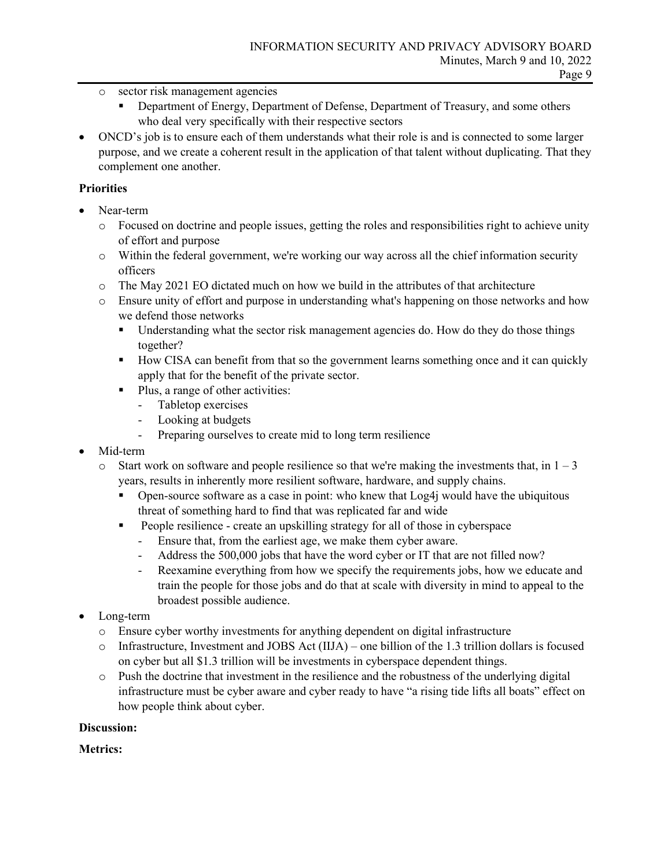- o sector risk management agencies
	- **PEDEL ENEXT** Department of Energy, Department of Defense, Department of Treasury, and some others who deal very specifically with their respective sectors
- ONCD's job is to ensure each of them understands what their role is and is connected to some larger purpose, and we create a coherent result in the application of that talent without duplicating. That they complement one another.

## **Priorities**

- Near-term
	- o Focused on doctrine and people issues, getting the roles and responsibilities right to achieve unity of effort and purpose
	- o Within the federal government, we're working our way across all the chief information security officers
	- o The May 2021 EO dictated much on how we build in the attributes of that architecture
	- o Ensure unity of effort and purpose in understanding what's happening on those networks and how we defend those networks
		- **Understanding what the sector risk management agencies do. How do they do those things** together?
		- How CISA can benefit from that so the government learns something once and it can quickly apply that for the benefit of the private sector.
		- Plus, a range of other activities:
			- Tabletop exercises
			- Looking at budgets
			- Preparing ourselves to create mid to long term resilience
- Mid-term
	- $\circ$  Start work on software and people resilience so that we're making the investments that, in  $1 3$ years, results in inherently more resilient software, hardware, and supply chains.
		- **Open-source software as a case in point:** who knew that  $Log4j$  would have the ubiquitous threat of something hard to find that was replicated far and wide
		- People resilience create an upskilling strategy for all of those in cyberspace
			- Ensure that, from the earliest age, we make them cyber aware.
			- Address the 500,000 jobs that have the word cyber or IT that are not filled now?
			- Reexamine everything from how we specify the requirements jobs, how we educate and train the people for those jobs and do that at scale with diversity in mind to appeal to the broadest possible audience.
- Long-term
	- o Ensure cyber worthy investments for anything dependent on digital infrastructure
	- o Infrastructure, Investment and JOBS Act (IIJA) one billion of the 1.3 trillion dollars is focused on cyber but all \$1.3 trillion will be investments in cyberspace dependent things.
	- $\circ$  Push the doctrine that investment in the resilience and the robustness of the underlying digital infrastructure must be cyber aware and cyber ready to have "a rising tide lifts all boats" effect on how people think about cyber.

## **Discussion:**

**Metrics:**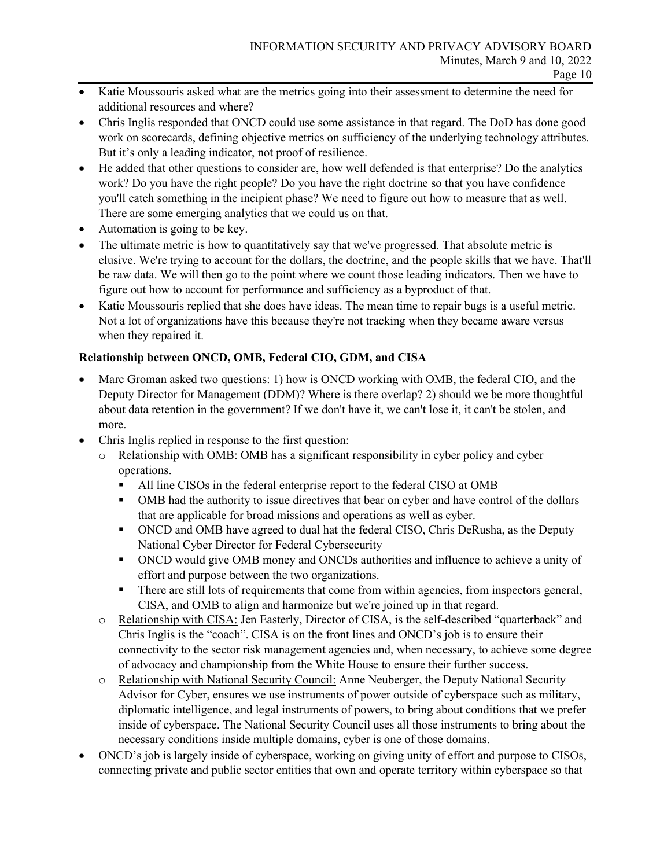- Katie Moussouris asked what are the metrics going into their assessment to determine the need for additional resources and where?
- Chris Inglis responded that ONCD could use some assistance in that regard. The DoD has done good work on scorecards, defining objective metrics on sufficiency of the underlying technology attributes. But it's only a leading indicator, not proof of resilience.
- He added that other questions to consider are, how well defended is that enterprise? Do the analytics work? Do you have the right people? Do you have the right doctrine so that you have confidence you'll catch something in the incipient phase? We need to figure out how to measure that as well. There are some emerging analytics that we could us on that.
- Automation is going to be key.
- The ultimate metric is how to quantitatively say that we've progressed. That absolute metric is elusive. We're trying to account for the dollars, the doctrine, and the people skills that we have. That'll be raw data. We will then go to the point where we count those leading indicators. Then we have to figure out how to account for performance and sufficiency as a byproduct of that.
- Katie Moussouris replied that she does have ideas. The mean time to repair bugs is a useful metric. Not a lot of organizations have this because they're not tracking when they became aware versus when they repaired it.

## **Relationship between ONCD, OMB, Federal CIO, GDM, and CISA**

- Marc Groman asked two questions: 1) how is ONCD working with OMB, the federal CIO, and the Deputy Director for Management (DDM)? Where is there overlap? 2) should we be more thoughtful about data retention in the government? If we don't have it, we can't lose it, it can't be stolen, and more.
- Chris Inglis replied in response to the first question:
	- o Relationship with OMB: OMB has a significant responsibility in cyber policy and cyber operations.
		- All line CISOs in the federal enterprise report to the federal CISO at OMB
		- OMB had the authority to issue directives that bear on cyber and have control of the dollars that are applicable for broad missions and operations as well as cyber.
		- ONCD and OMB have agreed to dual hat the federal CISO, Chris DeRusha, as the Deputy National Cyber Director for Federal Cybersecurity
		- ONCD would give OMB money and ONCDs authorities and influence to achieve a unity of effort and purpose between the two organizations.
		- There are still lots of requirements that come from within agencies, from inspectors general, CISA, and OMB to align and harmonize but we're joined up in that regard.
	- o Relationship with CISA: Jen Easterly, Director of CISA, is the self-described "quarterback" and Chris Inglis is the "coach". CISA is on the front lines and ONCD's job is to ensure their connectivity to the sector risk management agencies and, when necessary, to achieve some degree of advocacy and championship from the White House to ensure their further success.
	- o Relationship with National Security Council: Anne Neuberger, the Deputy National Security Advisor for Cyber, ensures we use instruments of power outside of cyberspace such as military, diplomatic intelligence, and legal instruments of powers, to bring about conditions that we prefer inside of cyberspace. The National Security Council uses all those instruments to bring about the necessary conditions inside multiple domains, cyber is one of those domains.
- ONCD's job is largely inside of cyberspace, working on giving unity of effort and purpose to CISOs, connecting private and public sector entities that own and operate territory within cyberspace so that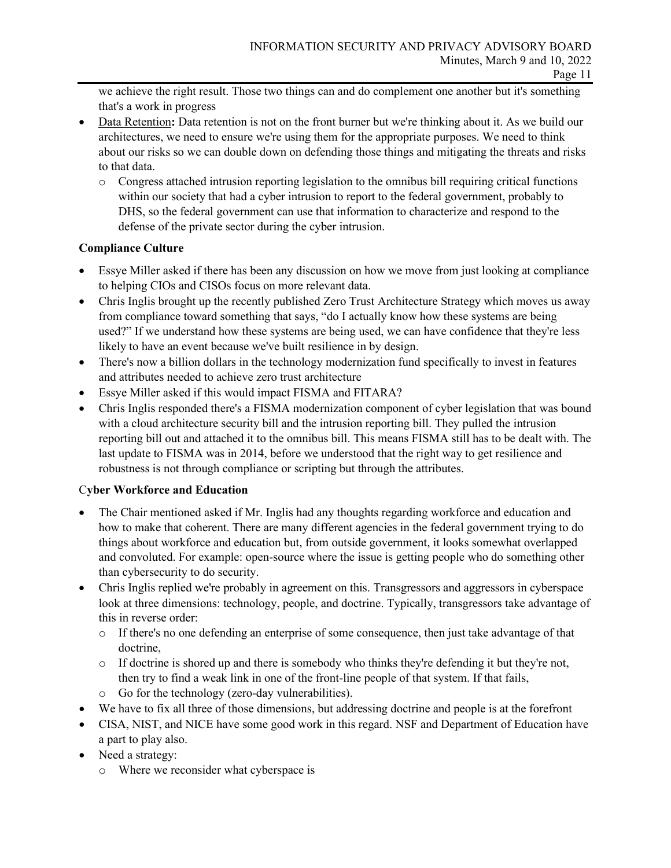we achieve the right result. Those two things can and do complement one another but it's something that's a work in progress

- Data Retention: Data retention is not on the front burner but we're thinking about it. As we build our architectures, we need to ensure we're using them for the appropriate purposes. We need to think about our risks so we can double down on defending those things and mitigating the threats and risks to that data.
	- o Congress attached intrusion reporting legislation to the omnibus bill requiring critical functions within our society that had a cyber intrusion to report to the federal government, probably to DHS, so the federal government can use that information to characterize and respond to the defense of the private sector during the cyber intrusion.

## **Compliance Culture**

- Essye Miller asked if there has been any discussion on how we move from just looking at compliance to helping CIOs and CISOs focus on more relevant data.
- Chris Inglis brought up the recently published Zero Trust Architecture Strategy which moves us away from compliance toward something that says, "do I actually know how these systems are being used?" If we understand how these systems are being used, we can have confidence that they're less likely to have an event because we've built resilience in by design.
- There's now a billion dollars in the technology modernization fund specifically to invest in features and attributes needed to achieve zero trust architecture
- Essye Miller asked if this would impact FISMA and FITARA?
- Chris Inglis responded there's a FISMA modernization component of cyber legislation that was bound with a cloud architecture security bill and the intrusion reporting bill. They pulled the intrusion reporting bill out and attached it to the omnibus bill. This means FISMA still has to be dealt with. The last update to FISMA was in 2014, before we understood that the right way to get resilience and robustness is not through compliance or scripting but through the attributes.

## C**yber Workforce and Education**

- The Chair mentioned asked if Mr. Inglis had any thoughts regarding workforce and education and how to make that coherent. There are many different agencies in the federal government trying to do things about workforce and education but, from outside government, it looks somewhat overlapped and convoluted. For example: open-source where the issue is getting people who do something other than cybersecurity to do security.
- Chris Inglis replied we're probably in agreement on this. Transgressors and aggressors in cyberspace look at three dimensions: technology, people, and doctrine. Typically, transgressors take advantage of this in reverse order:
	- o If there's no one defending an enterprise of some consequence, then just take advantage of that doctrine,
	- o If doctrine is shored up and there is somebody who thinks they're defending it but they're not, then try to find a weak link in one of the front-line people of that system. If that fails,
	- o Go for the technology (zero-day vulnerabilities).
- We have to fix all three of those dimensions, but addressing doctrine and people is at the forefront
- CISA, NIST, and NICE have some good work in this regard. NSF and Department of Education have a part to play also.
- Need a strategy:
	- o Where we reconsider what cyberspace is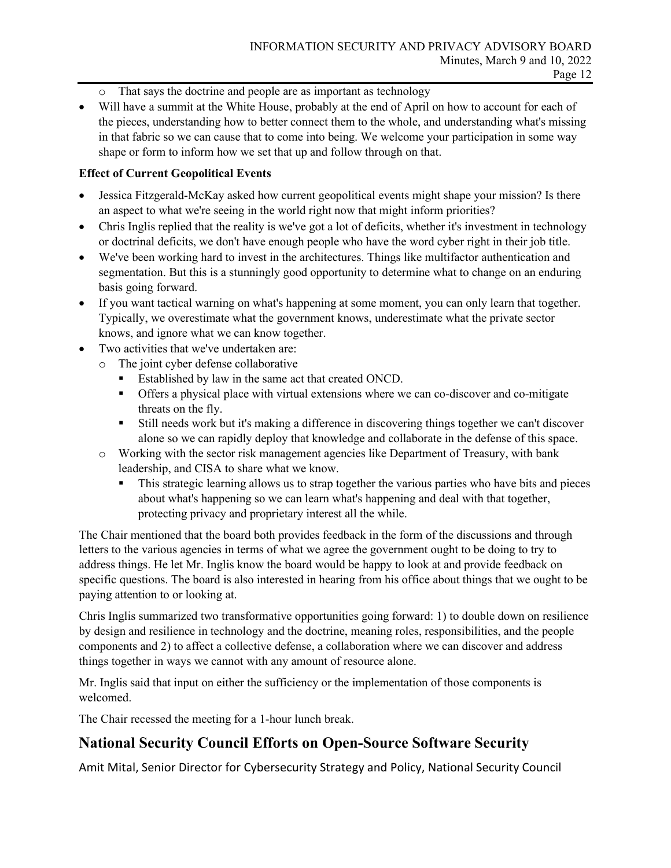- o That says the doctrine and people are as important as technology
- Will have a summit at the White House, probably at the end of April on how to account for each of the pieces, understanding how to better connect them to the whole, and understanding what's missing in that fabric so we can cause that to come into being. We welcome your participation in some way shape or form to inform how we set that up and follow through on that.

#### **Effect of Current Geopolitical Events**

- Jessica Fitzgerald-McKay asked how current geopolitical events might shape your mission? Is there an aspect to what we're seeing in the world right now that might inform priorities?
- Chris Inglis replied that the reality is we've got a lot of deficits, whether it's investment in technology or doctrinal deficits, we don't have enough people who have the word cyber right in their job title.
- We've been working hard to invest in the architectures. Things like multifactor authentication and segmentation. But this is a stunningly good opportunity to determine what to change on an enduring basis going forward.
- If you want tactical warning on what's happening at some moment, you can only learn that together. Typically, we overestimate what the government knows, underestimate what the private sector knows, and ignore what we can know together.
- Two activities that we've undertaken are:
	- o The joint cyber defense collaborative
		- **Established by law in the same act that created ONCD.**
		- Offers a physical place with virtual extensions where we can co-discover and co-mitigate threats on the fly.
		- Still needs work but it's making a difference in discovering things together we can't discover alone so we can rapidly deploy that knowledge and collaborate in the defense of this space.
	- o Working with the sector risk management agencies like Department of Treasury, with bank leadership, and CISA to share what we know.
		- This strategic learning allows us to strap together the various parties who have bits and pieces about what's happening so we can learn what's happening and deal with that together, protecting privacy and proprietary interest all the while.

The Chair mentioned that the board both provides feedback in the form of the discussions and through letters to the various agencies in terms of what we agree the government ought to be doing to try to address things. He let Mr. Inglis know the board would be happy to look at and provide feedback on specific questions. The board is also interested in hearing from his office about things that we ought to be paying attention to or looking at.

Chris Inglis summarized two transformative opportunities going forward: 1) to double down on resilience by design and resilience in technology and the doctrine, meaning roles, responsibilities, and the people components and 2) to affect a collective defense, a collaboration where we can discover and address things together in ways we cannot with any amount of resource alone.

Mr. Inglis said that input on either the sufficiency or the implementation of those components is welcomed.

The Chair recessed the meeting for a 1-hour lunch break.

## **National Security Council Efforts on Open-Source Software Security**

Amit Mital, Senior Director for Cybersecurity Strategy and Policy, National Security Council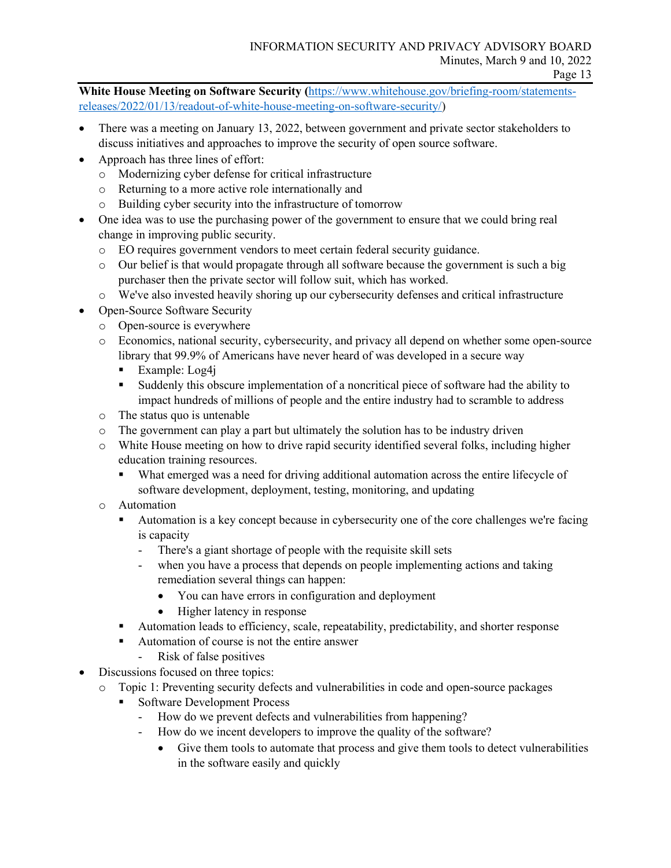**White House Meeting on Software Security (**[https://www.whitehouse.gov/briefing-room/statements](https://www.whitehouse.gov/briefing-room/statements-releases/2022/01/13/readout-of-white-house-meeting-on-software-security/)[releases/2022/01/13/readout-of-white-house-meeting-on-software-security/\)](https://www.whitehouse.gov/briefing-room/statements-releases/2022/01/13/readout-of-white-house-meeting-on-software-security/)

- There was a meeting on January 13, 2022, between government and private sector stakeholders to discuss initiatives and approaches to improve the security of open source software.
- Approach has three lines of effort:
	- o Modernizing cyber defense for critical infrastructure
	- o Returning to a more active role internationally and
	- o Building cyber security into the infrastructure of tomorrow
- One idea was to use the purchasing power of the government to ensure that we could bring real change in improving public security.
	- o EO requires government vendors to meet certain federal security guidance.
	- o Our belief is that would propagate through all software because the government is such a big purchaser then the private sector will follow suit, which has worked.
	- o We've also invested heavily shoring up our cybersecurity defenses and critical infrastructure
- Open-Source Software Security
	- o Open-source is everywhere
	- o Economics, national security, cybersecurity, and privacy all depend on whether some open-source library that 99.9% of Americans have never heard of was developed in a secure way
		- Example:  $Log4i$
		- Suddenly this obscure implementation of a noncritical piece of software had the ability to impact hundreds of millions of people and the entire industry had to scramble to address
	- o The status quo is untenable
	- $\circ$  The government can play a part but ultimately the solution has to be industry driven
	- o White House meeting on how to drive rapid security identified several folks, including higher education training resources.
		- What emerged was a need for driving additional automation across the entire lifecycle of software development, deployment, testing, monitoring, and updating
	- o Automation
		- Automation is a key concept because in cybersecurity one of the core challenges we're facing is capacity
			- There's a giant shortage of people with the requisite skill sets
			- when you have a process that depends on people implementing actions and taking remediation several things can happen:
				- You can have errors in configuration and deployment
				- Higher latency in response
		- Automation leads to efficiency, scale, repeatability, predictability, and shorter response
		- Automation of course is not the entire answer
			- Risk of false positives
- Discussions focused on three topics:
	- o Topic 1: Preventing security defects and vulnerabilities in code and open-source packages
		- Software Development Process
			- How do we prevent defects and vulnerabilities from happening?
			- How do we incent developers to improve the quality of the software?
				- Give them tools to automate that process and give them tools to detect vulnerabilities in the software easily and quickly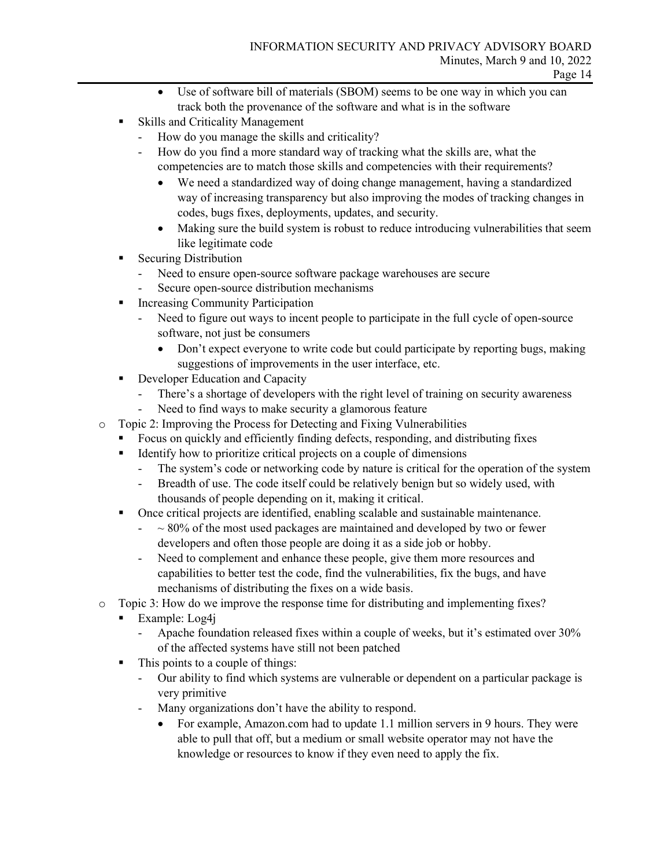- Use of software bill of materials (SBOM) seems to be one way in which you can track both the provenance of the software and what is in the software
- Skills and Criticality Management
	- How do you manage the skills and criticality?
	- How do you find a more standard way of tracking what the skills are, what the competencies are to match those skills and competencies with their requirements?
		- We need a standardized way of doing change management, having a standardized way of increasing transparency but also improving the modes of tracking changes in codes, bugs fixes, deployments, updates, and security.
		- Making sure the build system is robust to reduce introducing vulnerabilities that seem like legitimate code
- **Securing Distribution** 
	- Need to ensure open-source software package warehouses are secure
	- Secure open-source distribution mechanisms
- **Increasing Community Participation** 
	- Need to figure out ways to incent people to participate in the full cycle of open-source software, not just be consumers
		- Don't expect everyone to write code but could participate by reporting bugs, making suggestions of improvements in the user interface, etc.
- **Developer Education and Capacity** 
	- There's a shortage of developers with the right level of training on security awareness
	- Need to find ways to make security a glamorous feature
- o Topic 2: Improving the Process for Detecting and Fixing Vulnerabilities
	- Focus on quickly and efficiently finding defects, responding, and distributing fixes
	- Identify how to prioritize critical projects on a couple of dimensions
		- The system's code or networking code by nature is critical for the operation of the system
		- Breadth of use. The code itself could be relatively benign but so widely used, with thousands of people depending on it, making it critical.
	- Once critical projects are identified, enabling scalable and sustainable maintenance.
		- $\sim 80\%$  of the most used packages are maintained and developed by two or fewer developers and often those people are doing it as a side job or hobby.
		- Need to complement and enhance these people, give them more resources and capabilities to better test the code, find the vulnerabilities, fix the bugs, and have mechanisms of distributing the fixes on a wide basis.
- o Topic 3: How do we improve the response time for distributing and implementing fixes?
	- $\blacksquare$  Example: Log4j
		- Apache foundation released fixes within a couple of weeks, but it's estimated over 30% of the affected systems have still not been patched
	- This points to a couple of things:
		- Our ability to find which systems are vulnerable or dependent on a particular package is very primitive
		- Many organizations don't have the ability to respond.
			- For example, Amazon.com had to update 1.1 million servers in 9 hours. They were able to pull that off, but a medium or small website operator may not have the knowledge or resources to know if they even need to apply the fix.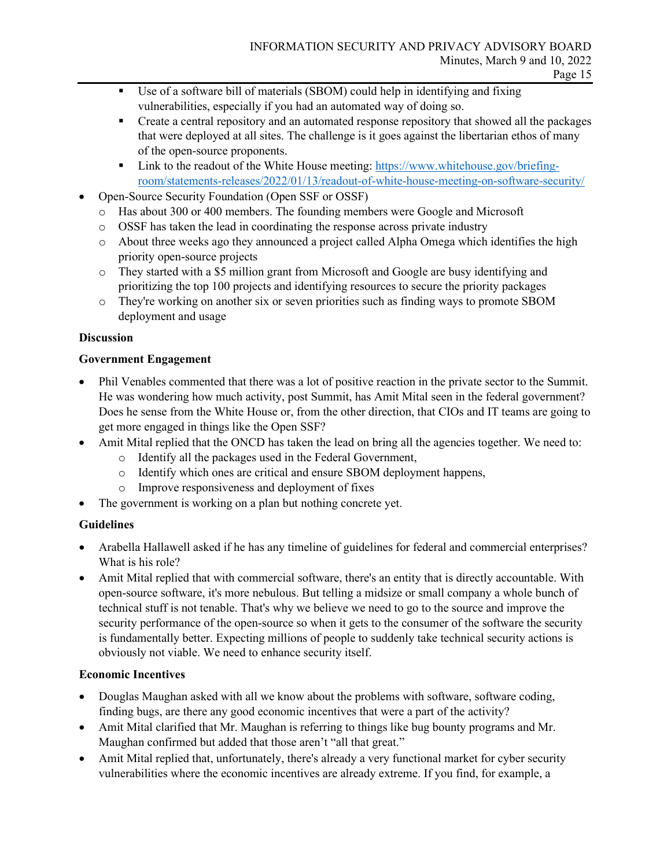- Use of a software bill of materials (SBOM) could help in identifying and fixing vulnerabilities, especially if you had an automated way of doing so.
- **•** Create a central repository and an automated response repository that showed all the packages that were deployed at all sites. The challenge is it goes against the libertarian ethos of many of the open-source proponents.
- Link to the readout of the White House meeting: [https://www.whitehouse.gov/briefing](https://www.whitehouse.gov/briefing-room/statements-releases/2022/01/13/readout-of-white-house-meeting-on-software-security/)[room/statements-releases/2022/01/13/readout-of-white-house-meeting-on-software-security/](https://www.whitehouse.gov/briefing-room/statements-releases/2022/01/13/readout-of-white-house-meeting-on-software-security/)
- Open-Source Security Foundation (Open SSF or OSSF)
	- o Has about 300 or 400 members. The founding members were Google and Microsoft
	- o OSSF has taken the lead in coordinating the response across private industry
	- o About three weeks ago they announced a project called Alpha Omega which identifies the high priority open-source projects
	- o They started with a \$5 million grant from Microsoft and Google are busy identifying and prioritizing the top 100 projects and identifying resources to secure the priority packages
	- o They're working on another six or seven priorities such as finding ways to promote SBOM deployment and usage

## **Discussion**

## **Government Engagement**

- Phil Venables commented that there was a lot of positive reaction in the private sector to the Summit. He was wondering how much activity, post Summit, has Amit Mital seen in the federal government? Does he sense from the White House or, from the other direction, that CIOs and IT teams are going to get more engaged in things like the Open SSF?
- Amit Mital replied that the ONCD has taken the lead on bring all the agencies together. We need to:
	- o Identify all the packages used in the Federal Government,
	- o Identify which ones are critical and ensure SBOM deployment happens,
	- o Improve responsiveness and deployment of fixes
- The government is working on a plan but nothing concrete yet.

## **Guidelines**

- Arabella Hallawell asked if he has any timeline of guidelines for federal and commercial enterprises? What is his role?
- Amit Mital replied that with commercial software, there's an entity that is directly accountable. With open-source software, it's more nebulous. But telling a midsize or small company a whole bunch of technical stuff is not tenable. That's why we believe we need to go to the source and improve the security performance of the open-source so when it gets to the consumer of the software the security is fundamentally better. Expecting millions of people to suddenly take technical security actions is obviously not viable. We need to enhance security itself.

## **Economic Incentives**

- Douglas Maughan asked with all we know about the problems with software, software coding, finding bugs, are there any good economic incentives that were a part of the activity?
- Amit Mital clarified that Mr. Maughan is referring to things like bug bounty programs and Mr. Maughan confirmed but added that those aren't "all that great."
- Amit Mital replied that, unfortunately, there's already a very functional market for cyber security vulnerabilities where the economic incentives are already extreme. If you find, for example, a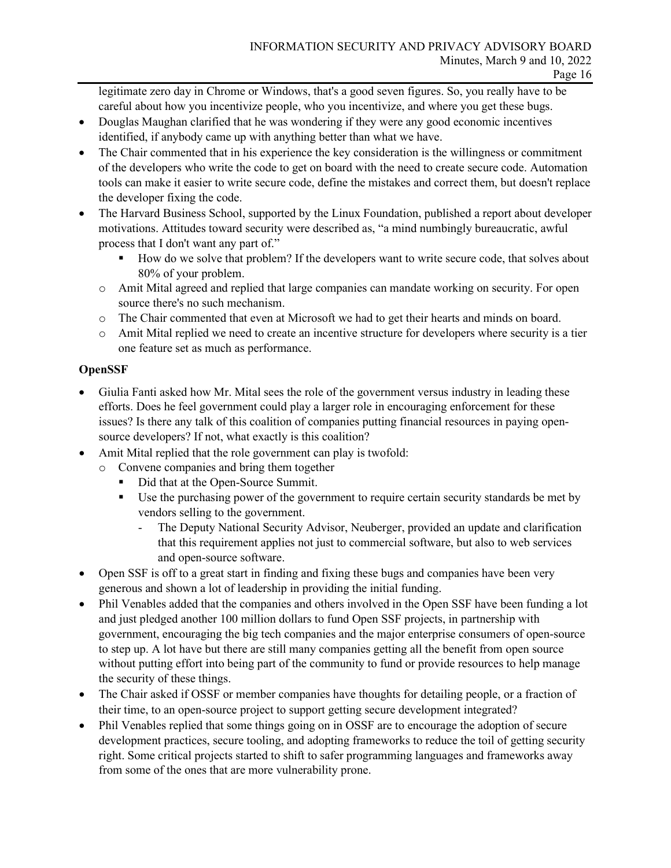legitimate zero day in Chrome or Windows, that's a good seven figures. So, you really have to be careful about how you incentivize people, who you incentivize, and where you get these bugs.

- Douglas Maughan clarified that he was wondering if they were any good economic incentives identified, if anybody came up with anything better than what we have.
- The Chair commented that in his experience the key consideration is the willingness or commitment of the developers who write the code to get on board with the need to create secure code. Automation tools can make it easier to write secure code, define the mistakes and correct them, but doesn't replace the developer fixing the code.
- The Harvard Business School, supported by the Linux Foundation, published a report about developer motivations. Attitudes toward security were described as, "a mind numbingly bureaucratic, awful process that I don't want any part of."
	- How do we solve that problem? If the developers want to write secure code, that solves about 80% of your problem.
	- o Amit Mital agreed and replied that large companies can mandate working on security. For open source there's no such mechanism.
	- o The Chair commented that even at Microsoft we had to get their hearts and minds on board.
	- o Amit Mital replied we need to create an incentive structure for developers where security is a tier one feature set as much as performance.

## **OpenSSF**

- Giulia Fanti asked how Mr. Mital sees the role of the government versus industry in leading these efforts. Does he feel government could play a larger role in encouraging enforcement for these issues? Is there any talk of this coalition of companies putting financial resources in paying opensource developers? If not, what exactly is this coalition?
- Amit Mital replied that the role government can play is twofold:
	- o Convene companies and bring them together
		- Did that at the Open-Source Summit.
		- Use the purchasing power of the government to require certain security standards be met by vendors selling to the government.
			- The Deputy National Security Advisor, Neuberger, provided an update and clarification that this requirement applies not just to commercial software, but also to web services and open-source software.
- Open SSF is off to a great start in finding and fixing these bugs and companies have been very generous and shown a lot of leadership in providing the initial funding.
- Phil Venables added that the companies and others involved in the Open SSF have been funding a lot and just pledged another 100 million dollars to fund Open SSF projects, in partnership with government, encouraging the big tech companies and the major enterprise consumers of open-source to step up. A lot have but there are still many companies getting all the benefit from open source without putting effort into being part of the community to fund or provide resources to help manage the security of these things.
- The Chair asked if OSSF or member companies have thoughts for detailing people, or a fraction of their time, to an open-source project to support getting secure development integrated?
- Phil Venables replied that some things going on in OSSF are to encourage the adoption of secure development practices, secure tooling, and adopting frameworks to reduce the toil of getting security right. Some critical projects started to shift to safer programming languages and frameworks away from some of the ones that are more vulnerability prone.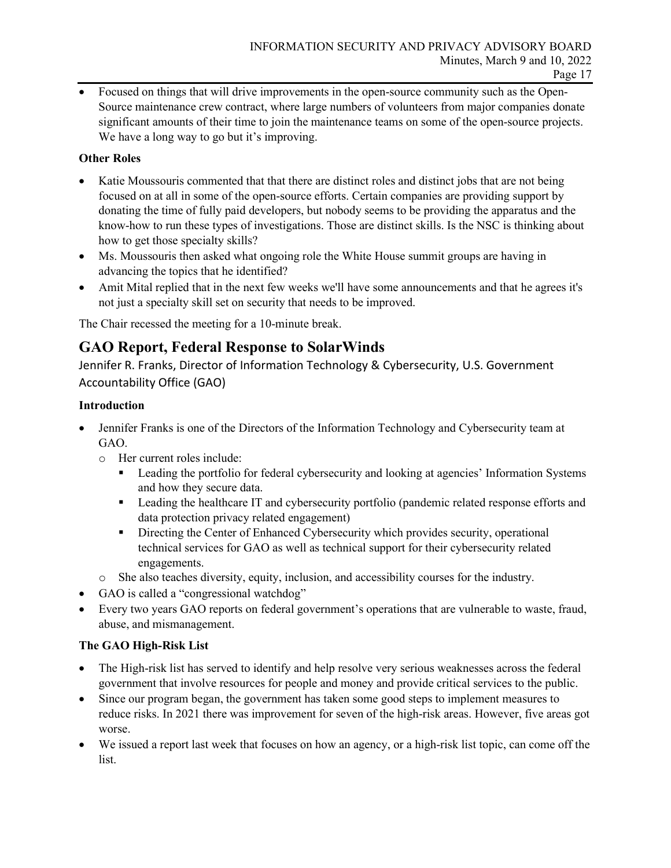• Focused on things that will drive improvements in the open-source community such as the Open-Source maintenance crew contract, where large numbers of volunteers from major companies donate significant amounts of their time to join the maintenance teams on some of the open-source projects. We have a long way to go but it's improving.

#### **Other Roles**

- Katie Moussouris commented that that there are distinct roles and distinct jobs that are not being focused on at all in some of the open-source efforts. Certain companies are providing support by donating the time of fully paid developers, but nobody seems to be providing the apparatus and the know-how to run these types of investigations. Those are distinct skills. Is the NSC is thinking about how to get those specialty skills?
- Ms. Moussouris then asked what ongoing role the White House summit groups are having in advancing the topics that he identified?
- Amit Mital replied that in the next few weeks we'll have some announcements and that he agrees it's not just a specialty skill set on security that needs to be improved.

The Chair recessed the meeting for a 10-minute break.

## **GAO Report, Federal Response to SolarWinds**

Jennifer R. Franks, Director of Information Technology & Cybersecurity, U.S. Government Accountability Office (GAO)

#### **Introduction**

- Jennifer Franks is one of the Directors of the Information Technology and Cybersecurity team at GAO.
	- o Her current roles include:
		- **Example 1** Leading the portfolio for federal cybersecurity and looking at agencies' Information Systems and how they secure data.
		- Leading the healthcare IT and cybersecurity portfolio (pandemic related response efforts and data protection privacy related engagement)
		- Directing the Center of Enhanced Cybersecurity which provides security, operational technical services for GAO as well as technical support for their cybersecurity related engagements.
	- o She also teaches diversity, equity, inclusion, and accessibility courses for the industry.
- GAO is called a "congressional watchdog"
- Every two years GAO reports on federal government's operations that are vulnerable to waste, fraud, abuse, and mismanagement.

## **The GAO High-Risk List**

- The High-risk list has served to identify and help resolve very serious weaknesses across the federal government that involve resources for people and money and provide critical services to the public.
- Since our program began, the government has taken some good steps to implement measures to reduce risks. In 2021 there was improvement for seven of the high-risk areas. However, five areas got worse.
- We issued a report last week that focuses on how an agency, or a high-risk list topic, can come off the list.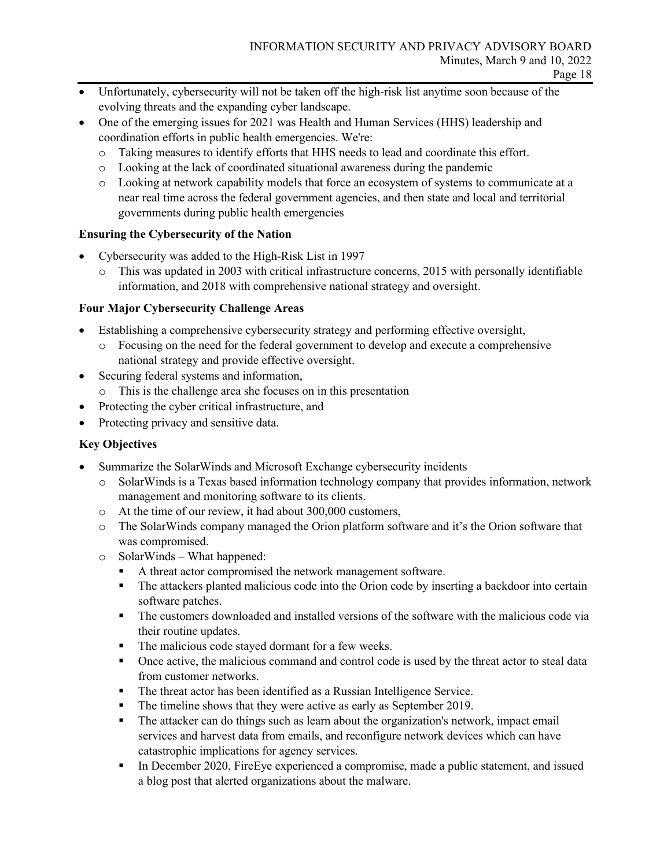- Unfortunately, cybersecurity will not be taken off the high-risk list anytime soon because of the evolving threats and the expanding cyber landscape.
- One of the emerging issues for 2021 was Health and Human Services (HHS) leadership and coordination efforts in public health emergencies. We're:
	- o Taking measures to identify efforts that HHS needs to lead and coordinate this effort.
	- o Looking at the lack of coordinated situational awareness during the pandemic
	- o Looking at network capability models that force an ecosystem of systems to communicate at a near real time across the federal government agencies, and then state and local and territorial governments during public health emergencies

## **Ensuring the Cybersecurity of the Nation**

- Cybersecurity was added to the High-Risk List in 1997
	- o This was updated in 2003 with critical infrastructure concerns, 2015 with personally identifiable information, and 2018 with comprehensive national strategy and oversight.

## **Four Major Cybersecurity Challenge Areas**

- Establishing a comprehensive cybersecurity strategy and performing effective oversight,
	- o Focusing on the need for the federal government to develop and execute a comprehensive national strategy and provide effective oversight.
- Securing federal systems and information,
	- o This is the challenge area she focuses on in this presentation
- Protecting the cyber critical infrastructure, and
- Protecting privacy and sensitive data.

## **Key Objectives**

- Summarize the SolarWinds and Microsoft Exchange cybersecurity incidents
	- o SolarWinds is a Texas based information technology company that provides information, network management and monitoring software to its clients.
	- o At the time of our review, it had about 300,000 customers,
	- o The SolarWinds company managed the Orion platform software and it's the Orion software that was compromised.
	- o SolarWinds What happened:
		- A threat actor compromised the network management software.
		- The attackers planted malicious code into the Orion code by inserting a backdoor into certain software patches.
		- The customers downloaded and installed versions of the software with the malicious code via their routine updates.
		- The malicious code stayed dormant for a few weeks.
		- Once active, the malicious command and control code is used by the threat actor to steal data from customer networks.
		- The threat actor has been identified as a Russian Intelligence Service.
		- The timeline shows that they were active as early as September 2019.
		- The attacker can do things such as learn about the organization's network, impact email services and harvest data from emails, and reconfigure network devices which can have catastrophic implications for agency services.
		- In December 2020, FireEye experienced a compromise, made a public statement, and issued a blog post that alerted organizations about the malware.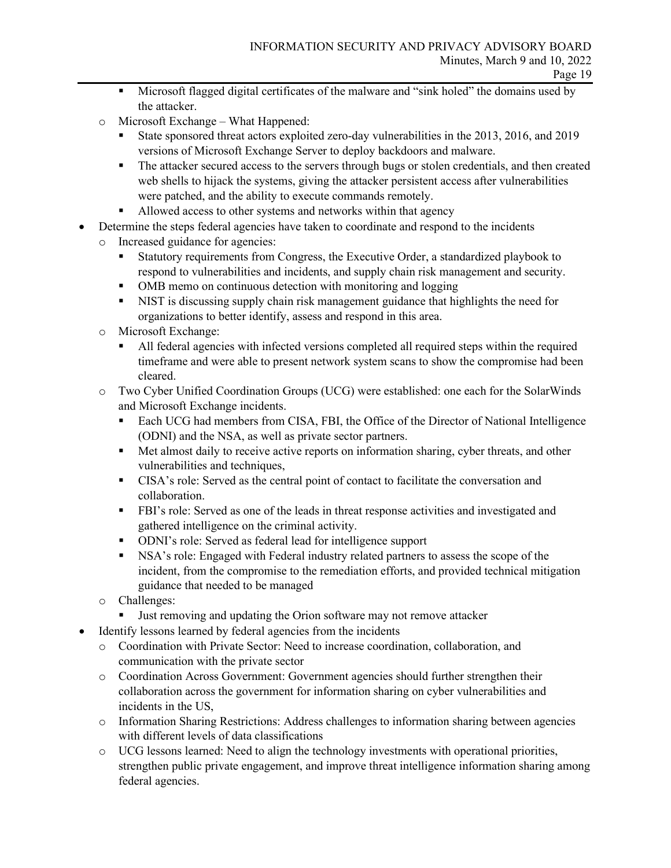- Microsoft flagged digital certificates of the malware and "sink holed" the domains used by the attacker.
- o Microsoft Exchange What Happened:
	- State sponsored threat actors exploited zero-day vulnerabilities in the 2013, 2016, and 2019 versions of Microsoft Exchange Server to deploy backdoors and malware.
	- The attacker secured access to the servers through bugs or stolen credentials, and then created web shells to hijack the systems, giving the attacker persistent access after vulnerabilities were patched, and the ability to execute commands remotely.
	- Allowed access to other systems and networks within that agency
- Determine the steps federal agencies have taken to coordinate and respond to the incidents
	- o Increased guidance for agencies:
		- Statutory requirements from Congress, the Executive Order, a standardized playbook to respond to vulnerabilities and incidents, and supply chain risk management and security.
		- OMB memo on continuous detection with monitoring and logging
		- NIST is discussing supply chain risk management guidance that highlights the need for organizations to better identify, assess and respond in this area.
	- o Microsoft Exchange:
		- All federal agencies with infected versions completed all required steps within the required timeframe and were able to present network system scans to show the compromise had been cleared.
	- o Two Cyber Unified Coordination Groups (UCG) were established: one each for the SolarWinds and Microsoft Exchange incidents.
		- Each UCG had members from CISA, FBI, the Office of the Director of National Intelligence (ODNI) and the NSA, as well as private sector partners.
		- **Met almost daily to receive active reports on information sharing, cyber threats, and other** vulnerabilities and techniques,
		- CISA's role: Served as the central point of contact to facilitate the conversation and collaboration.
		- FBI's role: Served as one of the leads in threat response activities and investigated and gathered intelligence on the criminal activity.
		- ODNI's role: Served as federal lead for intelligence support
		- NSA's role: Engaged with Federal industry related partners to assess the scope of the incident, from the compromise to the remediation efforts, and provided technical mitigation guidance that needed to be managed
	- o Challenges:
		- Uust removing and updating the Orion software may not remove attacker
- Identify lessons learned by federal agencies from the incidents
	- o Coordination with Private Sector: Need to increase coordination, collaboration, and communication with the private sector
	- o Coordination Across Government: Government agencies should further strengthen their collaboration across the government for information sharing on cyber vulnerabilities and incidents in the US,
	- o Information Sharing Restrictions: Address challenges to information sharing between agencies with different levels of data classifications
	- o UCG lessons learned: Need to align the technology investments with operational priorities, strengthen public private engagement, and improve threat intelligence information sharing among federal agencies.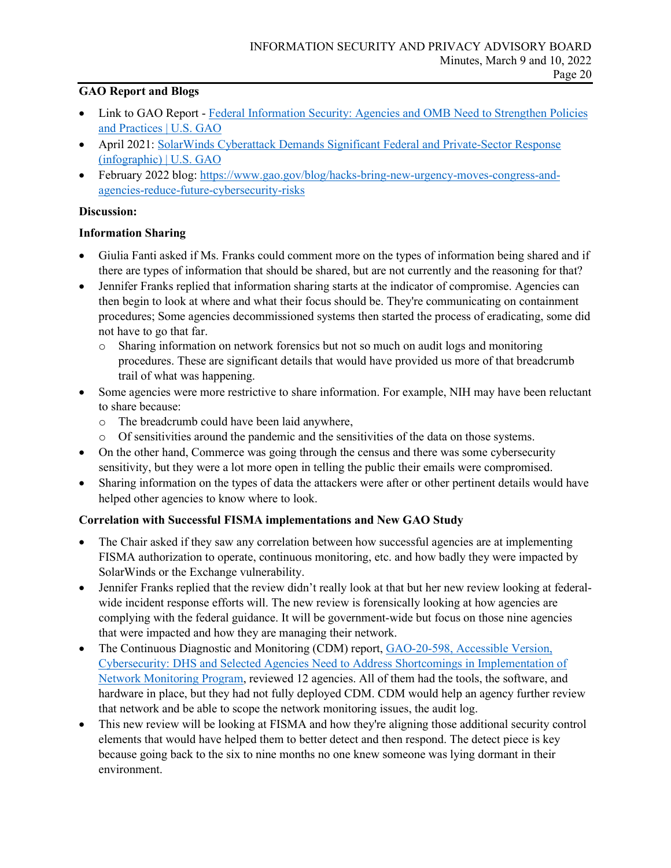## **GAO Report and Blogs**

- Link to GAO Report Federal Information Security: Agencies and OMB Need to Strengthen Policies [and Practices | U.S. GAO](https://www.gao.gov/products/gao-19-545)
- April 2021: [SolarWinds Cyberattack Demands Significant Federal and Private-Sector Response](https://www.gao.gov/blog/solarwinds-cyberattack-demands-significant-federal-and-private-sector-response-infographic)  [\(infographic\) | U.S. GAO](https://www.gao.gov/blog/solarwinds-cyberattack-demands-significant-federal-and-private-sector-response-infographic)
- February 2022 blog: [https://www.gao.gov/blog/hacks-bring-new-urgency-moves-congress-and](https://www.gao.gov/blog/hacks-bring-new-urgency-moves-congress-and-agencies-reduce-future-cybersecurity-risks)[agencies-reduce-future-cybersecurity-risks](https://www.gao.gov/blog/hacks-bring-new-urgency-moves-congress-and-agencies-reduce-future-cybersecurity-risks)

#### **Discussion:**

#### **Information Sharing**

- Giulia Fanti asked if Ms. Franks could comment more on the types of information being shared and if there are types of information that should be shared, but are not currently and the reasoning for that?
- Jennifer Franks replied that information sharing starts at the indicator of compromise. Agencies can then begin to look at where and what their focus should be. They're communicating on containment procedures; Some agencies decommissioned systems then started the process of eradicating, some did not have to go that far.
	- o Sharing information on network forensics but not so much on audit logs and monitoring procedures. These are significant details that would have provided us more of that breadcrumb trail of what was happening.
- Some agencies were more restrictive to share information. For example, NIH may have been reluctant to share because:
	- o The breadcrumb could have been laid anywhere,
	- o Of sensitivities around the pandemic and the sensitivities of the data on those systems.
- On the other hand, Commerce was going through the census and there was some cybersecurity sensitivity, but they were a lot more open in telling the public their emails were compromised.
- Sharing information on the types of data the attackers were after or other pertinent details would have helped other agencies to know where to look.

## **Correlation with Successful FISMA implementations and New GAO Study**

- The Chair asked if they saw any correlation between how successful agencies are at implementing FISMA authorization to operate, continuous monitoring, etc. and how badly they were impacted by SolarWinds or the Exchange vulnerability.
- Jennifer Franks replied that the review didn't really look at that but her new review looking at federalwide incident response efforts will. The new review is forensically looking at how agencies are complying with the federal guidance. It will be government-wide but focus on those nine agencies that were impacted and how they are managing their network.
- The Continuous Diagnostic and Monitoring (CDM) report, GAO-20-598, Accessible Version, [Cybersecurity: DHS and Selected Agencies Need to Address Shortcomings in Implementation of](https://www.gao.gov/assets/710/708885.pdf)  [Network Monitoring Program,](https://www.gao.gov/assets/710/708885.pdf) reviewed 12 agencies. All of them had the tools, the software, and hardware in place, but they had not fully deployed CDM. CDM would help an agency further review that network and be able to scope the network monitoring issues, the audit log.
- This new review will be looking at FISMA and how they're aligning those additional security control elements that would have helped them to better detect and then respond. The detect piece is key because going back to the six to nine months no one knew someone was lying dormant in their environment.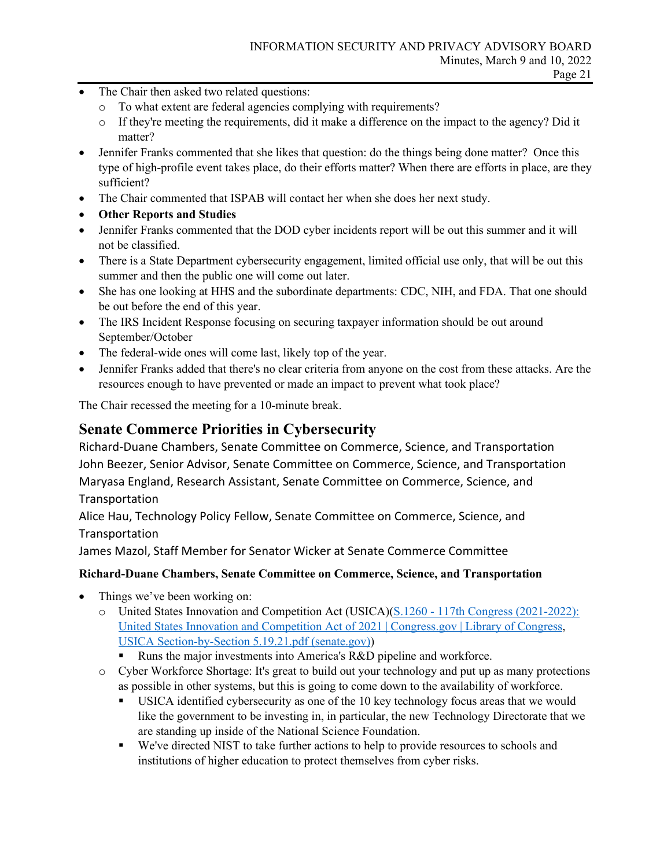- The Chair then asked two related questions:
	- o To what extent are federal agencies complying with requirements?
	- o If they're meeting the requirements, did it make a difference on the impact to the agency? Did it matter?
- Jennifer Franks commented that she likes that question: do the things being done matter? Once this type of high-profile event takes place, do their efforts matter? When there are efforts in place, are they sufficient?
- The Chair commented that ISPAB will contact her when she does her next study.
- **Other Reports and Studies**
- Jennifer Franks commented that the DOD cyber incidents report will be out this summer and it will not be classified.
- There is a State Department cybersecurity engagement, limited official use only, that will be out this summer and then the public one will come out later.
- She has one looking at HHS and the subordinate departments: CDC, NIH, and FDA. That one should be out before the end of this year.
- The IRS Incident Response focusing on securing taxpayer information should be out around September/October
- The federal-wide ones will come last, likely top of the year.
- Jennifer Franks added that there's no clear criteria from anyone on the cost from these attacks. Are the resources enough to have prevented or made an impact to prevent what took place?

The Chair recessed the meeting for a 10-minute break.

## **Senate Commerce Priorities in Cybersecurity**

Richard-Duane Chambers, Senate Committee on Commerce, Science, and Transportation John Beezer, Senior Advisor, Senate Committee on Commerce, Science, and Transportation Maryasa England, Research Assistant, Senate Committee on Commerce, Science, and **Transportation** 

Alice Hau, Technology Policy Fellow, Senate Committee on Commerce, Science, and **Transportation** 

James Mazol, Staff Member for Senator Wicker at Senate Commerce Committee

## **Richard-Duane Chambers, Senate Committee on Commerce, Science, and Transportation**

- Things we've been working on:
	- o United States Innovation and Competition Act (USICA)[\(S.1260 117th Congress \(2021-2022\):](https://www.congress.gov/bill/117th-congress/senate-bill/1260)  [United States Innovation and Competition Act of 2021 | Congress.gov | Library of Congress,](https://www.congress.gov/bill/117th-congress/senate-bill/1260) [USICA Section-by-Section 5.19.21.pdf \(senate.gov\)\)](https://www.democrats.senate.gov/imo/media/doc/USICA%20Section-by-Section%205.19.21.pdf)
		- Runs the major investments into America's R&D pipeline and workforce.
	- o Cyber Workforce Shortage: It's great to build out your technology and put up as many protections as possible in other systems, but this is going to come down to the availability of workforce.
		- USICA identified cybersecurity as one of the 10 key technology focus areas that we would like the government to be investing in, in particular, the new Technology Directorate that we are standing up inside of the National Science Foundation.
		- We've directed NIST to take further actions to help to provide resources to schools and institutions of higher education to protect themselves from cyber risks.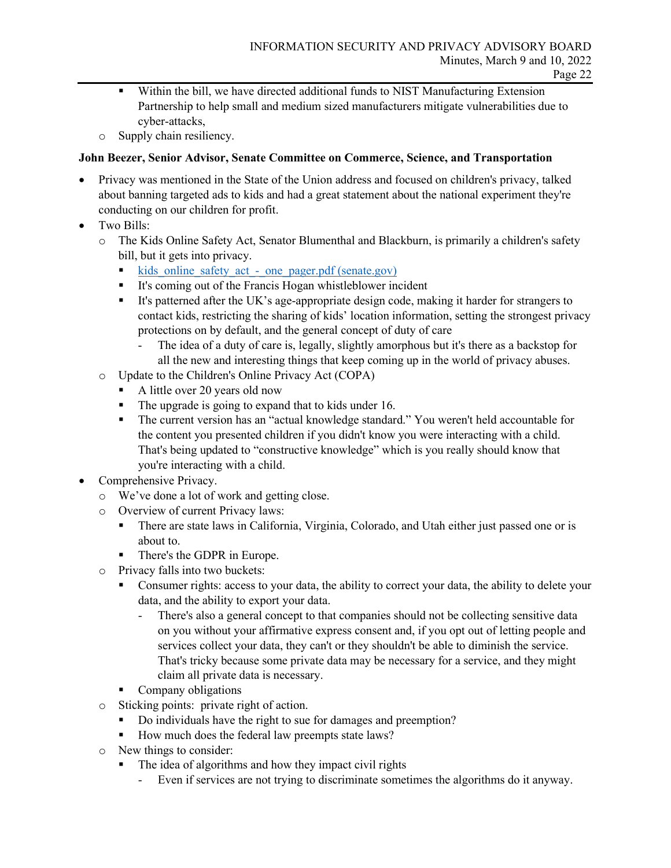- Within the bill, we have directed additional funds to NIST Manufacturing Extension Partnership to help small and medium sized manufacturers mitigate vulnerabilities due to cyber-attacks,
- o Supply chain resiliency.

## **John Beezer, Senior Advisor, Senate Committee on Commerce, Science, and Transportation**

- Privacy was mentioned in the State of the Union address and focused on children's privacy, talked about banning targeted ads to kids and had a great statement about the national experiment they're conducting on our children for profit.
- Two Bills:
	- o The Kids Online Safety Act, Senator Blumenthal and Blackburn, is primarily a children's safety bill, but it gets into privacy.
		- kids online safety act one pager.pdf (senate.gov)
		- It's coming out of the Francis Hogan whistleblower incident
		- It's patterned after the UK's age-appropriate design code, making it harder for strangers to contact kids, restricting the sharing of kids' location information, setting the strongest privacy protections on by default, and the general concept of duty of care
			- The idea of a duty of care is, legally, slightly amorphous but it's there as a backstop for all the new and interesting things that keep coming up in the world of privacy abuses.
	- o Update to the Children's Online Privacy Act (COPA)
		- A little over 20 years old now
		- The upgrade is going to expand that to kids under 16.
		- The current version has an "actual knowledge standard." You weren't held accountable for the content you presented children if you didn't know you were interacting with a child. That's being updated to "constructive knowledge" which is you really should know that you're interacting with a child.
- Comprehensive Privacy.
	- o We've done a lot of work and getting close.
	- o Overview of current Privacy laws:<br>■ There are state laws in Californ
		- There are state laws in California, Virginia, Colorado, and Utah either just passed one or is about to.
		- **There's the GDPR in Europe.**
	- o Privacy falls into two buckets:
		- Consumer rights: access to your data, the ability to correct your data, the ability to delete your data, and the ability to export your data.
			- There's also a general concept to that companies should not be collecting sensitive data on you without your affirmative express consent and, if you opt out of letting people and services collect your data, they can't or they shouldn't be able to diminish the service. That's tricky because some private data may be necessary for a service, and they might claim all private data is necessary.
		- Company obligations
	- o Sticking points: private right of action.
		- Do individuals have the right to sue for damages and preemption?
		- How much does the federal law preempts state laws?
	- o New things to consider:
		- The idea of algorithms and how they impact civil rights
			- Even if services are not trying to discriminate sometimes the algorithms do it anyway.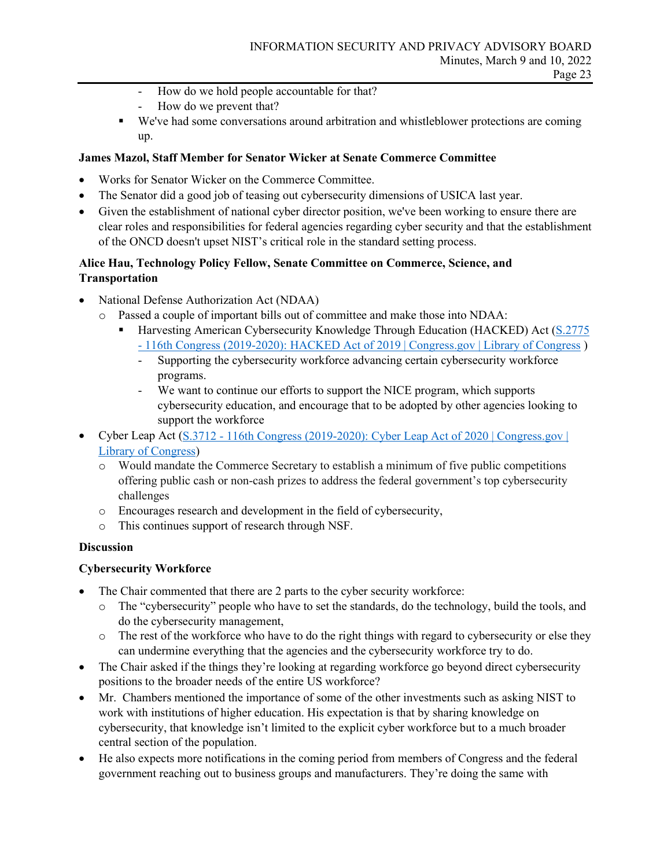- How do we hold people accountable for that?
- How do we prevent that?
- We've had some conversations around arbitration and whistleblower protections are coming up.

## **James Mazol, Staff Member for Senator Wicker at Senate Commerce Committee**

- Works for Senator Wicker on the Commerce Committee.
- The Senator did a good job of teasing out cybersecurity dimensions of USICA last year.
- Given the establishment of national cyber director position, we've been working to ensure there are clear roles and responsibilities for federal agencies regarding cyber security and that the establishment of the ONCD doesn't upset NIST's critical role in the standard setting process.

## **Alice Hau, Technology Policy Fellow, Senate Committee on Commerce, Science, and Transportation**

- National Defense Authorization Act (NDAA)
	- o Passed a couple of important bills out of committee and make those into NDAA:
		- **Harvesting American Cybersecurity Knowledge Through Education (HACKED) Act (S.2775** [- 116th Congress \(2019-2020\): HACKED Act of 2019 | Congress.gov | Library of Congress](https://www.congress.gov/bill/116th-congress/senate-bill/2775?overview=closed) )
			- Supporting the cybersecurity workforce advancing certain cybersecurity workforce programs.
			- We want to continue our efforts to support the NICE program, which supports cybersecurity education, and encourage that to be adopted by other agencies looking to support the workforce
- Cyber Leap Act (S.3712 116th Congress (2019-2020): Cyber Leap Act of 2020 | Congress.gov | [Library of Congress\)](https://www.congress.gov/bill/116th-congress/senate-bill/3712)
	- o Would mandate the Commerce Secretary to establish a minimum of five public competitions offering public cash or non-cash prizes to address the federal government's top cybersecurity challenges
	- o Encourages research and development in the field of cybersecurity,
	- o This continues support of research through NSF.

## **Discussion**

## **Cybersecurity Workforce**

- The Chair commented that there are 2 parts to the cyber security workforce:
	- o The "cybersecurity" people who have to set the standards, do the technology, build the tools, and do the cybersecurity management,
	- o The rest of the workforce who have to do the right things with regard to cybersecurity or else they can undermine everything that the agencies and the cybersecurity workforce try to do.
- The Chair asked if the things they're looking at regarding workforce go beyond direct cybersecurity positions to the broader needs of the entire US workforce?
- Mr. Chambers mentioned the importance of some of the other investments such as asking NIST to work with institutions of higher education. His expectation is that by sharing knowledge on cybersecurity, that knowledge isn't limited to the explicit cyber workforce but to a much broader central section of the population.
- He also expects more notifications in the coming period from members of Congress and the federal government reaching out to business groups and manufacturers. They're doing the same with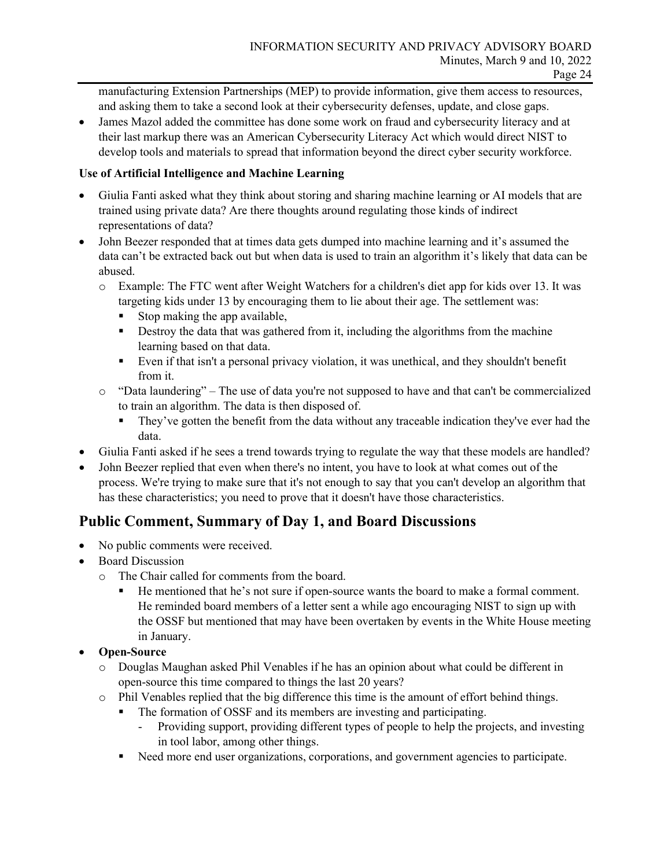manufacturing Extension Partnerships (MEP) to provide information, give them access to resources, and asking them to take a second look at their cybersecurity defenses, update, and close gaps.

• James Mazol added the committee has done some work on fraud and cybersecurity literacy and at their last markup there was an American Cybersecurity Literacy Act which would direct NIST to develop tools and materials to spread that information beyond the direct cyber security workforce.

## **Use of Artificial Intelligence and Machine Learning**

- Giulia Fanti asked what they think about storing and sharing machine learning or AI models that are trained using private data? Are there thoughts around regulating those kinds of indirect representations of data?
- John Beezer responded that at times data gets dumped into machine learning and it's assumed the data can't be extracted back out but when data is used to train an algorithm it's likely that data can be abused.
	- o Example: The FTC went after Weight Watchers for a children's diet app for kids over 13. It was targeting kids under 13 by encouraging them to lie about their age. The settlement was:
		- Stop making the app available,
		- **•** Destroy the data that was gathered from it, including the algorithms from the machine learning based on that data.
		- Even if that isn't a personal privacy violation, it was unethical, and they shouldn't benefit from it.
	- o "Data laundering" The use of data you're not supposed to have and that can't be commercialized to train an algorithm. The data is then disposed of.
		- They've gotten the benefit from the data without any traceable indication they've ever had the data.
- Giulia Fanti asked if he sees a trend towards trying to regulate the way that these models are handled?
- John Beezer replied that even when there's no intent, you have to look at what comes out of the process. We're trying to make sure that it's not enough to say that you can't develop an algorithm that has these characteristics; you need to prove that it doesn't have those characteristics.

## **Public Comment, Summary of Day 1, and Board Discussions**

- No public comments were received.
- **Board Discussion** 
	- o The Chair called for comments from the board.
		- He mentioned that he's not sure if open-source wants the board to make a formal comment. He reminded board members of a letter sent a while ago encouraging NIST to sign up with the OSSF but mentioned that may have been overtaken by events in the White House meeting in January.

## • **Open-Source**

- o Douglas Maughan asked Phil Venables if he has an opinion about what could be different in open-source this time compared to things the last 20 years?
- o Phil Venables replied that the big difference this time is the amount of effort behind things.
	- The formation of OSSF and its members are investing and participating.
		- Providing support, providing different types of people to help the projects, and investing in tool labor, among other things.
	- Need more end user organizations, corporations, and government agencies to participate.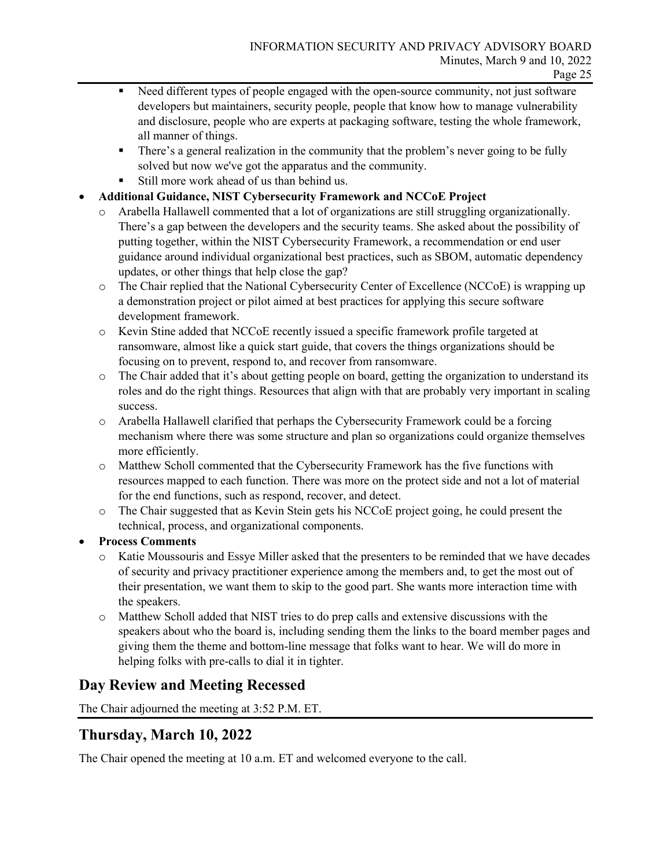- Need different types of people engaged with the open-source community, not just software developers but maintainers, security people, people that know how to manage vulnerability and disclosure, people who are experts at packaging software, testing the whole framework, all manner of things.
- There's a general realization in the community that the problem's never going to be fully solved but now we've got the apparatus and the community.
- Still more work ahead of us than behind us.
- **Additional Guidance, NIST Cybersecurity Framework and NCCoE Project** 
	- o Arabella Hallawell commented that a lot of organizations are still struggling organizationally. There's a gap between the developers and the security teams. She asked about the possibility of putting together, within the NIST Cybersecurity Framework, a recommendation or end user guidance around individual organizational best practices, such as SBOM, automatic dependency updates, or other things that help close the gap?
	- o The Chair replied that the National Cybersecurity Center of Excellence (NCCoE) is wrapping up a demonstration project or pilot aimed at best practices for applying this secure software development framework.
	- o Kevin Stine added that NCCoE recently issued a specific framework profile targeted at ransomware, almost like a quick start guide, that covers the things organizations should be focusing on to prevent, respond to, and recover from ransomware.
	- o The Chair added that it's about getting people on board, getting the organization to understand its roles and do the right things. Resources that align with that are probably very important in scaling success.
	- o Arabella Hallawell clarified that perhaps the Cybersecurity Framework could be a forcing mechanism where there was some structure and plan so organizations could organize themselves more efficiently.
	- o Matthew Scholl commented that the Cybersecurity Framework has the five functions with resources mapped to each function. There was more on the protect side and not a lot of material for the end functions, such as respond, recover, and detect.
	- o The Chair suggested that as Kevin Stein gets his NCCoE project going, he could present the technical, process, and organizational components.

## • **Process Comments**

- o Katie Moussouris and Essye Miller asked that the presenters to be reminded that we have decades of security and privacy practitioner experience among the members and, to get the most out of their presentation, we want them to skip to the good part. She wants more interaction time with the speakers.
- o Matthew Scholl added that NIST tries to do prep calls and extensive discussions with the speakers about who the board is, including sending them the links to the board member pages and giving them the theme and bottom-line message that folks want to hear. We will do more in helping folks with pre-calls to dial it in tighter.

## **Day Review and Meeting Recessed**

The Chair adjourned the meeting at 3:52 P.M. ET.

## **Thursday, March 10, 2022**

The Chair opened the meeting at 10 a.m. ET and welcomed everyone to the call.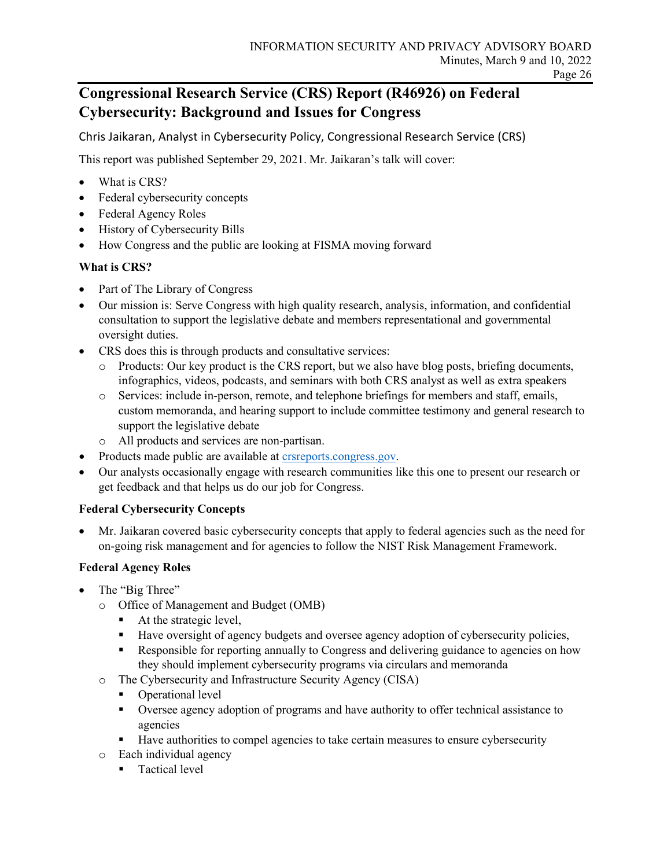## **Congressional Research Service (CRS) Report (R46926) on Federal Cybersecurity: Background and Issues for Congress**

Chris Jaikaran, Analyst in Cybersecurity Policy, Congressional Research Service (CRS)

This report was published September 29, 2021. Mr. Jaikaran's talk will cover:

- What is CRS?
- Federal cybersecurity concepts
- Federal Agency Roles
- History of Cybersecurity Bills
- How Congress and the public are looking at FISMA moving forward

## **What is CRS?**

- Part of The Library of Congress
- Our mission is: Serve Congress with high quality research, analysis, information, and confidential consultation to support the legislative debate and members representational and governmental oversight duties.
- CRS does this is through products and consultative services:
	- o Products: Our key product is the CRS report, but we also have blog posts, briefing documents, infographics, videos, podcasts, and seminars with both CRS analyst as well as extra speakers
	- o Services: include in-person, remote, and telephone briefings for members and staff, emails, custom memoranda, and hearing support to include committee testimony and general research to support the legislative debate
	- o All products and services are non-partisan.
- Products made public are available at [crsreports.congress.gov.](https://crsreports.congress.gov/)
- Our analysts occasionally engage with research communities like this one to present our research or get feedback and that helps us do our job for Congress.

## **Federal Cybersecurity Concepts**

• Mr. Jaikaran covered basic cybersecurity concepts that apply to federal agencies such as the need for on-going risk management and for agencies to follow the NIST Risk Management Framework.

## **Federal Agency Roles**

- The "Big Three"
	- o Office of Management and Budget (OMB)
		- At the strategic level,
		- Have oversight of agency budgets and oversee agency adoption of cybersecurity policies,
		- **Responsible for reporting annually to Congress and delivering guidance to agencies on how** they should implement cybersecurity programs via circulars and memoranda
	- o The Cybersecurity and Infrastructure Security Agency (CISA)
		- Operational level
		- Oversee agency adoption of programs and have authority to offer technical assistance to agencies
		- Have authorities to compel agencies to take certain measures to ensure cybersecurity
	- o Each individual agency
		- **Tactical level**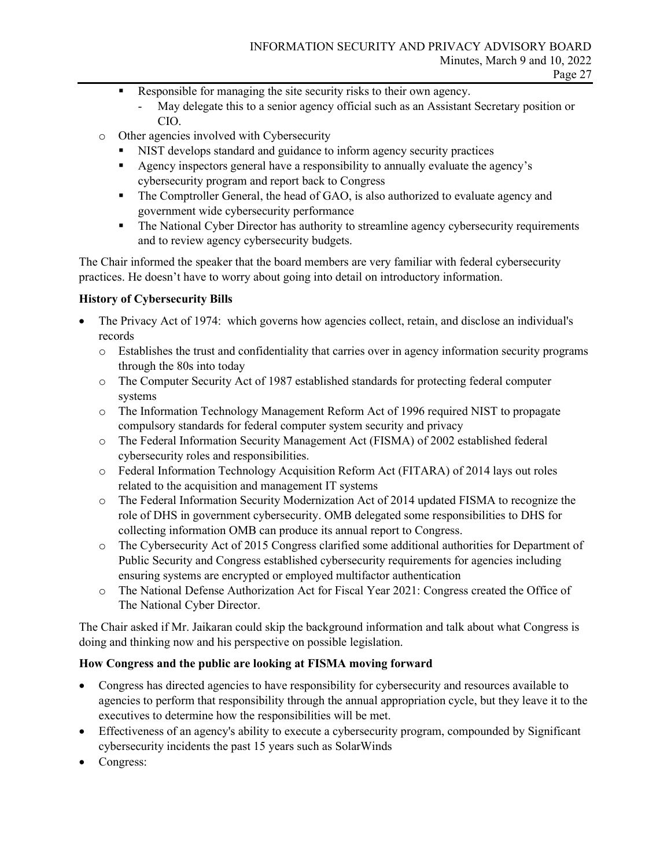- Responsible for managing the site security risks to their own agency.
	- May delegate this to a senior agency official such as an Assistant Secretary position or CIO.
- o Other agencies involved with Cybersecurity
	- NIST develops standard and guidance to inform agency security practices
	- Agency inspectors general have a responsibility to annually evaluate the agency's cybersecurity program and report back to Congress
	- The Comptroller General, the head of GAO, is also authorized to evaluate agency and government wide cybersecurity performance
	- The National Cyber Director has authority to streamline agency cybersecurity requirements and to review agency cybersecurity budgets.

The Chair informed the speaker that the board members are very familiar with federal cybersecurity practices. He doesn't have to worry about going into detail on introductory information.

#### **History of Cybersecurity Bills**

- The Privacy Act of 1974: which governs how agencies collect, retain, and disclose an individual's records
	- o Establishes the trust and confidentiality that carries over in agency information security programs through the 80s into today
	- o The Computer Security Act of 1987 established standards for protecting federal computer systems
	- o The Information Technology Management Reform Act of 1996 required NIST to propagate compulsory standards for federal computer system security and privacy
	- o The Federal Information Security Management Act (FISMA) of 2002 established federal cybersecurity roles and responsibilities.
	- o Federal Information Technology Acquisition Reform Act (FITARA) of 2014 lays out roles related to the acquisition and management IT systems
	- o The Federal Information Security Modernization Act of 2014 updated FISMA to recognize the role of DHS in government cybersecurity. OMB delegated some responsibilities to DHS for collecting information OMB can produce its annual report to Congress.
	- o The Cybersecurity Act of 2015 Congress clarified some additional authorities for Department of Public Security and Congress established cybersecurity requirements for agencies including ensuring systems are encrypted or employed multifactor authentication
	- o The National Defense Authorization Act for Fiscal Year 2021: Congress created the Office of The National Cyber Director.

The Chair asked if Mr. Jaikaran could skip the background information and talk about what Congress is doing and thinking now and his perspective on possible legislation.

## **How Congress and the public are looking at FISMA moving forward**

- Congress has directed agencies to have responsibility for cybersecurity and resources available to agencies to perform that responsibility through the annual appropriation cycle, but they leave it to the executives to determine how the responsibilities will be met.
- Effectiveness of an agency's ability to execute a cybersecurity program, compounded by Significant cybersecurity incidents the past 15 years such as SolarWinds
- Congress: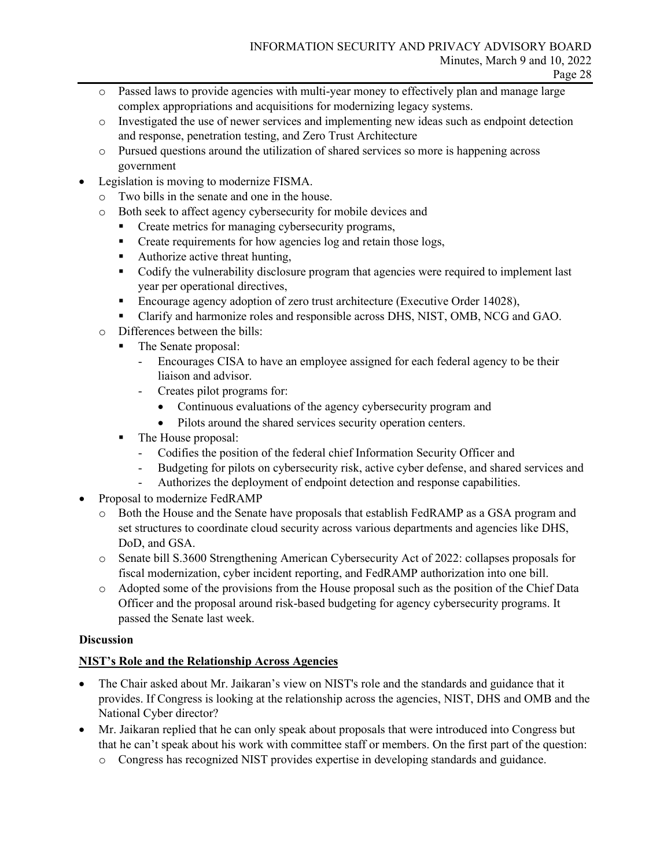- o Passed laws to provide agencies with multi-year money to effectively plan and manage large complex appropriations and acquisitions for modernizing legacy systems.
- o Investigated the use of newer services and implementing new ideas such as endpoint detection and response, penetration testing, and Zero Trust Architecture
- o Pursued questions around the utilization of shared services so more is happening across government
- Legislation is moving to modernize FISMA.
	- o Two bills in the senate and one in the house.
	- o Both seek to affect agency cybersecurity for mobile devices and
		- Create metrics for managing cybersecurity programs,
		- **Create requirements for how agencies log and retain those logs,**
		- Authorize active threat hunting,
		- Codify the vulnerability disclosure program that agencies were required to implement last year per operational directives,
		- **Encourage agency adoption of zero trust architecture (Executive Order 14028),**
		- Clarify and harmonize roles and responsible across DHS, NIST, OMB, NCG and GAO.
	- o Differences between the bills:
		- The Senate proposal:
			- Encourages CISA to have an employee assigned for each federal agency to be their liaison and advisor.
				- Creates pilot programs for:
					- Continuous evaluations of the agency cybersecurity program and
					- Pilots around the shared services security operation centers.
		- The House proposal:
			- Codifies the position of the federal chief Information Security Officer and
			- Budgeting for pilots on cybersecurity risk, active cyber defense, and shared services and
			- Authorizes the deployment of endpoint detection and response capabilities.
- Proposal to modernize FedRAMP
	- o Both the House and the Senate have proposals that establish FedRAMP as a GSA program and set structures to coordinate cloud security across various departments and agencies like DHS, DoD, and GSA.
	- o Senate bill S.3600 Strengthening American Cybersecurity Act of 2022: collapses proposals for fiscal modernization, cyber incident reporting, and FedRAMP authorization into one bill.
	- o Adopted some of the provisions from the House proposal such as the position of the Chief Data Officer and the proposal around risk-based budgeting for agency cybersecurity programs. It passed the Senate last week.

## **Discussion**

## **NIST's Role and the Relationship Across Agencies**

- The Chair asked about Mr. Jaikaran's view on NIST's role and the standards and guidance that it provides. If Congress is looking at the relationship across the agencies, NIST, DHS and OMB and the National Cyber director?
- Mr. Jaikaran replied that he can only speak about proposals that were introduced into Congress but that he can't speak about his work with committee staff or members. On the first part of the question:
	- o Congress has recognized NIST provides expertise in developing standards and guidance.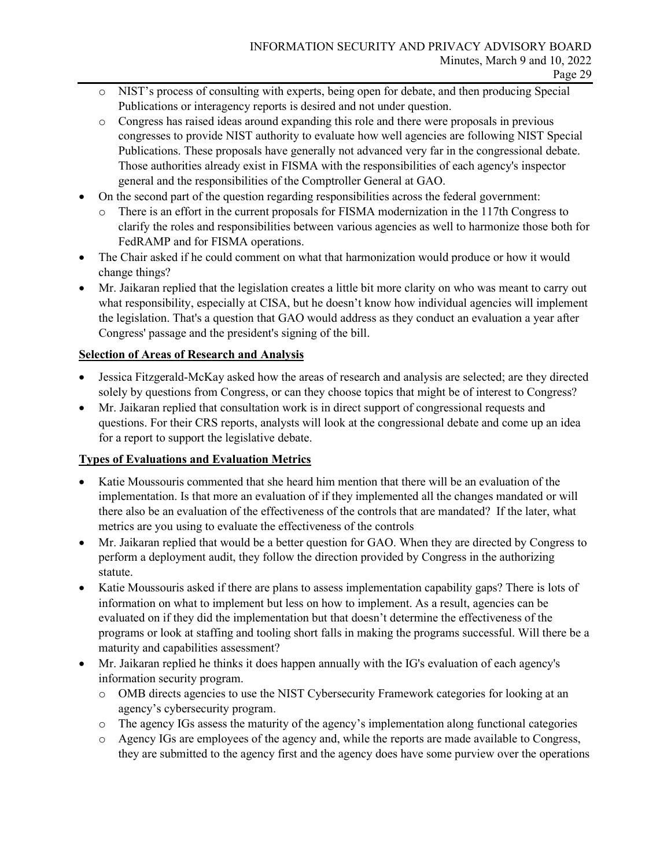- o NIST's process of consulting with experts, being open for debate, and then producing Special Publications or interagency reports is desired and not under question.
- o Congress has raised ideas around expanding this role and there were proposals in previous congresses to provide NIST authority to evaluate how well agencies are following NIST Special Publications. These proposals have generally not advanced very far in the congressional debate. Those authorities already exist in FISMA with the responsibilities of each agency's inspector general and the responsibilities of the Comptroller General at GAO.
- On the second part of the question regarding responsibilities across the federal government:
	- o There is an effort in the current proposals for FISMA modernization in the 117th Congress to clarify the roles and responsibilities between various agencies as well to harmonize those both for FedRAMP and for FISMA operations.
- The Chair asked if he could comment on what that harmonization would produce or how it would change things?
- Mr. Jaikaran replied that the legislation creates a little bit more clarity on who was meant to carry out what responsibility, especially at CISA, but he doesn't know how individual agencies will implement the legislation. That's a question that GAO would address as they conduct an evaluation a year after Congress' passage and the president's signing of the bill.

## **Selection of Areas of Research and Analysis**

- Jessica Fitzgerald-McKay asked how the areas of research and analysis are selected; are they directed solely by questions from Congress, or can they choose topics that might be of interest to Congress?
- Mr. Jaikaran replied that consultation work is in direct support of congressional requests and questions. For their CRS reports, analysts will look at the congressional debate and come up an idea for a report to support the legislative debate.

## **Types of Evaluations and Evaluation Metrics**

- Katie Moussouris commented that she heard him mention that there will be an evaluation of the implementation. Is that more an evaluation of if they implemented all the changes mandated or will there also be an evaluation of the effectiveness of the controls that are mandated? If the later, what metrics are you using to evaluate the effectiveness of the controls
- Mr. Jaikaran replied that would be a better question for GAO. When they are directed by Congress to perform a deployment audit, they follow the direction provided by Congress in the authorizing statute.
- Katie Moussouris asked if there are plans to assess implementation capability gaps? There is lots of information on what to implement but less on how to implement. As a result, agencies can be evaluated on if they did the implementation but that doesn't determine the effectiveness of the programs or look at staffing and tooling short falls in making the programs successful. Will there be a maturity and capabilities assessment?
- Mr. Jaikaran replied he thinks it does happen annually with the IG's evaluation of each agency's information security program.
	- o OMB directs agencies to use the NIST Cybersecurity Framework categories for looking at an agency's cybersecurity program.
	- o The agency IGs assess the maturity of the agency's implementation along functional categories
	- o Agency IGs are employees of the agency and, while the reports are made available to Congress, they are submitted to the agency first and the agency does have some purview over the operations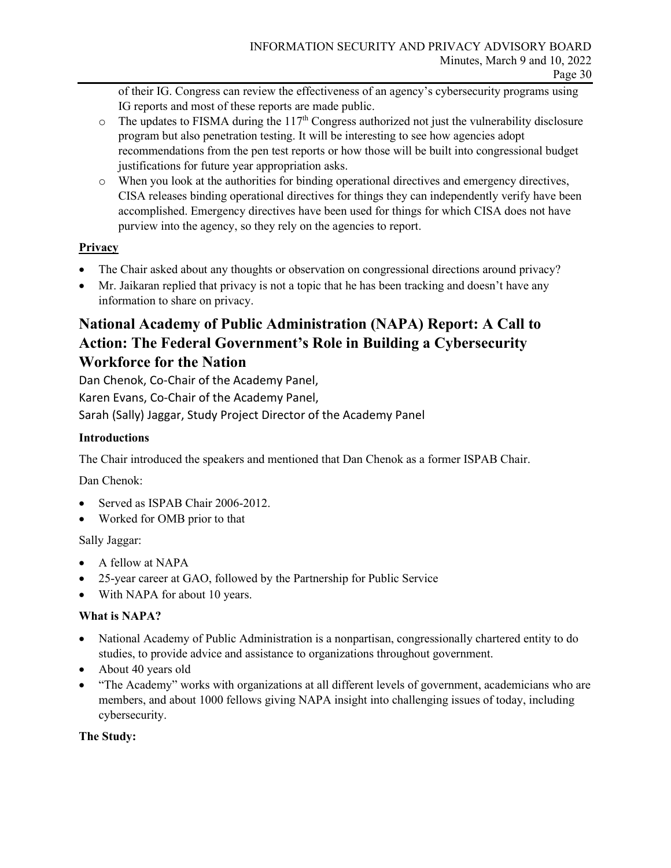of their IG. Congress can review the effectiveness of an agency's cybersecurity programs using IG reports and most of these reports are made public.

- $\circ$  The updates to FISMA during the 117<sup>th</sup> Congress authorized not just the vulnerability disclosure program but also penetration testing. It will be interesting to see how agencies adopt recommendations from the pen test reports or how those will be built into congressional budget justifications for future year appropriation asks.
- o When you look at the authorities for binding operational directives and emergency directives, CISA releases binding operational directives for things they can independently verify have been accomplished. Emergency directives have been used for things for which CISA does not have purview into the agency, so they rely on the agencies to report.

## **Privacy**

- The Chair asked about any thoughts or observation on congressional directions around privacy?
- Mr. Jaikaran replied that privacy is not a topic that he has been tracking and doesn't have any information to share on privacy.

## **National Academy of Public Administration (NAPA) Report: A Call to Action: The Federal Government's Role in Building a Cybersecurity Workforce for the Nation**

Dan Chenok, Co-Chair of the Academy Panel,

Karen Evans, Co-Chair of the Academy Panel,

Sarah (Sally) Jaggar, Study Project Director of the Academy Panel

## **Introductions**

The Chair introduced the speakers and mentioned that Dan Chenok as a former ISPAB Chair.

Dan Chenok:

- Served as ISPAB Chair 2006-2012.
- Worked for OMB prior to that

Sally Jaggar:

- A fellow at NAPA
- 25-year career at GAO, followed by the Partnership for Public Service
- With NAPA for about 10 years.

## **What is NAPA?**

- National Academy of Public Administration is a nonpartisan, congressionally chartered entity to do studies, to provide advice and assistance to organizations throughout government.
- About 40 years old
- "The Academy" works with organizations at all different levels of government, academicians who are members, and about 1000 fellows giving NAPA insight into challenging issues of today, including cybersecurity.

## **The Study:**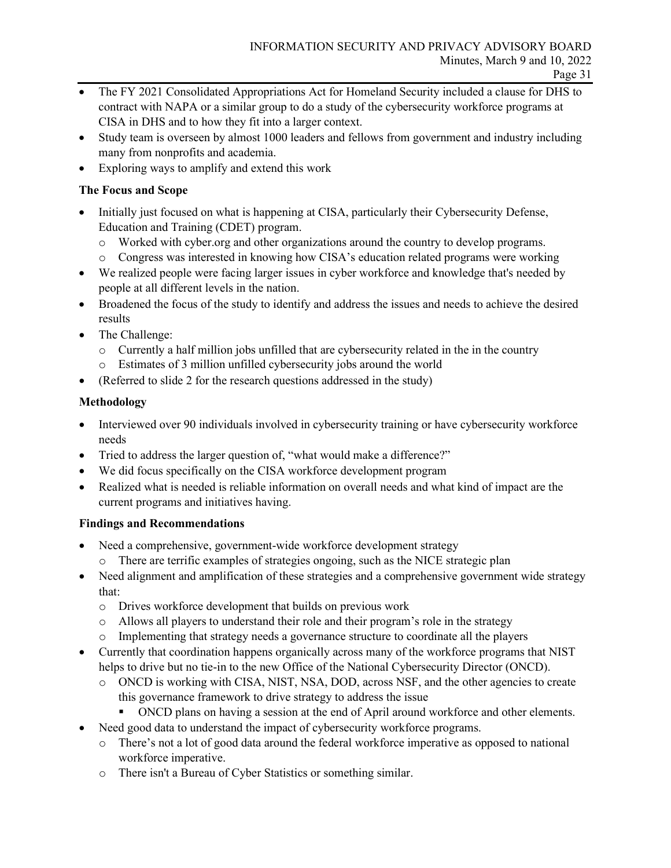- The FY 2021 Consolidated Appropriations Act for Homeland Security included a clause for DHS to contract with NAPA or a similar group to do a study of the cybersecurity workforce programs at CISA in DHS and to how they fit into a larger context.
- Study team is overseen by almost 1000 leaders and fellows from government and industry including many from nonprofits and academia.
- Exploring ways to amplify and extend this work

## **The Focus and Scope**

- Initially just focused on what is happening at CISA, particularly their Cybersecurity Defense, Education and Training (CDET) program.
	- o Worked with cyber.org and other organizations around the country to develop programs.
	- o Congress was interested in knowing how CISA's education related programs were working
- We realized people were facing larger issues in cyber workforce and knowledge that's needed by people at all different levels in the nation.
- Broadened the focus of the study to identify and address the issues and needs to achieve the desired results
- The Challenge:
	- $\circ$  Currently a half million jobs unfilled that are cybersecurity related in the in the country
	- o Estimates of 3 million unfilled cybersecurity jobs around the world
- (Referred to slide 2 for the research questions addressed in the study)

## **Methodology**

- Interviewed over 90 individuals involved in cybersecurity training or have cybersecurity workforce needs
- Tried to address the larger question of, "what would make a difference?"
- We did focus specifically on the CISA workforce development program
- Realized what is needed is reliable information on overall needs and what kind of impact are the current programs and initiatives having.

## **Findings and Recommendations**

- Need a comprehensive, government-wide workforce development strategy
	- o There are terrific examples of strategies ongoing, such as the NICE strategic plan
- Need alignment and amplification of these strategies and a comprehensive government wide strategy that:
	- o Drives workforce development that builds on previous work
	- o Allows all players to understand their role and their program's role in the strategy
	- o Implementing that strategy needs a governance structure to coordinate all the players
- Currently that coordination happens organically across many of the workforce programs that NIST helps to drive but no tie-in to the new Office of the National Cybersecurity Director (ONCD).
	- o ONCD is working with CISA, NIST, NSA, DOD, across NSF, and the other agencies to create this governance framework to drive strategy to address the issue
		- ONCD plans on having a session at the end of April around workforce and other elements.
- Need good data to understand the impact of cybersecurity workforce programs.
	- o There's not a lot of good data around the federal workforce imperative as opposed to national workforce imperative.
	- o There isn't a Bureau of Cyber Statistics or something similar.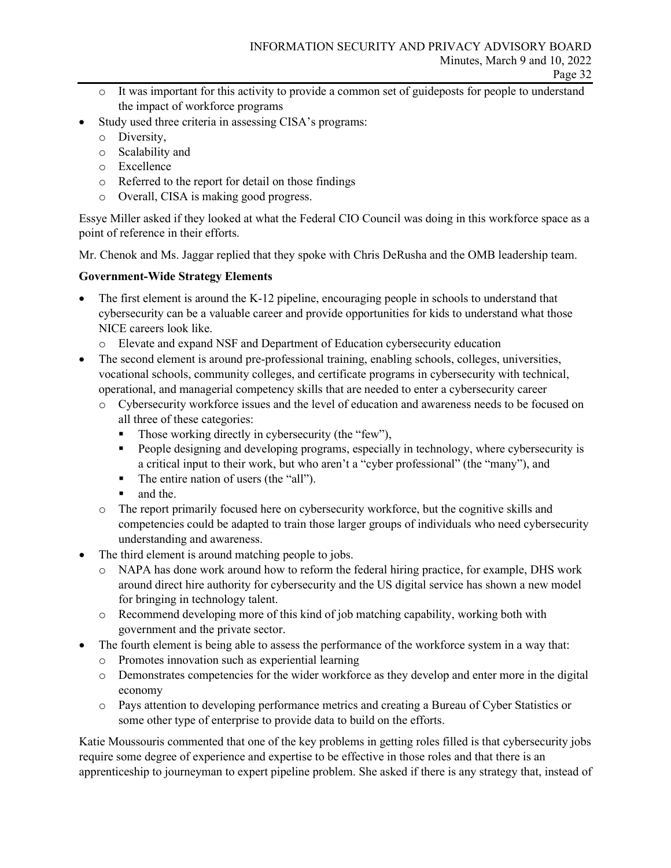- o It was important for this activity to provide a common set of guideposts for people to understand the impact of workforce programs
- Study used three criteria in assessing CISA's programs:
	- o Diversity,
	- o Scalability and
	- o Excellence
	- o Referred to the report for detail on those findings
	- o Overall, CISA is making good progress.

Essye Miller asked if they looked at what the Federal CIO Council was doing in this workforce space as a point of reference in their efforts.

Mr. Chenok and Ms. Jaggar replied that they spoke with Chris DeRusha and the OMB leadership team.

## **Government-Wide Strategy Elements**

- The first element is around the K-12 pipeline, encouraging people in schools to understand that cybersecurity can be a valuable career and provide opportunities for kids to understand what those NICE careers look like.
	- o Elevate and expand NSF and Department of Education cybersecurity education
- The second element is around pre-professional training, enabling schools, colleges, universities, vocational schools, community colleges, and certificate programs in cybersecurity with technical, operational, and managerial competency skills that are needed to enter a cybersecurity career
	- o Cybersecurity workforce issues and the level of education and awareness needs to be focused on all three of these categories:
		- Those working directly in cybersecurity (the "few"),
		- People designing and developing programs, especially in technology, where cybersecurity is a critical input to their work, but who aren't a "cyber professional" (the "many"), and
		- The entire nation of users (the "all").
		- **and the.**
	- o The report primarily focused here on cybersecurity workforce, but the cognitive skills and competencies could be adapted to train those larger groups of individuals who need cybersecurity understanding and awareness.
- The third element is around matching people to jobs.
	- o NAPA has done work around how to reform the federal hiring practice, for example, DHS work around direct hire authority for cybersecurity and the US digital service has shown a new model for bringing in technology talent.
	- o Recommend developing more of this kind of job matching capability, working both with government and the private sector.
	- The fourth element is being able to assess the performance of the workforce system in a way that:
	- o Promotes innovation such as experiential learning
	- o Demonstrates competencies for the wider workforce as they develop and enter more in the digital economy
	- o Pays attention to developing performance metrics and creating a Bureau of Cyber Statistics or some other type of enterprise to provide data to build on the efforts.

Katie Moussouris commented that one of the key problems in getting roles filled is that cybersecurity jobs require some degree of experience and expertise to be effective in those roles and that there is an apprenticeship to journeyman to expert pipeline problem. She asked if there is any strategy that, instead of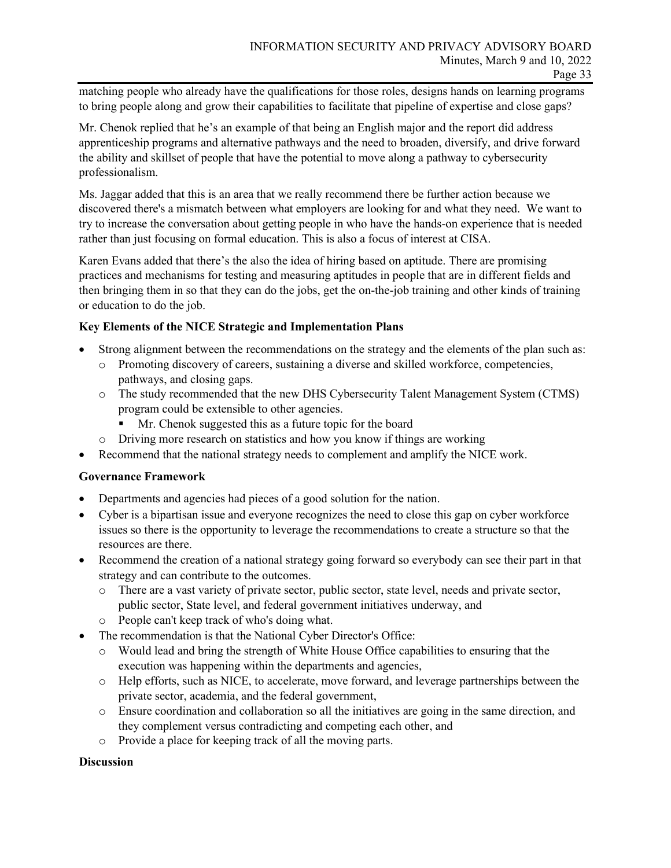matching people who already have the qualifications for those roles, designs hands on learning programs to bring people along and grow their capabilities to facilitate that pipeline of expertise and close gaps?

Mr. Chenok replied that he's an example of that being an English major and the report did address apprenticeship programs and alternative pathways and the need to broaden, diversify, and drive forward the ability and skillset of people that have the potential to move along a pathway to cybersecurity professionalism.

Ms. Jaggar added that this is an area that we really recommend there be further action because we discovered there's a mismatch between what employers are looking for and what they need. We want to try to increase the conversation about getting people in who have the hands-on experience that is needed rather than just focusing on formal education. This is also a focus of interest at CISA.

Karen Evans added that there's the also the idea of hiring based on aptitude. There are promising practices and mechanisms for testing and measuring aptitudes in people that are in different fields and then bringing them in so that they can do the jobs, get the on-the-job training and other kinds of training or education to do the job.

#### **Key Elements of the NICE Strategic and Implementation Plans**

- Strong alignment between the recommendations on the strategy and the elements of the plan such as:
	- o Promoting discovery of careers, sustaining a diverse and skilled workforce, competencies, pathways, and closing gaps.
	- o The study recommended that the new DHS Cybersecurity Talent Management System (CTMS) program could be extensible to other agencies.
		- Mr. Chenok suggested this as a future topic for the board
	- o Driving more research on statistics and how you know if things are working
- Recommend that the national strategy needs to complement and amplify the NICE work.

#### **Governance Framework**

- Departments and agencies had pieces of a good solution for the nation.
- Cyber is a bipartisan issue and everyone recognizes the need to close this gap on cyber workforce issues so there is the opportunity to leverage the recommendations to create a structure so that the resources are there.
- Recommend the creation of a national strategy going forward so everybody can see their part in that strategy and can contribute to the outcomes.
	- o There are a vast variety of private sector, public sector, state level, needs and private sector, public sector, State level, and federal government initiatives underway, and
	- o People can't keep track of who's doing what.
- The recommendation is that the National Cyber Director's Office:
	- o Would lead and bring the strength of White House Office capabilities to ensuring that the execution was happening within the departments and agencies,
	- o Help efforts, such as NICE, to accelerate, move forward, and leverage partnerships between the private sector, academia, and the federal government,
	- o Ensure coordination and collaboration so all the initiatives are going in the same direction, and they complement versus contradicting and competing each other, and
	- o Provide a place for keeping track of all the moving parts.

#### **Discussion**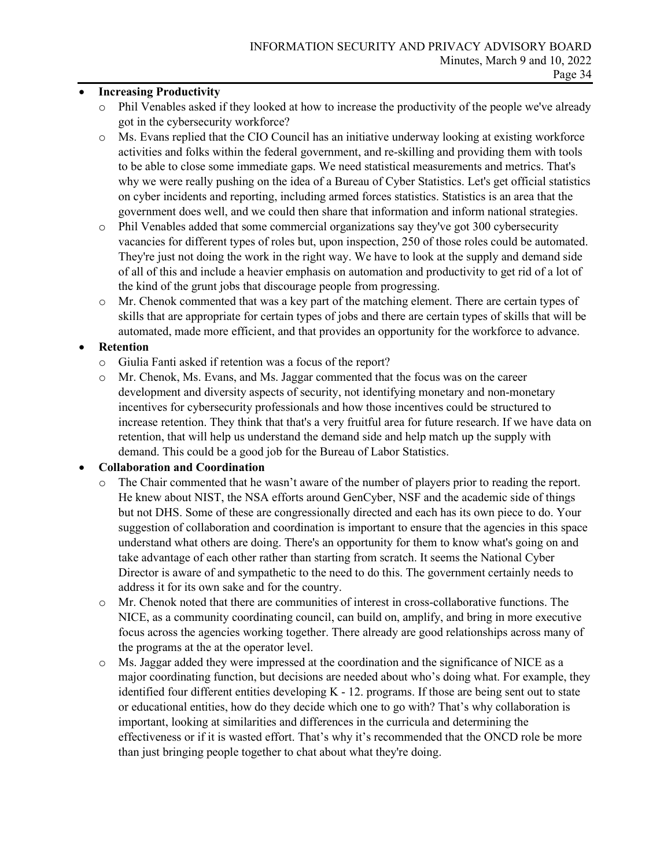#### • **Increasing Productivity**

- o Phil Venables asked if they looked at how to increase the productivity of the people we've already got in the cybersecurity workforce?
- o Ms. Evans replied that the CIO Council has an initiative underway looking at existing workforce activities and folks within the federal government, and re-skilling and providing them with tools to be able to close some immediate gaps. We need statistical measurements and metrics. That's why we were really pushing on the idea of a Bureau of Cyber Statistics. Let's get official statistics on cyber incidents and reporting, including armed forces statistics. Statistics is an area that the government does well, and we could then share that information and inform national strategies.
- o Phil Venables added that some commercial organizations say they've got 300 cybersecurity vacancies for different types of roles but, upon inspection, 250 of those roles could be automated. They're just not doing the work in the right way. We have to look at the supply and demand side of all of this and include a heavier emphasis on automation and productivity to get rid of a lot of the kind of the grunt jobs that discourage people from progressing.
- o Mr. Chenok commented that was a key part of the matching element. There are certain types of skills that are appropriate for certain types of jobs and there are certain types of skills that will be automated, made more efficient, and that provides an opportunity for the workforce to advance.

## • **Retention**

- o Giulia Fanti asked if retention was a focus of the report?
- o Mr. Chenok, Ms. Evans, and Ms. Jaggar commented that the focus was on the career development and diversity aspects of security, not identifying monetary and non-monetary incentives for cybersecurity professionals and how those incentives could be structured to increase retention. They think that that's a very fruitful area for future research. If we have data on retention, that will help us understand the demand side and help match up the supply with demand. This could be a good job for the Bureau of Labor Statistics.

## • **Collaboration and Coordination**

- The Chair commented that he wasn't aware of the number of players prior to reading the report. He knew about NIST, the NSA efforts around GenCyber, NSF and the academic side of things but not DHS. Some of these are congressionally directed and each has its own piece to do. Your suggestion of collaboration and coordination is important to ensure that the agencies in this space understand what others are doing. There's an opportunity for them to know what's going on and take advantage of each other rather than starting from scratch. It seems the National Cyber Director is aware of and sympathetic to the need to do this. The government certainly needs to address it for its own sake and for the country.
- o Mr. Chenok noted that there are communities of interest in cross-collaborative functions. The NICE, as a community coordinating council, can build on, amplify, and bring in more executive focus across the agencies working together. There already are good relationships across many of the programs at the at the operator level.
- o Ms. Jaggar added they were impressed at the coordination and the significance of NICE as a major coordinating function, but decisions are needed about who's doing what. For example, they identified four different entities developing  $K - 12$ . programs. If those are being sent out to state or educational entities, how do they decide which one to go with? That's why collaboration is important, looking at similarities and differences in the curricula and determining the effectiveness or if it is wasted effort. That's why it's recommended that the ONCD role be more than just bringing people together to chat about what they're doing.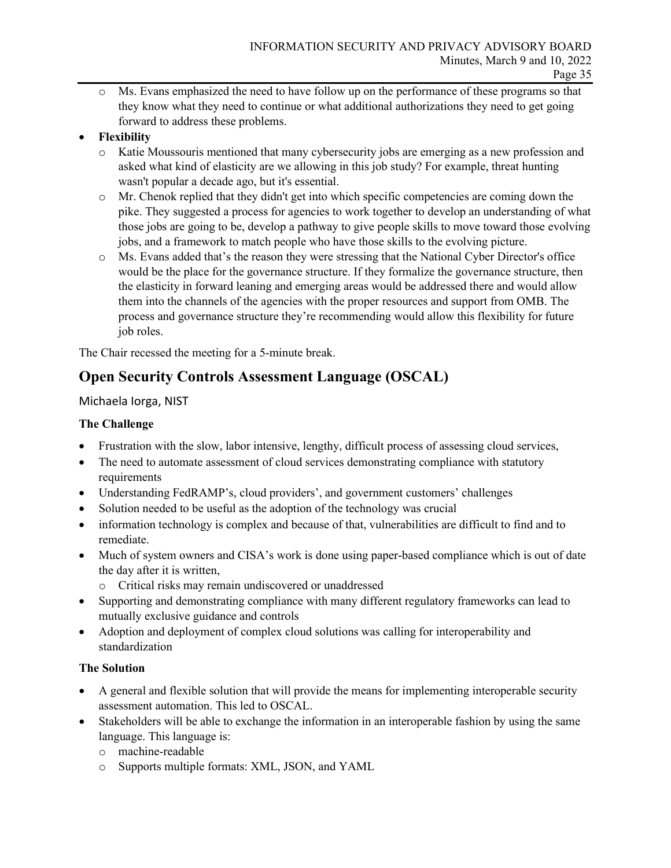o Ms. Evans emphasized the need to have follow up on the performance of these programs so that they know what they need to continue or what additional authorizations they need to get going forward to address these problems.

## • **Flexibility**

- o Katie Moussouris mentioned that many cybersecurity jobs are emerging as a new profession and asked what kind of elasticity are we allowing in this job study? For example, threat hunting wasn't popular a decade ago, but it's essential.
- o Mr. Chenok replied that they didn't get into which specific competencies are coming down the pike. They suggested a process for agencies to work together to develop an understanding of what those jobs are going to be, develop a pathway to give people skills to move toward those evolving jobs, and a framework to match people who have those skills to the evolving picture.
- o Ms. Evans added that's the reason they were stressing that the National Cyber Director's office would be the place for the governance structure. If they formalize the governance structure, then the elasticity in forward leaning and emerging areas would be addressed there and would allow them into the channels of the agencies with the proper resources and support from OMB. The process and governance structure they're recommending would allow this flexibility for future job roles.

The Chair recessed the meeting for a 5-minute break.

## **Open Security Controls Assessment Language (OSCAL)**

## Michaela Iorga, NIST

## **The Challenge**

- Frustration with the slow, labor intensive, lengthy, difficult process of assessing cloud services,
- The need to automate assessment of cloud services demonstrating compliance with statutory requirements
- Understanding FedRAMP's, cloud providers', and government customers' challenges
- Solution needed to be useful as the adoption of the technology was crucial
- information technology is complex and because of that, vulnerabilities are difficult to find and to remediate.
- Much of system owners and CISA's work is done using paper-based compliance which is out of date the day after it is written,
	- o Critical risks may remain undiscovered or unaddressed
- Supporting and demonstrating compliance with many different regulatory frameworks can lead to mutually exclusive guidance and controls
- Adoption and deployment of complex cloud solutions was calling for interoperability and standardization

## **The Solution**

- A general and flexible solution that will provide the means for implementing interoperable security assessment automation. This led to OSCAL.
- Stakeholders will be able to exchange the information in an interoperable fashion by using the same language. This language is:
	- o machine-readable
	- o Supports multiple formats: XML, JSON, and YAML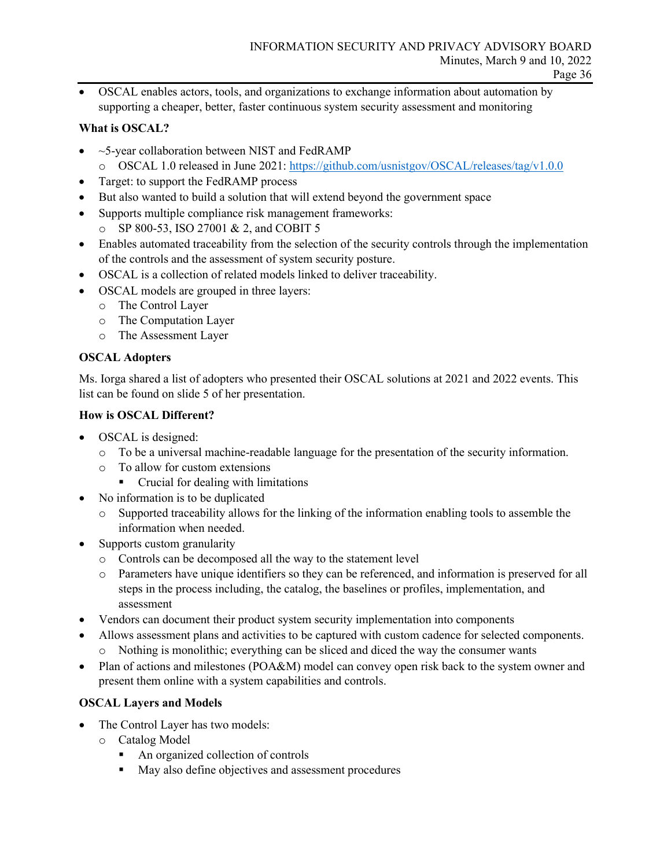• OSCAL enables actors, tools, and organizations to exchange information about automation by supporting a cheaper, better, faster continuous system security assessment and monitoring

#### **What is OSCAL?**

- $\bullet$  ~5-year collaboration between NIST and FedRAMP
	- o OSCAL 1.0 released in June 2021:<https://github.com/usnistgov/OSCAL/releases/tag/v1.0.0>
- Target: to support the FedRAMP process
- But also wanted to build a solution that will extend beyond the government space
- Supports multiple compliance risk management frameworks:
- o SP 800-53, ISO 27001 & 2, and COBIT 5
- Enables automated traceability from the selection of the security controls through the implementation of the controls and the assessment of system security posture.
- OSCAL is a collection of related models linked to deliver traceability.
- OSCAL models are grouped in three layers:
	- o The Control Layer
	- o The Computation Layer
	- o The Assessment Layer

#### **OSCAL Adopters**

Ms. Iorga shared a list of adopters who presented their OSCAL solutions at 2021 and 2022 events. This list can be found on slide 5 of her presentation.

#### **How is OSCAL Different?**

- OSCAL is designed:
	- o To be a universal machine-readable language for the presentation of the security information.
	- o To allow for custom extensions
		- Crucial for dealing with limitations
- No information is to be duplicated
	- o Supported traceability allows for the linking of the information enabling tools to assemble the information when needed.
- Supports custom granularity
	- o Controls can be decomposed all the way to the statement level
	- o Parameters have unique identifiers so they can be referenced, and information is preserved for all steps in the process including, the catalog, the baselines or profiles, implementation, and assessment
- Vendors can document their product system security implementation into components
- Allows assessment plans and activities to be captured with custom cadence for selected components. o Nothing is monolithic; everything can be sliced and diced the way the consumer wants
- Plan of actions and milestones (POA&M) model can convey open risk back to the system owner and present them online with a system capabilities and controls.

## **OSCAL Layers and Models**

- The Control Layer has two models:
	- o Catalog Model
		- An organized collection of controls
		- May also define objectives and assessment procedures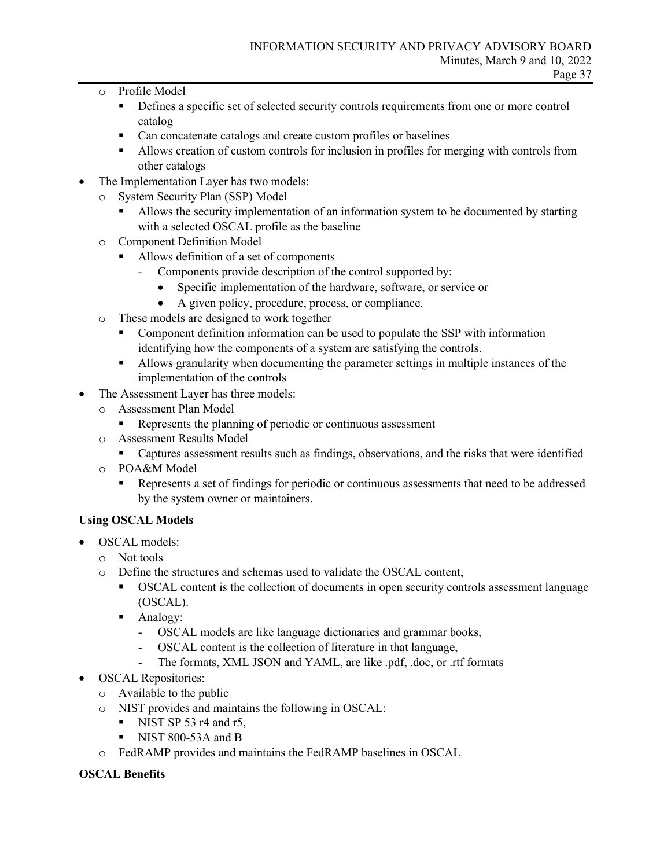- o Profile Model
	- **PERIOR 2** Defines a specific set of selected security controls requirements from one or more control catalog
	- Can concatenate catalogs and create custom profiles or baselines
	- Allows creation of custom controls for inclusion in profiles for merging with controls from other catalogs
- The Implementation Layer has two models:
	- o System Security Plan (SSP) Model
		- Allows the security implementation of an information system to be documented by starting with a selected OSCAL profile as the baseline
	- o Component Definition Model
		- Allows definition of a set of components
			- Components provide description of the control supported by:
				- Specific implementation of the hardware, software, or service or
				- A given policy, procedure, process, or compliance.
	- o These models are designed to work together
		- Component definition information can be used to populate the SSP with information identifying how the components of a system are satisfying the controls.
		- Allows granularity when documenting the parameter settings in multiple instances of the implementation of the controls
- The Assessment Layer has three models:
	- o Assessment Plan Model
		- Represents the planning of periodic or continuous assessment
	- o Assessment Results Model
		- Captures assessment results such as findings, observations, and the risks that were identified
	- o POA&M Model
		- Represents a set of findings for periodic or continuous assessments that need to be addressed by the system owner or maintainers.

## **Using OSCAL Models**

- OSCAL models:
	- o Not tools
	- o Define the structures and schemas used to validate the OSCAL content,
		- OSCAL content is the collection of documents in open security controls assessment language (OSCAL).
		- **Analogy:** 
			- OSCAL models are like language dictionaries and grammar books,
			- OSCAL content is the collection of literature in that language,
			- The formats, XML JSON and YAML, are like .pdf, .doc, or .rtf formats
- OSCAL Repositories:
	- o Available to the public
	- o NIST provides and maintains the following in OSCAL:
		- NIST SP 53 r4 and r5,
		- NIST 800-53A and B
	- o FedRAMP provides and maintains the FedRAMP baselines in OSCAL

## **OSCAL Benefits**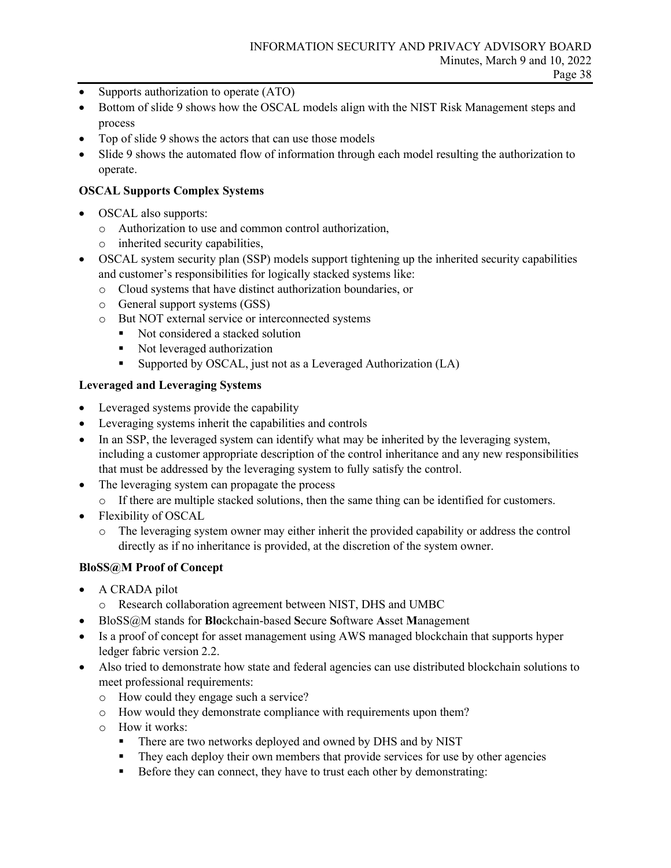- Supports authorization to operate (ATO)
- Bottom of slide 9 shows how the OSCAL models align with the NIST Risk Management steps and process
- Top of slide 9 shows the actors that can use those models
- Slide 9 shows the automated flow of information through each model resulting the authorization to operate.

#### **OSCAL Supports Complex Systems**

- OSCAL also supports:
	- o Authorization to use and common control authorization,
	- o inherited security capabilities,
- OSCAL system security plan (SSP) models support tightening up the inherited security capabilities and customer's responsibilities for logically stacked systems like:
	- o Cloud systems that have distinct authorization boundaries, or
	- o General support systems (GSS)
	- o But NOT external service or interconnected systems
		- Not considered a stacked solution
		- Not leveraged authorization
		- Supported by OSCAL, just not as a Leveraged Authorization (LA)

#### **Leveraged and Leveraging Systems**

- Leveraged systems provide the capability
- Leveraging systems inherit the capabilities and controls
- In an SSP, the leveraged system can identify what may be inherited by the leveraging system, including a customer appropriate description of the control inheritance and any new responsibilities that must be addressed by the leveraging system to fully satisfy the control.
- The leveraging system can propagate the process
	- o If there are multiple stacked solutions, then the same thing can be identified for customers.
- Flexibility of OSCAL
	- o The leveraging system owner may either inherit the provided capability or address the control directly as if no inheritance is provided, at the discretion of the system owner.

#### **BloSS@M Proof of Concept**

- A CRADA pilot
	- o Research collaboration agreement between NIST, DHS and UMBC
- BloSS@M stands for **Blo**ckchain-based **S**ecure **S**oftware **A**sset **M**anagement
- Is a proof of concept for asset management using AWS managed blockchain that supports hyper ledger fabric version 2.2.
- Also tried to demonstrate how state and federal agencies can use distributed blockchain solutions to meet professional requirements:
	- o How could they engage such a service?
	- o How would they demonstrate compliance with requirements upon them?
	- o How it works:
		- There are two networks deployed and owned by DHS and by NIST
		- **They each deploy their own members that provide services for use by other agencies**
		- Before they can connect, they have to trust each other by demonstrating: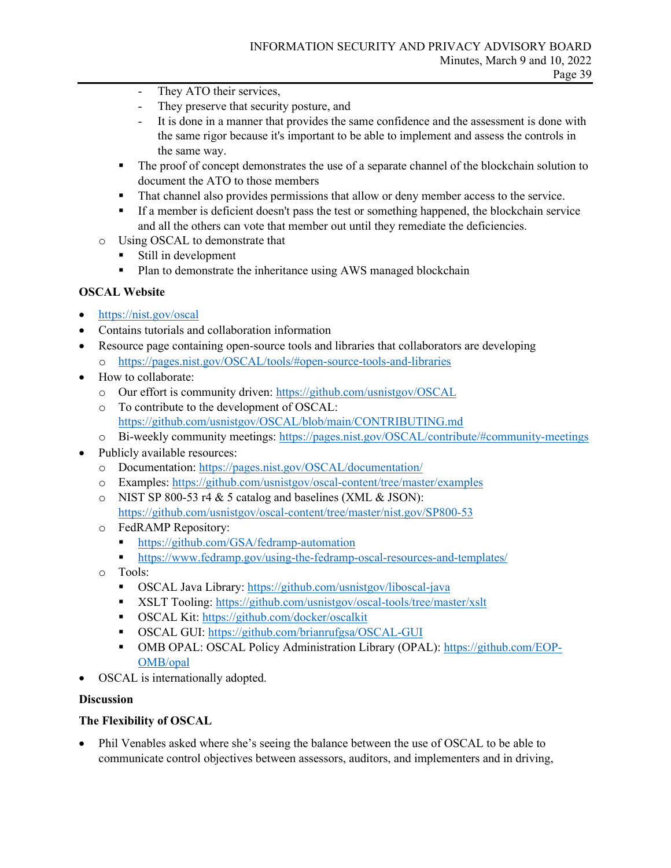- They ATO their services,
- They preserve that security posture, and
- It is done in a manner that provides the same confidence and the assessment is done with the same rigor because it's important to be able to implement and assess the controls in the same way.
- The proof of concept demonstrates the use of a separate channel of the blockchain solution to document the ATO to those members
- That channel also provides permissions that allow or deny member access to the service.
- If a member is deficient doesn't pass the test or something happened, the blockchain service and all the others can vote that member out until they remediate the deficiencies.
- o Using OSCAL to demonstrate that
	- Still in development
	- Plan to demonstrate the inheritance using AWS managed blockchain

## **OSCAL Website**

- <https://nist.gov/oscal>
- Contains tutorials and collaboration information
- Resource page containing open-source tools and libraries that collaborators are developing o <https://pages.nist.gov/OSCAL/tools/#open-source-tools-and-libraries>
- How to collaborate:
	- o Our effort is community driven:<https://github.com/usnistgov/OSCAL>
	- o To contribute to the development of OSCAL: <https://github.com/usnistgov/OSCAL/blob/main/CONTRIBUTING.md>
	- o Bi-weekly community meetings:<https://pages.nist.gov/OSCAL/contribute/#community-meetings>
- Publicly available resources:
	- o Documentation[: https://pages.nist.gov/OSCAL/documentation/](https://pages.nist.gov/OSCAL/documentation/)
	- o Examples:<https://github.com/usnistgov/oscal-content/tree/master/examples>
	- $\circ$  NIST SP 800-53 r4 & 5 catalog and baselines (XML & JSON): <https://github.com/usnistgov/oscal-content/tree/master/nist.gov/SP800-53>
	- o FedRAMP Repository:
		- https://github.com/GSA/fedramp-automation
		- <https://www.fedramp.gov/using-the-fedramp-oscal-resources-and-templates/>
	- o Tools:
		- OSCAL Java Library:<https://github.com/usnistgov/liboscal-java>
		- XSLT Tooling:<https://github.com/usnistgov/oscal-tools/tree/master/xslt>
		- OSCAL Kit:<https://github.com/docker/oscalkit>
		- **OSCAL GUI:**<https://github.com/brianrufgsa/OSCAL-GUI>
		- OMB OPAL: OSCAL Policy Administration Library (OPAL): [https://github.com/EOP-](https://github.com/EOP-OMB/opal)[OMB/opal](https://github.com/EOP-OMB/opal)
- OSCAL is internationally adopted.

#### **Discussion**

## **The Flexibility of OSCAL**

• Phil Venables asked where she's seeing the balance between the use of OSCAL to be able to communicate control objectives between assessors, auditors, and implementers and in driving,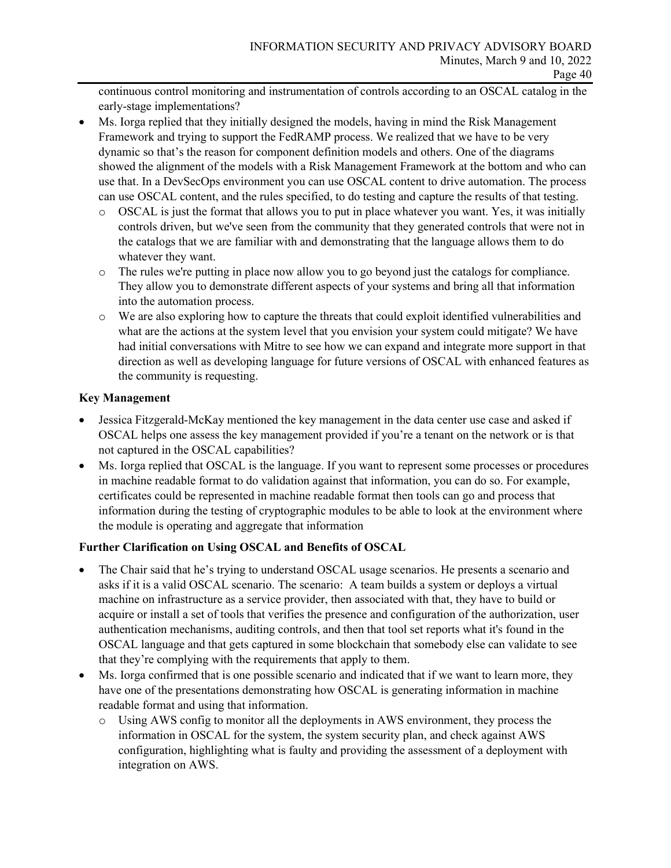continuous control monitoring and instrumentation of controls according to an OSCAL catalog in the early-stage implementations?

- Ms. Iorga replied that they initially designed the models, having in mind the Risk Management Framework and trying to support the FedRAMP process. We realized that we have to be very dynamic so that's the reason for component definition models and others. One of the diagrams showed the alignment of the models with a Risk Management Framework at the bottom and who can use that. In a DevSecOps environment you can use OSCAL content to drive automation. The process can use OSCAL content, and the rules specified, to do testing and capture the results of that testing.
	- o OSCAL is just the format that allows you to put in place whatever you want. Yes, it was initially controls driven, but we've seen from the community that they generated controls that were not in the catalogs that we are familiar with and demonstrating that the language allows them to do whatever they want.
	- o The rules we're putting in place now allow you to go beyond just the catalogs for compliance. They allow you to demonstrate different aspects of your systems and bring all that information into the automation process.
	- o We are also exploring how to capture the threats that could exploit identified vulnerabilities and what are the actions at the system level that you envision your system could mitigate? We have had initial conversations with Mitre to see how we can expand and integrate more support in that direction as well as developing language for future versions of OSCAL with enhanced features as the community is requesting.

## **Key Management**

- Jessica Fitzgerald-McKay mentioned the key management in the data center use case and asked if OSCAL helps one assess the key management provided if you're a tenant on the network or is that not captured in the OSCAL capabilities?
- Ms. Iorga replied that OSCAL is the language. If you want to represent some processes or procedures in machine readable format to do validation against that information, you can do so. For example, certificates could be represented in machine readable format then tools can go and process that information during the testing of cryptographic modules to be able to look at the environment where the module is operating and aggregate that information

## **Further Clarification on Using OSCAL and Benefits of OSCAL**

- The Chair said that he's trying to understand OSCAL usage scenarios. He presents a scenario and asks if it is a valid OSCAL scenario. The scenario: A team builds a system or deploys a virtual machine on infrastructure as a service provider, then associated with that, they have to build or acquire or install a set of tools that verifies the presence and configuration of the authorization, user authentication mechanisms, auditing controls, and then that tool set reports what it's found in the OSCAL language and that gets captured in some blockchain that somebody else can validate to see that they're complying with the requirements that apply to them.
- Ms. Iorga confirmed that is one possible scenario and indicated that if we want to learn more, they have one of the presentations demonstrating how OSCAL is generating information in machine readable format and using that information.
	- o Using AWS config to monitor all the deployments in AWS environment, they process the information in OSCAL for the system, the system security plan, and check against AWS configuration, highlighting what is faulty and providing the assessment of a deployment with integration on AWS.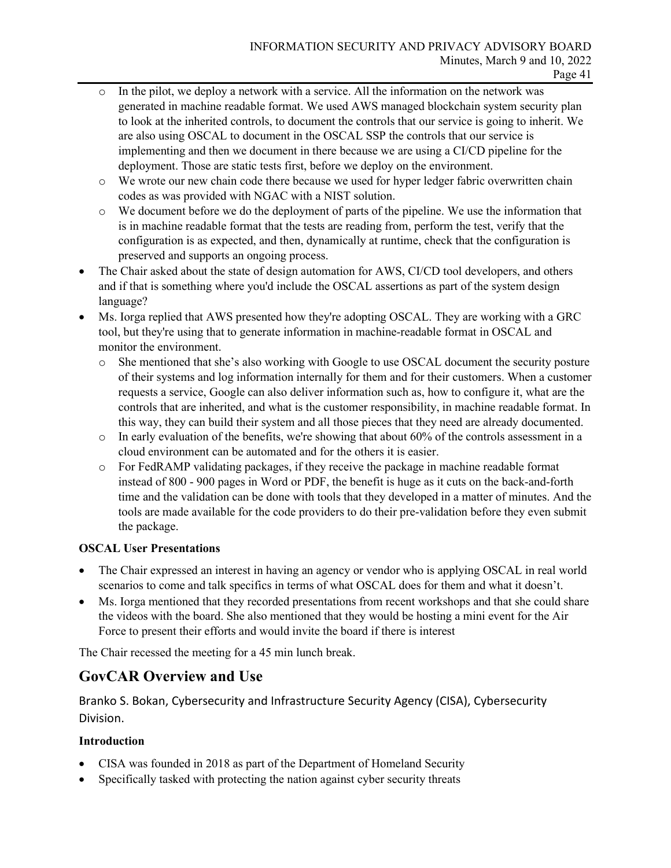- In the pilot, we deploy a network with a service. All the information on the network was generated in machine readable format. We used AWS managed blockchain system security plan to look at the inherited controls, to document the controls that our service is going to inherit. We are also using OSCAL to document in the OSCAL SSP the controls that our service is implementing and then we document in there because we are using a CI/CD pipeline for the deployment. Those are static tests first, before we deploy on the environment.
- o We wrote our new chain code there because we used for hyper ledger fabric overwritten chain codes as was provided with NGAC with a NIST solution.
- o We document before we do the deployment of parts of the pipeline. We use the information that is in machine readable format that the tests are reading from, perform the test, verify that the configuration is as expected, and then, dynamically at runtime, check that the configuration is preserved and supports an ongoing process.
- The Chair asked about the state of design automation for AWS, CI/CD tool developers, and others and if that is something where you'd include the OSCAL assertions as part of the system design language?
- Ms. Iorga replied that AWS presented how they're adopting OSCAL. They are working with a GRC tool, but they're using that to generate information in machine-readable format in OSCAL and monitor the environment.
	- o She mentioned that she's also working with Google to use OSCAL document the security posture of their systems and log information internally for them and for their customers. When a customer requests a service, Google can also deliver information such as, how to configure it, what are the controls that are inherited, and what is the customer responsibility, in machine readable format. In this way, they can build their system and all those pieces that they need are already documented.
	- $\circ$  In early evaluation of the benefits, we're showing that about 60% of the controls assessment in a cloud environment can be automated and for the others it is easier.
	- o For FedRAMP validating packages, if they receive the package in machine readable format instead of 800 - 900 pages in Word or PDF, the benefit is huge as it cuts on the back-and-forth time and the validation can be done with tools that they developed in a matter of minutes. And the tools are made available for the code providers to do their pre-validation before they even submit the package.

## **OSCAL User Presentations**

- The Chair expressed an interest in having an agency or vendor who is applying OSCAL in real world scenarios to come and talk specifics in terms of what OSCAL does for them and what it doesn't.
- Ms. Iorga mentioned that they recorded presentations from recent workshops and that she could share the videos with the board. She also mentioned that they would be hosting a mini event for the Air Force to present their efforts and would invite the board if there is interest

The Chair recessed the meeting for a 45 min lunch break.

## **GovCAR Overview and Use**

Branko S. Bokan, Cybersecurity and Infrastructure Security Agency (CISA), Cybersecurity Division.

## **Introduction**

- CISA was founded in 2018 as part of the Department of Homeland Security
- Specifically tasked with protecting the nation against cyber security threats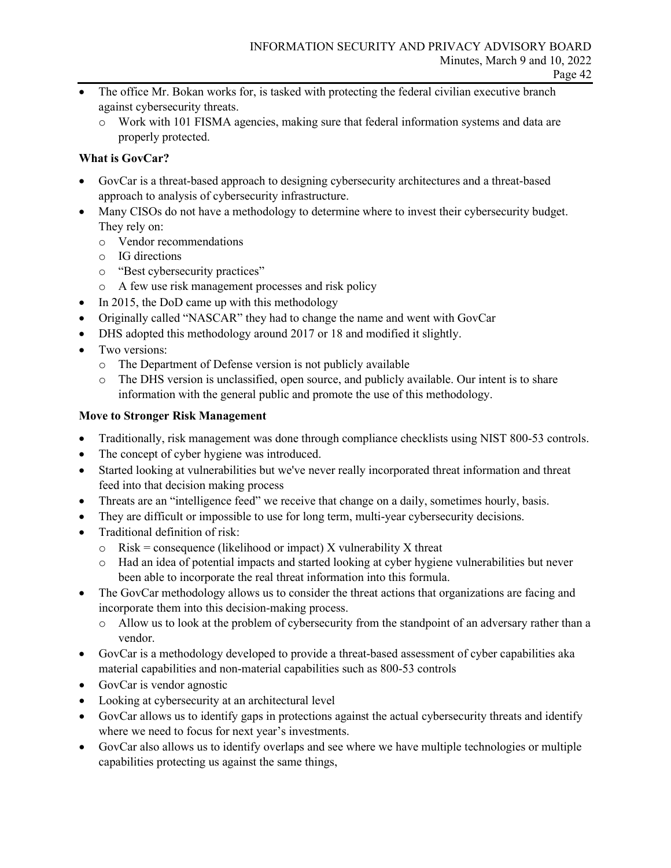- The office Mr. Bokan works for, is tasked with protecting the federal civilian executive branch against cybersecurity threats.
	- o Work with 101 FISMA agencies, making sure that federal information systems and data are properly protected.

## **What is GovCar?**

- GovCar is a threat-based approach to designing cybersecurity architectures and a threat-based approach to analysis of cybersecurity infrastructure.
- Many CISOs do not have a methodology to determine where to invest their cybersecurity budget. They rely on:
	- o Vendor recommendations
	- o IG directions
	- o "Best cybersecurity practices"
	- o A few use risk management processes and risk policy
- In 2015, the DoD came up with this methodology
- Originally called "NASCAR" they had to change the name and went with GovCar
- DHS adopted this methodology around 2017 or 18 and modified it slightly.
- Two versions:
	- o The Department of Defense version is not publicly available
	- o The DHS version is unclassified, open source, and publicly available. Our intent is to share information with the general public and promote the use of this methodology.

## **Move to Stronger Risk Management**

- Traditionally, risk management was done through compliance checklists using NIST 800-53 controls.
- The concept of cyber hygiene was introduced.
- Started looking at vulnerabilities but we've never really incorporated threat information and threat feed into that decision making process
- Threats are an "intelligence feed" we receive that change on a daily, sometimes hourly, basis.
- They are difficult or impossible to use for long term, multi-year cybersecurity decisions.
- Traditional definition of risk:
	- $\circ$  Risk = consequence (likelihood or impact) X vulnerability X threat
	- o Had an idea of potential impacts and started looking at cyber hygiene vulnerabilities but never been able to incorporate the real threat information into this formula.
- The GovCar methodology allows us to consider the threat actions that organizations are facing and incorporate them into this decision-making process.
	- o Allow us to look at the problem of cybersecurity from the standpoint of an adversary rather than a vendor.
- GovCar is a methodology developed to provide a threat-based assessment of cyber capabilities aka material capabilities and non-material capabilities such as 800-53 controls
- GovCar is vendor agnostic
- Looking at cybersecurity at an architectural level
- GovCar allows us to identify gaps in protections against the actual cybersecurity threats and identify where we need to focus for next year's investments.
- GovCar also allows us to identify overlaps and see where we have multiple technologies or multiple capabilities protecting us against the same things,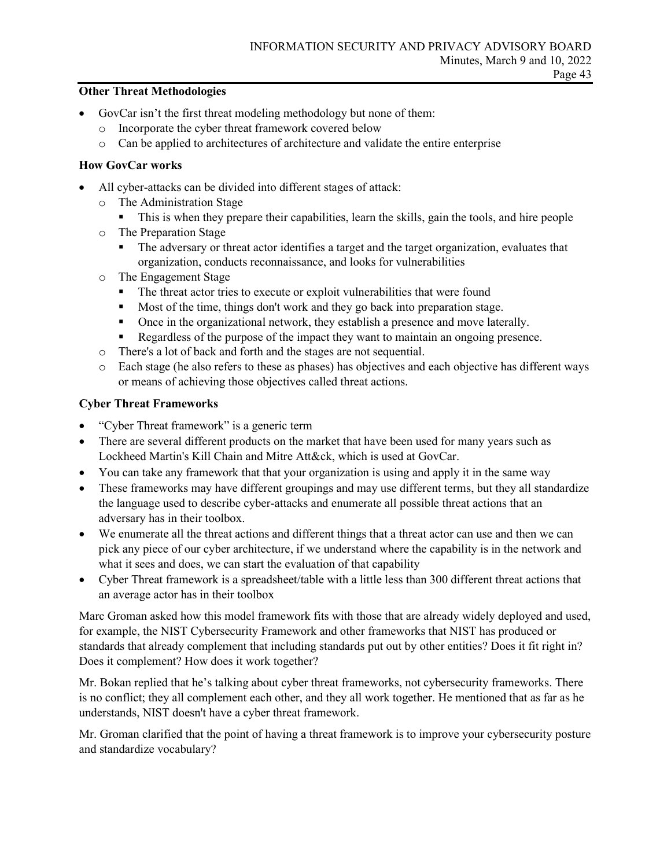#### **Other Threat Methodologies**

- GovCar isn't the first threat modeling methodology but none of them:
	- o Incorporate the cyber threat framework covered below
	- o Can be applied to architectures of architecture and validate the entire enterprise

#### **How GovCar works**

- All cyber-attacks can be divided into different stages of attack:
	- o The Administration Stage
		- This is when they prepare their capabilities, learn the skills, gain the tools, and hire people
	- o The Preparation Stage
		- The adversary or threat actor identifies a target and the target organization, evaluates that organization, conducts reconnaissance, and looks for vulnerabilities
	- o The Engagement Stage
		- The threat actor tries to execute or exploit vulnerabilities that were found
		- Most of the time, things don't work and they go back into preparation stage.
		- Once in the organizational network, they establish a presence and move laterally.
		- Regardless of the purpose of the impact they want to maintain an ongoing presence.
	- o There's a lot of back and forth and the stages are not sequential.
	- o Each stage (he also refers to these as phases) has objectives and each objective has different ways or means of achieving those objectives called threat actions.

## **Cyber Threat Frameworks**

- "Cyber Threat framework" is a generic term
- There are several different products on the market that have been used for many years such as Lockheed Martin's Kill Chain and Mitre Att&ck, which is used at GovCar.
- You can take any framework that that your organization is using and apply it in the same way
- These frameworks may have different groupings and may use different terms, but they all standardize the language used to describe cyber-attacks and enumerate all possible threat actions that an adversary has in their toolbox.
- We enumerate all the threat actions and different things that a threat actor can use and then we can pick any piece of our cyber architecture, if we understand where the capability is in the network and what it sees and does, we can start the evaluation of that capability
- Cyber Threat framework is a spreadsheet/table with a little less than 300 different threat actions that an average actor has in their toolbox

Marc Groman asked how this model framework fits with those that are already widely deployed and used, for example, the NIST Cybersecurity Framework and other frameworks that NIST has produced or standards that already complement that including standards put out by other entities? Does it fit right in? Does it complement? How does it work together?

Mr. Bokan replied that he's talking about cyber threat frameworks, not cybersecurity frameworks. There is no conflict; they all complement each other, and they all work together. He mentioned that as far as he understands, NIST doesn't have a cyber threat framework.

Mr. Groman clarified that the point of having a threat framework is to improve your cybersecurity posture and standardize vocabulary?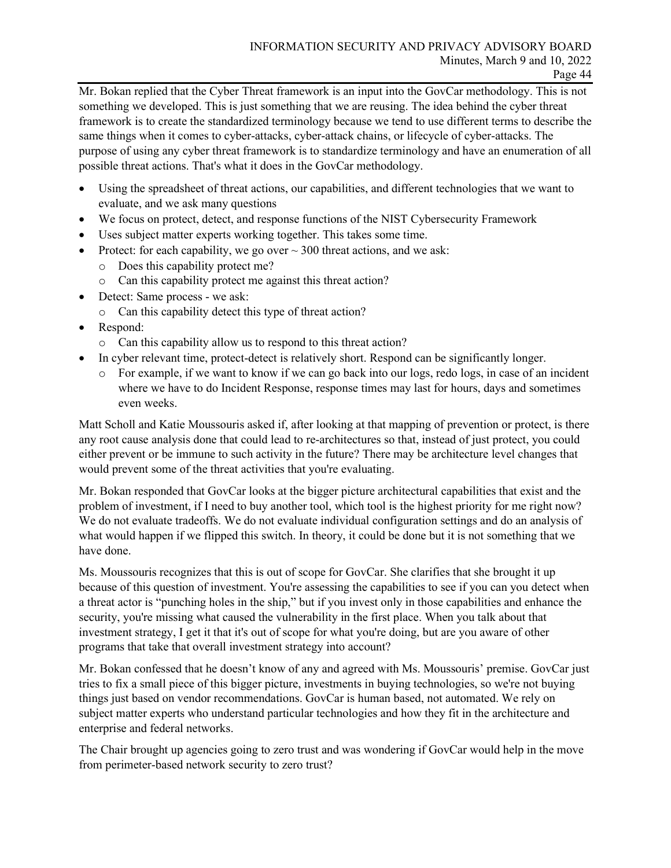Mr. Bokan replied that the Cyber Threat framework is an input into the GovCar methodology. This is not something we developed. This is just something that we are reusing. The idea behind the cyber threat framework is to create the standardized terminology because we tend to use different terms to describe the same things when it comes to cyber-attacks, cyber-attack chains, or lifecycle of cyber-attacks. The purpose of using any cyber threat framework is to standardize terminology and have an enumeration of all possible threat actions. That's what it does in the GovCar methodology.

- Using the spreadsheet of threat actions, our capabilities, and different technologies that we want to evaluate, and we ask many questions
- We focus on protect, detect, and response functions of the NIST Cybersecurity Framework
- Uses subject matter experts working together. This takes some time.
- Protect: for each capability, we go over  $\sim$  300 threat actions, and we ask:
	- o Does this capability protect me?
	- o Can this capability protect me against this threat action?
- Detect: Same process we ask:
	- o Can this capability detect this type of threat action?
- Respond:
	- o Can this capability allow us to respond to this threat action?
- In cyber relevant time, protect-detect is relatively short. Respond can be significantly longer.
	- o For example, if we want to know if we can go back into our logs, redo logs, in case of an incident where we have to do Incident Response, response times may last for hours, days and sometimes even weeks.

Matt Scholl and Katie Moussouris asked if, after looking at that mapping of prevention or protect, is there any root cause analysis done that could lead to re-architectures so that, instead of just protect, you could either prevent or be immune to such activity in the future? There may be architecture level changes that would prevent some of the threat activities that you're evaluating.

Mr. Bokan responded that GovCar looks at the bigger picture architectural capabilities that exist and the problem of investment, if I need to buy another tool, which tool is the highest priority for me right now? We do not evaluate tradeoffs. We do not evaluate individual configuration settings and do an analysis of what would happen if we flipped this switch. In theory, it could be done but it is not something that we have done.

Ms. Moussouris recognizes that this is out of scope for GovCar. She clarifies that she brought it up because of this question of investment. You're assessing the capabilities to see if you can you detect when a threat actor is "punching holes in the ship," but if you invest only in those capabilities and enhance the security, you're missing what caused the vulnerability in the first place. When you talk about that investment strategy, I get it that it's out of scope for what you're doing, but are you aware of other programs that take that overall investment strategy into account?

Mr. Bokan confessed that he doesn't know of any and agreed with Ms. Moussouris' premise. GovCar just tries to fix a small piece of this bigger picture, investments in buying technologies, so we're not buying things just based on vendor recommendations. GovCar is human based, not automated. We rely on subject matter experts who understand particular technologies and how they fit in the architecture and enterprise and federal networks.

The Chair brought up agencies going to zero trust and was wondering if GovCar would help in the move from perimeter-based network security to zero trust?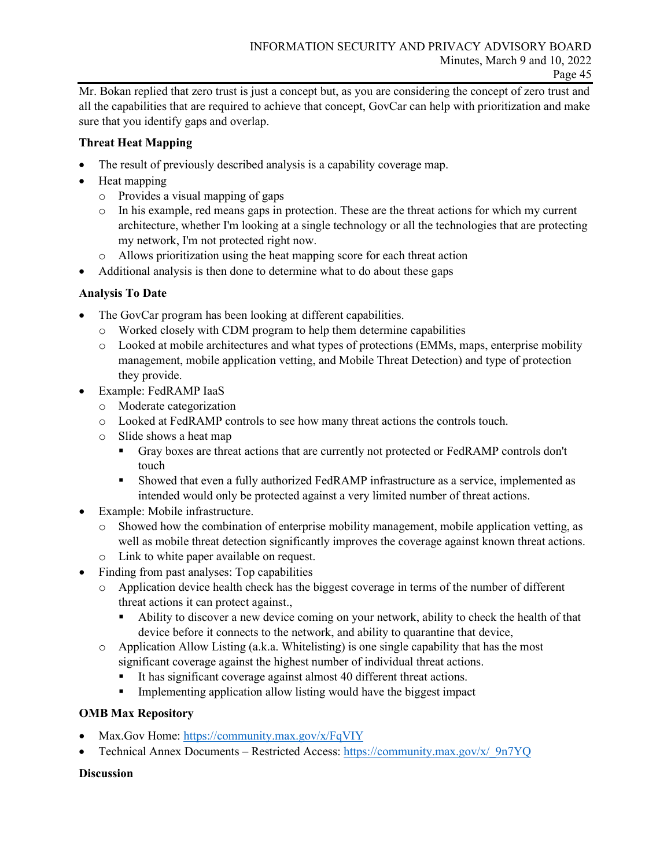Mr. Bokan replied that zero trust is just a concept but, as you are considering the concept of zero trust and all the capabilities that are required to achieve that concept, GovCar can help with prioritization and make sure that you identify gaps and overlap.

## **Threat Heat Mapping**

- The result of previously described analysis is a capability coverage map.
- Heat mapping
	- o Provides a visual mapping of gaps
	- o In his example, red means gaps in protection. These are the threat actions for which my current architecture, whether I'm looking at a single technology or all the technologies that are protecting my network, I'm not protected right now.
	- o Allows prioritization using the heat mapping score for each threat action
- Additional analysis is then done to determine what to do about these gaps

## **Analysis To Date**

- The GovCar program has been looking at different capabilities.
	- o Worked closely with CDM program to help them determine capabilities
	- o Looked at mobile architectures and what types of protections (EMMs, maps, enterprise mobility management, mobile application vetting, and Mobile Threat Detection) and type of protection they provide.
- Example: FedRAMP IaaS
	- o Moderate categorization
	- o Looked at FedRAMP controls to see how many threat actions the controls touch.
	- o Slide shows a heat map
		- Gray boxes are threat actions that are currently not protected or FedRAMP controls don't touch
		- Showed that even a fully authorized FedRAMP infrastructure as a service, implemented as intended would only be protected against a very limited number of threat actions.
- Example: Mobile infrastructure.
	- o Showed how the combination of enterprise mobility management, mobile application vetting, as well as mobile threat detection significantly improves the coverage against known threat actions.
	- o Link to white paper available on request.
- Finding from past analyses: Top capabilities
	- o Application device health check has the biggest coverage in terms of the number of different threat actions it can protect against.,
		- Ability to discover a new device coming on your network, ability to check the health of that device before it connects to the network, and ability to quarantine that device,
	- $\circ$  Application Allow Listing (a.k.a. Whitelisting) is one single capability that has the most significant coverage against the highest number of individual threat actions.
		- It has significant coverage against almost 40 different threat actions.
		- Implementing application allow listing would have the biggest impact

## **OMB Max Repository**

- Max.Gov Home:<https://community.max.gov/x/FqVIY>
- Technical Annex Documents Restricted Access: [https://community.max.gov/x/\\_9n7YQ](https://community.max.gov/x/_9n7YQ)

## **Discussion**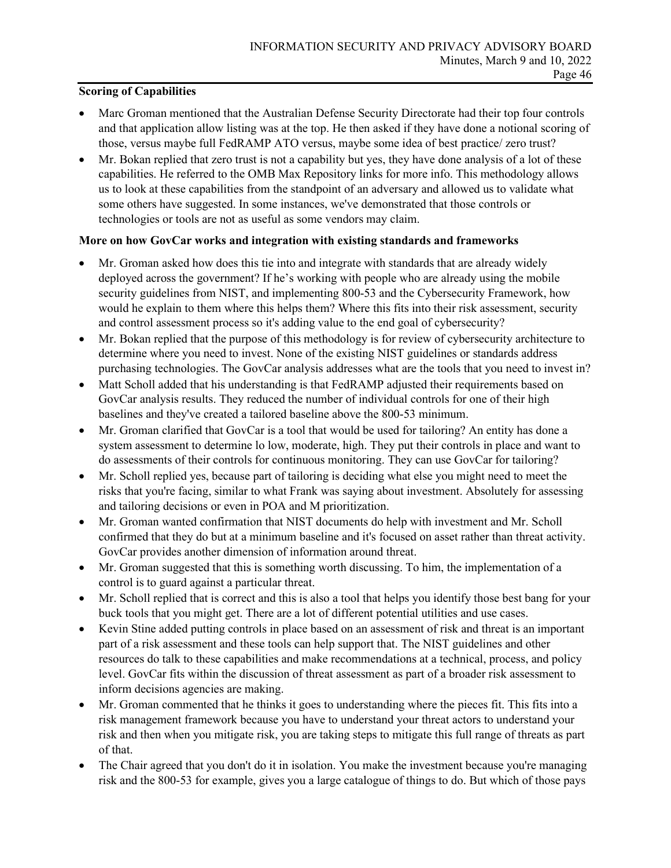#### **Scoring of Capabilities**

- Marc Groman mentioned that the Australian Defense Security Directorate had their top four controls and that application allow listing was at the top. He then asked if they have done a notional scoring of those, versus maybe full FedRAMP ATO versus, maybe some idea of best practice/ zero trust?
- Mr. Bokan replied that zero trust is not a capability but yes, they have done analysis of a lot of these capabilities. He referred to the OMB Max Repository links for more info. This methodology allows us to look at these capabilities from the standpoint of an adversary and allowed us to validate what some others have suggested. In some instances, we've demonstrated that those controls or technologies or tools are not as useful as some vendors may claim.

#### **More on how GovCar works and integration with existing standards and frameworks**

- Mr. Groman asked how does this tie into and integrate with standards that are already widely deployed across the government? If he's working with people who are already using the mobile security guidelines from NIST, and implementing 800-53 and the Cybersecurity Framework, how would he explain to them where this helps them? Where this fits into their risk assessment, security and control assessment process so it's adding value to the end goal of cybersecurity?
- Mr. Bokan replied that the purpose of this methodology is for review of cybersecurity architecture to determine where you need to invest. None of the existing NIST guidelines or standards address purchasing technologies. The GovCar analysis addresses what are the tools that you need to invest in?
- Matt Scholl added that his understanding is that FedRAMP adjusted their requirements based on GovCar analysis results. They reduced the number of individual controls for one of their high baselines and they've created a tailored baseline above the 800-53 minimum.
- Mr. Groman clarified that GovCar is a tool that would be used for tailoring? An entity has done a system assessment to determine lo low, moderate, high. They put their controls in place and want to do assessments of their controls for continuous monitoring. They can use GovCar for tailoring?
- Mr. Scholl replied yes, because part of tailoring is deciding what else you might need to meet the risks that you're facing, similar to what Frank was saying about investment. Absolutely for assessing and tailoring decisions or even in POA and M prioritization.
- Mr. Groman wanted confirmation that NIST documents do help with investment and Mr. Scholl confirmed that they do but at a minimum baseline and it's focused on asset rather than threat activity. GovCar provides another dimension of information around threat.
- Mr. Groman suggested that this is something worth discussing. To him, the implementation of a control is to guard against a particular threat.
- Mr. Scholl replied that is correct and this is also a tool that helps you identify those best bang for your buck tools that you might get. There are a lot of different potential utilities and use cases.
- Kevin Stine added putting controls in place based on an assessment of risk and threat is an important part of a risk assessment and these tools can help support that. The NIST guidelines and other resources do talk to these capabilities and make recommendations at a technical, process, and policy level. GovCar fits within the discussion of threat assessment as part of a broader risk assessment to inform decisions agencies are making.
- Mr. Groman commented that he thinks it goes to understanding where the pieces fit. This fits into a risk management framework because you have to understand your threat actors to understand your risk and then when you mitigate risk, you are taking steps to mitigate this full range of threats as part of that.
- The Chair agreed that you don't do it in isolation. You make the investment because you're managing risk and the 800-53 for example, gives you a large catalogue of things to do. But which of those pays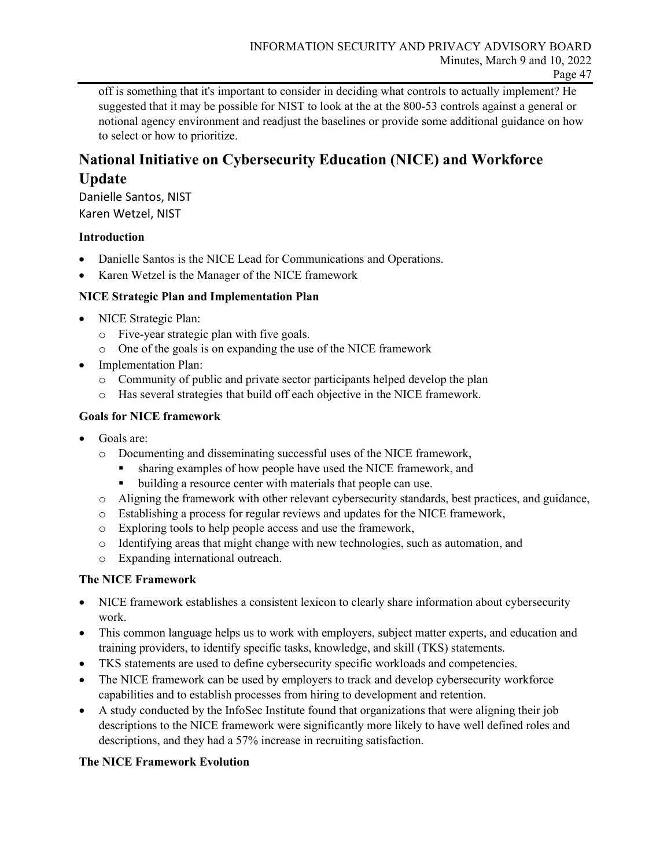off is something that it's important to consider in deciding what controls to actually implement? He suggested that it may be possible for NIST to look at the at the 800-53 controls against a general or notional agency environment and readjust the baselines or provide some additional guidance on how to select or how to prioritize.

## **National Initiative on Cybersecurity Education (NICE) and Workforce Update**

Danielle Santos, NIST Karen Wetzel, NIST

## **Introduction**

- Danielle Santos is the NICE Lead for Communications and Operations.
- Karen Wetzel is the Manager of the NICE framework

#### **NICE Strategic Plan and Implementation Plan**

- NICE Strategic Plan:
	- o Five-year strategic plan with five goals.
	- o One of the goals is on expanding the use of the NICE framework
- Implementation Plan:
	- o Community of public and private sector participants helped develop the plan
	- o Has several strategies that build off each objective in the NICE framework.

#### **Goals for NICE framework**

- Goals are:
	- o Documenting and disseminating successful uses of the NICE framework,
		- sharing examples of how people have used the NICE framework, and
		- building a resource center with materials that people can use.
	- o Aligning the framework with other relevant cybersecurity standards, best practices, and guidance,
	- o Establishing a process for regular reviews and updates for the NICE framework,
	- o Exploring tools to help people access and use the framework,
	- o Identifying areas that might change with new technologies, such as automation, and
	- o Expanding international outreach.

#### **The NICE Framework**

- NICE framework establishes a consistent lexicon to clearly share information about cybersecurity work.
- This common language helps us to work with employers, subject matter experts, and education and training providers, to identify specific tasks, knowledge, and skill (TKS) statements.
- TKS statements are used to define cybersecurity specific workloads and competencies.
- The NICE framework can be used by employers to track and develop cybersecurity workforce capabilities and to establish processes from hiring to development and retention.
- A study conducted by the InfoSec Institute found that organizations that were aligning their job descriptions to the NICE framework were significantly more likely to have well defined roles and descriptions, and they had a 57% increase in recruiting satisfaction.

## **The NICE Framework Evolution**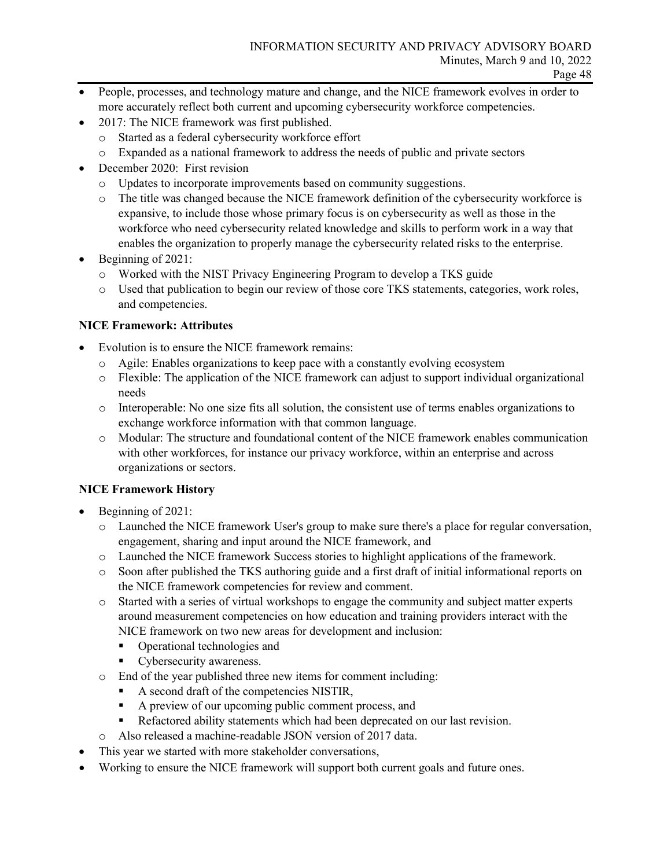- People, processes, and technology mature and change, and the NICE framework evolves in order to more accurately reflect both current and upcoming cybersecurity workforce competencies.
- 2017: The NICE framework was first published.
	- o Started as a federal cybersecurity workforce effort
	- o Expanded as a national framework to address the needs of public and private sectors
- December 2020: First revision
	- o Updates to incorporate improvements based on community suggestions.
	- o The title was changed because the NICE framework definition of the cybersecurity workforce is expansive, to include those whose primary focus is on cybersecurity as well as those in the workforce who need cybersecurity related knowledge and skills to perform work in a way that enables the organization to properly manage the cybersecurity related risks to the enterprise.
- Beginning of 2021:
	- o Worked with the NIST Privacy Engineering Program to develop a TKS guide
	- o Used that publication to begin our review of those core TKS statements, categories, work roles, and competencies.

#### **NICE Framework: Attributes**

- Evolution is to ensure the NICE framework remains:
	- o Agile: Enables organizations to keep pace with a constantly evolving ecosystem
	- o Flexible: The application of the NICE framework can adjust to support individual organizational needs
	- o Interoperable: No one size fits all solution, the consistent use of terms enables organizations to exchange workforce information with that common language.
	- o Modular: The structure and foundational content of the NICE framework enables communication with other workforces, for instance our privacy workforce, within an enterprise and across organizations or sectors.

#### **NICE Framework History**

- Beginning of 2021:
	- o Launched the NICE framework User's group to make sure there's a place for regular conversation, engagement, sharing and input around the NICE framework, and
	- o Launched the NICE framework Success stories to highlight applications of the framework.
	- o Soon after published the TKS authoring guide and a first draft of initial informational reports on the NICE framework competencies for review and comment.
	- o Started with a series of virtual workshops to engage the community and subject matter experts around measurement competencies on how education and training providers interact with the NICE framework on two new areas for development and inclusion:
		- Operational technologies and
		- Cybersecurity awareness.
	- o End of the year published three new items for comment including:
		- A second draft of the competencies NISTIR,
		- A preview of our upcoming public comment process, and
		- Refactored ability statements which had been deprecated on our last revision.
	- o Also released a machine-readable JSON version of 2017 data.
- This year we started with more stakeholder conversations,
- Working to ensure the NICE framework will support both current goals and future ones.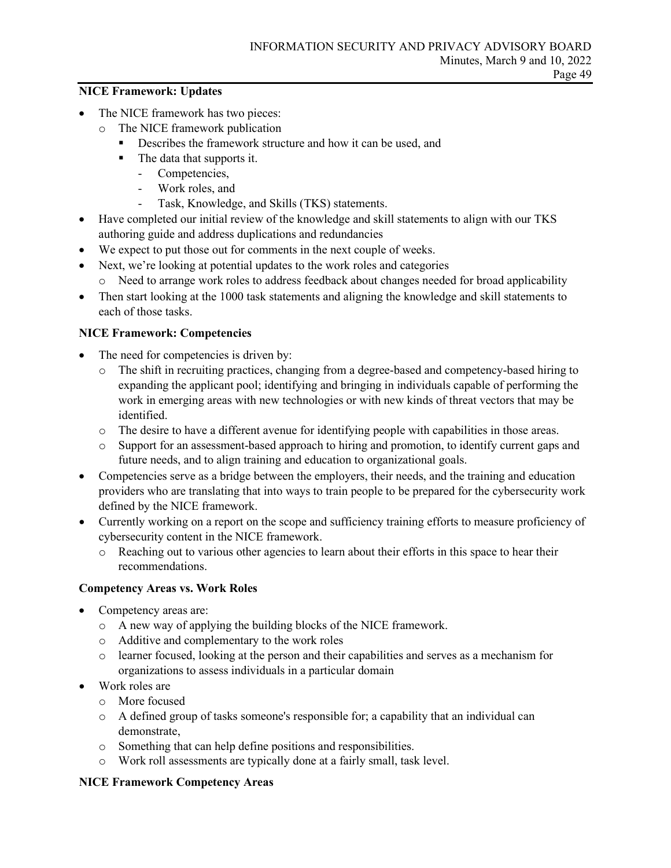#### **NICE Framework: Updates**

- The NICE framework has two pieces:
	- o The NICE framework publication
		- Describes the framework structure and how it can be used, and
		- The data that supports it.
			- Competencies,
			- Work roles, and
			- Task, Knowledge, and Skills (TKS) statements.
- Have completed our initial review of the knowledge and skill statements to align with our TKS authoring guide and address duplications and redundancies
- We expect to put those out for comments in the next couple of weeks.
- Next, we're looking at potential updates to the work roles and categories
	- o Need to arrange work roles to address feedback about changes needed for broad applicability
- Then start looking at the 1000 task statements and aligning the knowledge and skill statements to each of those tasks.

#### **NICE Framework: Competencies**

- The need for competencies is driven by:
	- o The shift in recruiting practices, changing from a degree-based and competency-based hiring to expanding the applicant pool; identifying and bringing in individuals capable of performing the work in emerging areas with new technologies or with new kinds of threat vectors that may be identified.
	- o The desire to have a different avenue for identifying people with capabilities in those areas.
	- o Support for an assessment-based approach to hiring and promotion, to identify current gaps and future needs, and to align training and education to organizational goals.
- Competencies serve as a bridge between the employers, their needs, and the training and education providers who are translating that into ways to train people to be prepared for the cybersecurity work defined by the NICE framework.
- Currently working on a report on the scope and sufficiency training efforts to measure proficiency of cybersecurity content in the NICE framework.
	- o Reaching out to various other agencies to learn about their efforts in this space to hear their recommendations.

#### **Competency Areas vs. Work Roles**

- Competency areas are:
	- o A new way of applying the building blocks of the NICE framework.
	- o Additive and complementary to the work roles
	- o learner focused, looking at the person and their capabilities and serves as a mechanism for organizations to assess individuals in a particular domain
- Work roles are
	- o More focused
	- o A defined group of tasks someone's responsible for; a capability that an individual can demonstrate,
	- o Something that can help define positions and responsibilities.
	- o Work roll assessments are typically done at a fairly small, task level.

#### **NICE Framework Competency Areas**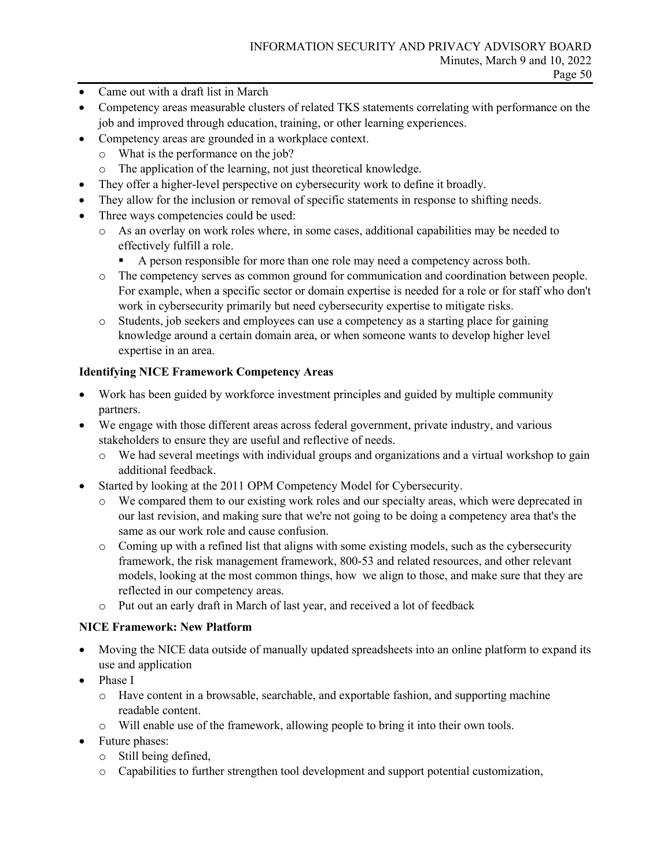- Came out with a draft list in March
- Competency areas measurable clusters of related TKS statements correlating with performance on the job and improved through education, training, or other learning experiences.
- Competency areas are grounded in a workplace context.
	- o What is the performance on the job?
	- o The application of the learning, not just theoretical knowledge.
- They offer a higher-level perspective on cybersecurity work to define it broadly.
- They allow for the inclusion or removal of specific statements in response to shifting needs.
- Three ways competencies could be used:
	- o As an overlay on work roles where, in some cases, additional capabilities may be needed to effectively fulfill a role.
		- A person responsible for more than one role may need a competency across both.
	- o The competency serves as common ground for communication and coordination between people. For example, when a specific sector or domain expertise is needed for a role or for staff who don't work in cybersecurity primarily but need cybersecurity expertise to mitigate risks.
	- o Students, job seekers and employees can use a competency as a starting place for gaining knowledge around a certain domain area, or when someone wants to develop higher level expertise in an area.

## **Identifying NICE Framework Competency Areas**

- Work has been guided by workforce investment principles and guided by multiple community partners.
- We engage with those different areas across federal government, private industry, and various stakeholders to ensure they are useful and reflective of needs.
	- o We had several meetings with individual groups and organizations and a virtual workshop to gain additional feedback.
- Started by looking at the 2011 OPM Competency Model for Cybersecurity.
	- o We compared them to our existing work roles and our specialty areas, which were deprecated in our last revision, and making sure that we're not going to be doing a competency area that's the same as our work role and cause confusion.
	- o Coming up with a refined list that aligns with some existing models, such as the cybersecurity framework, the risk management framework, 800-53 and related resources, and other relevant models, looking at the most common things, how we align to those, and make sure that they are reflected in our competency areas.
	- o Put out an early draft in March of last year, and received a lot of feedback

## **NICE Framework: New Platform**

- Moving the NICE data outside of manually updated spreadsheets into an online platform to expand its use and application
- Phase I
	- o Have content in a browsable, searchable, and exportable fashion, and supporting machine readable content.
	- o Will enable use of the framework, allowing people to bring it into their own tools.
- Future phases:
	- o Still being defined,
	- o Capabilities to further strengthen tool development and support potential customization,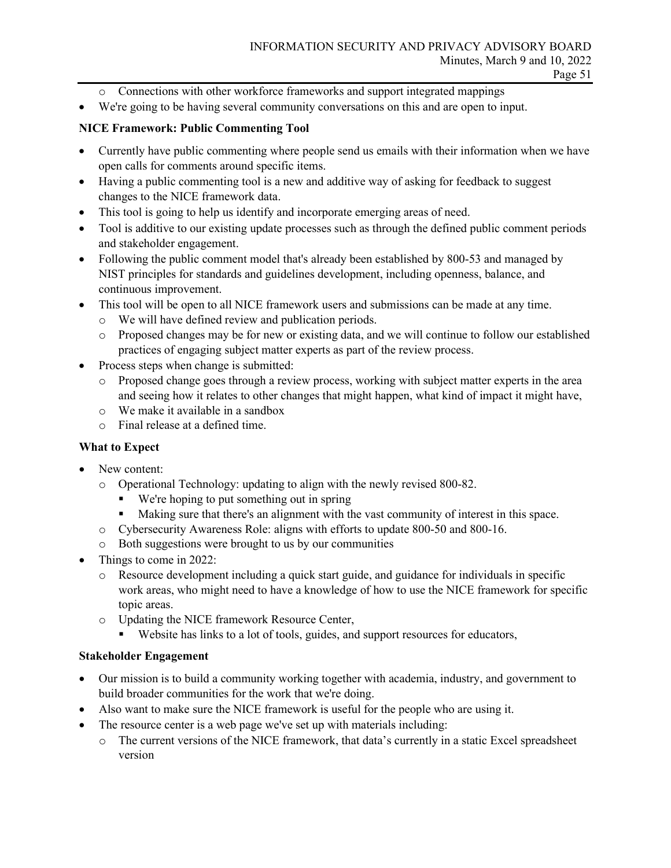- o Connections with other workforce frameworks and support integrated mappings
- We're going to be having several community conversations on this and are open to input.

#### **NICE Framework: Public Commenting Tool**

- Currently have public commenting where people send us emails with their information when we have open calls for comments around specific items.
- Having a public commenting tool is a new and additive way of asking for feedback to suggest changes to the NICE framework data.
- This tool is going to help us identify and incorporate emerging areas of need.
- Tool is additive to our existing update processes such as through the defined public comment periods and stakeholder engagement.
- Following the public comment model that's already been established by 800-53 and managed by NIST principles for standards and guidelines development, including openness, balance, and continuous improvement.
- This tool will be open to all NICE framework users and submissions can be made at any time.
	- o We will have defined review and publication periods.
	- o Proposed changes may be for new or existing data, and we will continue to follow our established practices of engaging subject matter experts as part of the review process.
- Process steps when change is submitted:
	- o Proposed change goes through a review process, working with subject matter experts in the area and seeing how it relates to other changes that might happen, what kind of impact it might have,
	- o We make it available in a sandbox
	- o Final release at a defined time.

## **What to Expect**

- New content:
	- o Operational Technology: updating to align with the newly revised 800-82.
		- We're hoping to put something out in spring
		- Making sure that there's an alignment with the vast community of interest in this space.
	- o Cybersecurity Awareness Role: aligns with efforts to update 800-50 and 800-16.
	- o Both suggestions were brought to us by our communities
- Things to come in 2022:
	- o Resource development including a quick start guide, and guidance for individuals in specific work areas, who might need to have a knowledge of how to use the NICE framework for specific topic areas.
	- o Updating the NICE framework Resource Center,
		- Website has links to a lot of tools, guides, and support resources for educators,

#### **Stakeholder Engagement**

- Our mission is to build a community working together with academia, industry, and government to build broader communities for the work that we're doing.
- Also want to make sure the NICE framework is useful for the people who are using it.
- The resource center is a web page we've set up with materials including:
	- o The current versions of the NICE framework, that data's currently in a static Excel spreadsheet version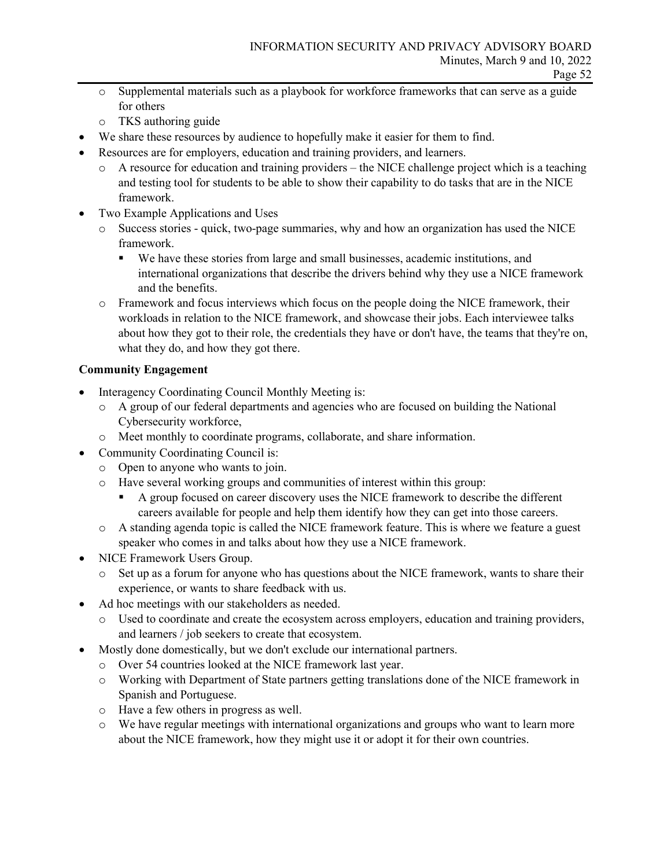- o Supplemental materials such as a playbook for workforce frameworks that can serve as a guide for others
- o TKS authoring guide
- We share these resources by audience to hopefully make it easier for them to find.
- Resources are for employers, education and training providers, and learners.
	- $\circ$  A resource for education and training providers the NICE challenge project which is a teaching and testing tool for students to be able to show their capability to do tasks that are in the NICE framework.
- Two Example Applications and Uses
	- o Success stories quick, two-page summaries, why and how an organization has used the NICE framework.
		- We have these stories from large and small businesses, academic institutions, and international organizations that describe the drivers behind why they use a NICE framework and the benefits.
	- o Framework and focus interviews which focus on the people doing the NICE framework, their workloads in relation to the NICE framework, and showcase their jobs. Each interviewee talks about how they got to their role, the credentials they have or don't have, the teams that they're on, what they do, and how they got there.

## **Community Engagement**

- Interagency Coordinating Council Monthly Meeting is:
	- o A group of our federal departments and agencies who are focused on building the National Cybersecurity workforce,
	- o Meet monthly to coordinate programs, collaborate, and share information.
- Community Coordinating Council is:
	- o Open to anyone who wants to join.
	- o Have several working groups and communities of interest within this group:
		- A group focused on career discovery uses the NICE framework to describe the different careers available for people and help them identify how they can get into those careers.
	- o A standing agenda topic is called the NICE framework feature. This is where we feature a guest speaker who comes in and talks about how they use a NICE framework.
- NICE Framework Users Group.
	- o Set up as a forum for anyone who has questions about the NICE framework, wants to share their experience, or wants to share feedback with us.
- Ad hoc meetings with our stakeholders as needed.
	- o Used to coordinate and create the ecosystem across employers, education and training providers, and learners / job seekers to create that ecosystem.
	- Mostly done domestically, but we don't exclude our international partners.
		- o Over 54 countries looked at the NICE framework last year.
		- o Working with Department of State partners getting translations done of the NICE framework in Spanish and Portuguese.
		- o Have a few others in progress as well.
		- o We have regular meetings with international organizations and groups who want to learn more about the NICE framework, how they might use it or adopt it for their own countries.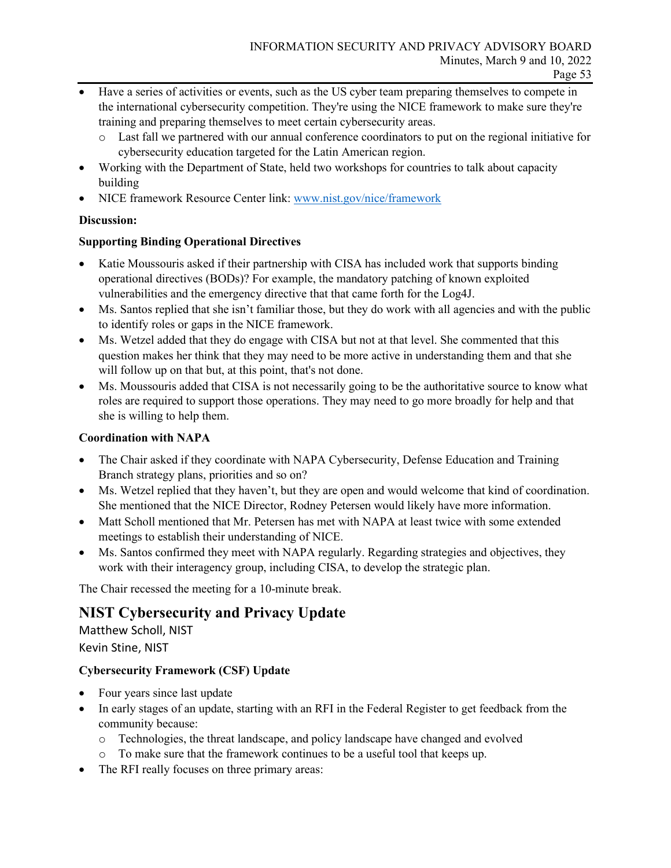- Have a series of activities or events, such as the US cyber team preparing themselves to compete in the international cybersecurity competition. They're using the NICE framework to make sure they're training and preparing themselves to meet certain cybersecurity areas.
	- o Last fall we partnered with our annual conference coordinators to put on the regional initiative for cybersecurity education targeted for the Latin American region.
- Working with the Department of State, held two workshops for countries to talk about capacity building
- NICE framework Resource Center link: [www.nist.gov/nice/framework](http://www.nist.gov/nice/framework)

## **Discussion:**

## **Supporting Binding Operational Directives**

- Katie Moussouris asked if their partnership with CISA has included work that supports binding operational directives (BODs)? For example, the mandatory patching of known exploited vulnerabilities and the emergency directive that that came forth for the Log4J.
- Ms. Santos replied that she isn't familiar those, but they do work with all agencies and with the public to identify roles or gaps in the NICE framework.
- Ms. Wetzel added that they do engage with CISA but not at that level. She commented that this question makes her think that they may need to be more active in understanding them and that she will follow up on that but, at this point, that's not done.
- Ms. Moussouris added that CISA is not necessarily going to be the authoritative source to know what roles are required to support those operations. They may need to go more broadly for help and that she is willing to help them.

## **Coordination with NAPA**

- The Chair asked if they coordinate with NAPA Cybersecurity, Defense Education and Training Branch strategy plans, priorities and so on?
- Ms. Wetzel replied that they haven't, but they are open and would welcome that kind of coordination. She mentioned that the NICE Director, Rodney Petersen would likely have more information.
- Matt Scholl mentioned that Mr. Petersen has met with NAPA at least twice with some extended meetings to establish their understanding of NICE.
- Ms. Santos confirmed they meet with NAPA regularly. Regarding strategies and objectives, they work with their interagency group, including CISA, to develop the strategic plan.

The Chair recessed the meeting for a 10-minute break.

## **NIST Cybersecurity and Privacy Update**

Matthew Scholl, NIST Kevin Stine, NIST

## **Cybersecurity Framework (CSF) Update**

- Four years since last update
- In early stages of an update, starting with an RFI in the Federal Register to get feedback from the community because:
	- o Technologies, the threat landscape, and policy landscape have changed and evolved
	- o To make sure that the framework continues to be a useful tool that keeps up.
- The RFI really focuses on three primary areas: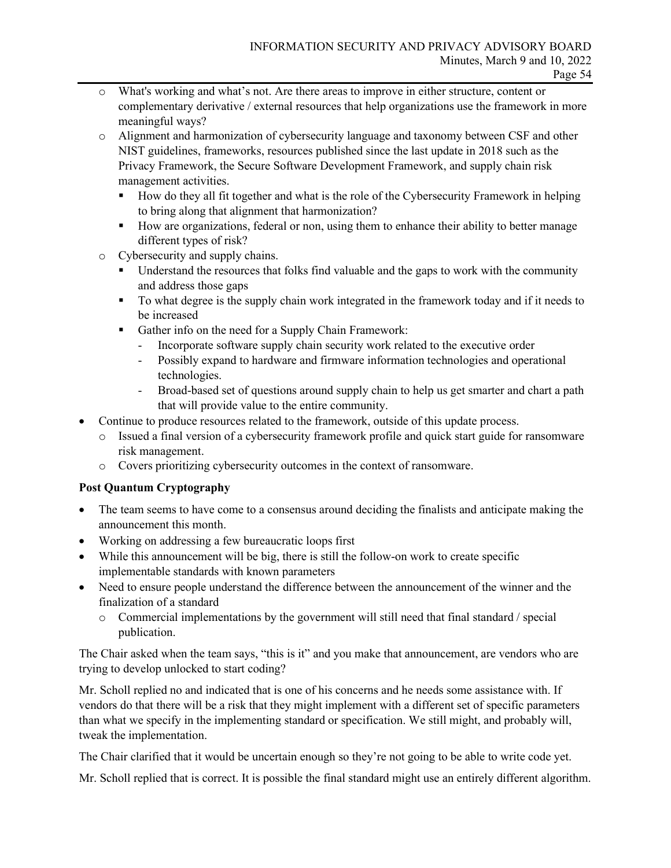- o What's working and what's not. Are there areas to improve in either structure, content or complementary derivative / external resources that help organizations use the framework in more meaningful ways?
- o Alignment and harmonization of cybersecurity language and taxonomy between CSF and other NIST guidelines, frameworks, resources published since the last update in 2018 such as the Privacy Framework, the Secure Software Development Framework, and supply chain risk management activities.
	- How do they all fit together and what is the role of the Cybersecurity Framework in helping to bring along that alignment that harmonization?
	- How are organizations, federal or non, using them to enhance their ability to better manage different types of risk?
- o Cybersecurity and supply chains.
	- Understand the resources that folks find valuable and the gaps to work with the community and address those gaps
	- To what degree is the supply chain work integrated in the framework today and if it needs to be increased
	- Gather info on the need for a Supply Chain Framework:
		- Incorporate software supply chain security work related to the executive order
		- Possibly expand to hardware and firmware information technologies and operational technologies.
		- Broad-based set of questions around supply chain to help us get smarter and chart a path that will provide value to the entire community.
- Continue to produce resources related to the framework, outside of this update process.
	- o Issued a final version of a cybersecurity framework profile and quick start guide for ransomware risk management.
	- o Covers prioritizing cybersecurity outcomes in the context of ransomware.

## **Post Quantum Cryptography**

- The team seems to have come to a consensus around deciding the finalists and anticipate making the announcement this month.
- Working on addressing a few bureaucratic loops first
- While this announcement will be big, there is still the follow-on work to create specific implementable standards with known parameters
- Need to ensure people understand the difference between the announcement of the winner and the finalization of a standard
	- o Commercial implementations by the government will still need that final standard / special publication.

The Chair asked when the team says, "this is it" and you make that announcement, are vendors who are trying to develop unlocked to start coding?

Mr. Scholl replied no and indicated that is one of his concerns and he needs some assistance with. If vendors do that there will be a risk that they might implement with a different set of specific parameters than what we specify in the implementing standard or specification. We still might, and probably will, tweak the implementation.

The Chair clarified that it would be uncertain enough so they're not going to be able to write code yet.

Mr. Scholl replied that is correct. It is possible the final standard might use an entirely different algorithm.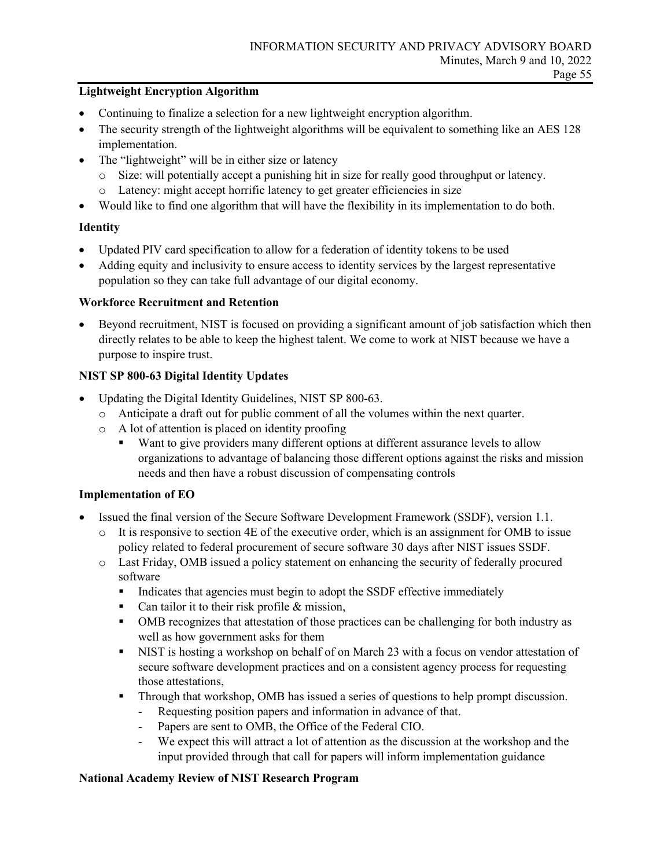## **Lightweight Encryption Algorithm**

- Continuing to finalize a selection for a new lightweight encryption algorithm.
- The security strength of the lightweight algorithms will be equivalent to something like an AES 128 implementation.
- The "lightweight" will be in either size or latency
	- o Size: will potentially accept a punishing hit in size for really good throughput or latency.
	- o Latency: might accept horrific latency to get greater efficiencies in size
- Would like to find one algorithm that will have the flexibility in its implementation to do both.

## **Identity**

- Updated PIV card specification to allow for a federation of identity tokens to be used
- Adding equity and inclusivity to ensure access to identity services by the largest representative population so they can take full advantage of our digital economy.

## **Workforce Recruitment and Retention**

• Beyond recruitment, NIST is focused on providing a significant amount of job satisfaction which then directly relates to be able to keep the highest talent. We come to work at NIST because we have a purpose to inspire trust.

## **NIST SP 800-63 Digital Identity Updates**

- Updating the Digital Identity Guidelines, NIST SP 800-63.
	- o Anticipate a draft out for public comment of all the volumes within the next quarter.
	- o A lot of attention is placed on identity proofing
		- Want to give providers many different options at different assurance levels to allow organizations to advantage of balancing those different options against the risks and mission needs and then have a robust discussion of compensating controls

## **Implementation of EO**

- Issued the final version of the Secure Software Development Framework (SSDF), version 1.1.
	- o It is responsive to section 4E of the executive order, which is an assignment for OMB to issue policy related to federal procurement of secure software 30 days after NIST issues SSDF.
	- o Last Friday, OMB issued a policy statement on enhancing the security of federally procured software
		- Indicates that agencies must begin to adopt the SSDF effective immediately
		- Can tailor it to their risk profile  $&$  mission,
		- OMB recognizes that attestation of those practices can be challenging for both industry as well as how government asks for them
		- NIST is hosting a workshop on behalf of on March 23 with a focus on vendor attestation of secure software development practices and on a consistent agency process for requesting those attestations,
		- Through that workshop, OMB has issued a series of questions to help prompt discussion.
			- Requesting position papers and information in advance of that.
			- Papers are sent to OMB, the Office of the Federal CIO.
			- We expect this will attract a lot of attention as the discussion at the workshop and the input provided through that call for papers will inform implementation guidance

## **National Academy Review of NIST Research Program**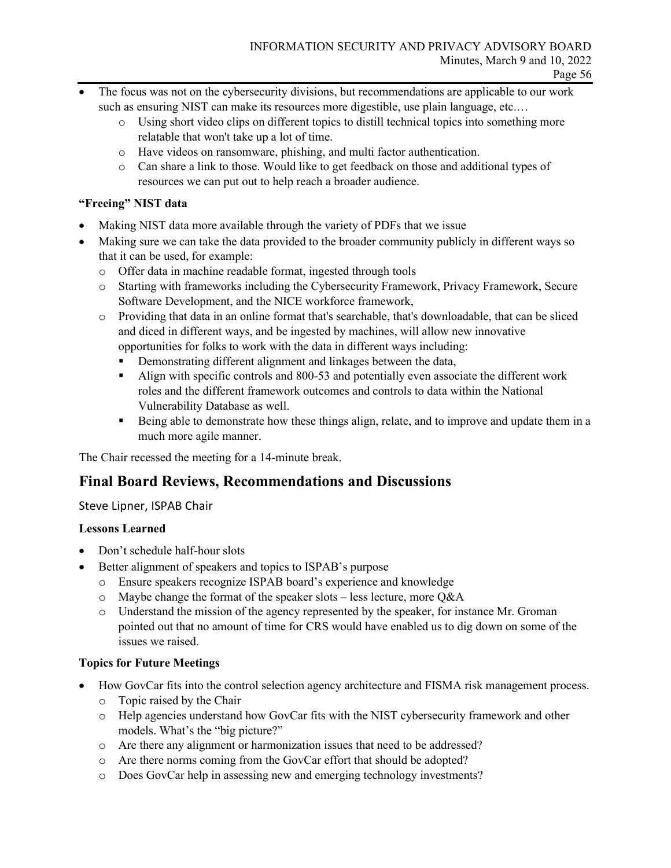- The focus was not on the cybersecurity divisions, but recommendations are applicable to our work such as ensuring NIST can make its resources more digestible, use plain language, etc.…
	- o Using short video clips on different topics to distill technical topics into something more relatable that won't take up a lot of time.
	- o Have videos on ransomware, phishing, and multi factor authentication.
	- o Can share a link to those. Would like to get feedback on those and additional types of resources we can put out to help reach a broader audience.

## **"Freeing" NIST data**

- Making NIST data more available through the variety of PDFs that we issue
- Making sure we can take the data provided to the broader community publicly in different ways so that it can be used, for example:
	- o Offer data in machine readable format, ingested through tools
	- o Starting with frameworks including the Cybersecurity Framework, Privacy Framework, Secure Software Development, and the NICE workforce framework,
	- o Providing that data in an online format that's searchable, that's downloadable, that can be sliced and diced in different ways, and be ingested by machines, will allow new innovative opportunities for folks to work with the data in different ways including:
		- Demonstrating different alignment and linkages between the data,
		- Align with specific controls and 800-53 and potentially even associate the different work roles and the different framework outcomes and controls to data within the National Vulnerability Database as well.
		- Being able to demonstrate how these things align, relate, and to improve and update them in a much more agile manner.

The Chair recessed the meeting for a 14-minute break.

## **Final Board Reviews, Recommendations and Discussions**

## Steve Lipner, ISPAB Chair

## **Lessons Learned**

- Don't schedule half-hour slots
- Better alignment of speakers and topics to ISPAB's purpose
	- o Ensure speakers recognize ISPAB board's experience and knowledge
	- o Maybe change the format of the speaker slots less lecture, more Q&A
	- o Understand the mission of the agency represented by the speaker, for instance Mr. Groman pointed out that no amount of time for CRS would have enabled us to dig down on some of the issues we raised.

## **Topics for Future Meetings**

- How GovCar fits into the control selection agency architecture and FISMA risk management process.
	- o Topic raised by the Chair
	- o Help agencies understand how GovCar fits with the NIST cybersecurity framework and other models. What's the "big picture?"
	- o Are there any alignment or harmonization issues that need to be addressed?
	- o Are there norms coming from the GovCar effort that should be adopted?
	- o Does GovCar help in assessing new and emerging technology investments?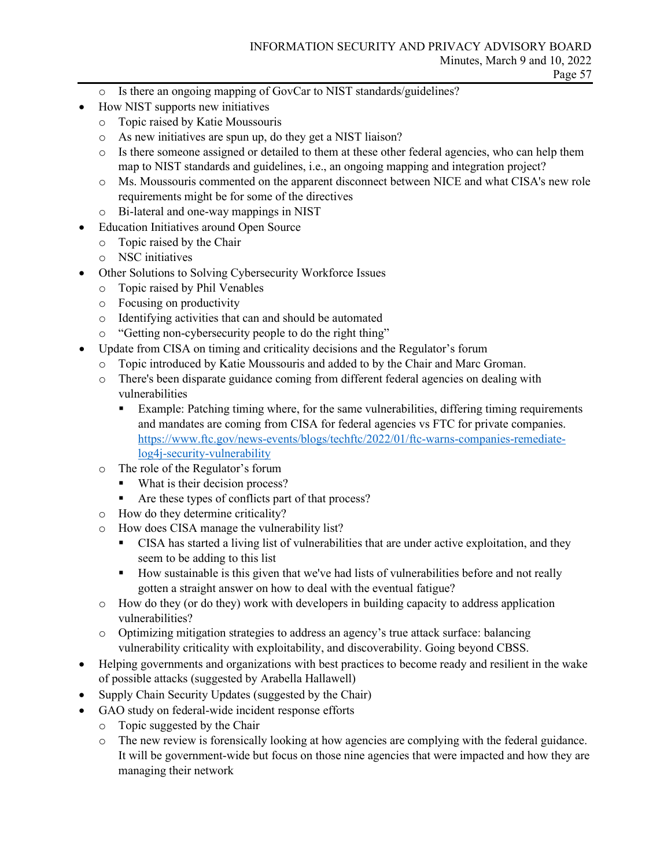- o Is there an ongoing mapping of GovCar to NIST standards/guidelines?
- How NIST supports new initiatives
	- o Topic raised by Katie Moussouris
	- o As new initiatives are spun up, do they get a NIST liaison?
	- o Is there someone assigned or detailed to them at these other federal agencies, who can help them map to NIST standards and guidelines, i.e., an ongoing mapping and integration project?
	- o Ms. Moussouris commented on the apparent disconnect between NICE and what CISA's new role requirements might be for some of the directives
	- o Bi-lateral and one-way mappings in NIST
- Education Initiatives around Open Source
	- o Topic raised by the Chair
	- o NSC initiatives
- Other Solutions to Solving Cybersecurity Workforce Issues
	- o Topic raised by Phil Venables
	- o Focusing on productivity
	- o Identifying activities that can and should be automated
	- o "Getting non-cybersecurity people to do the right thing"
- Update from CISA on timing and criticality decisions and the Regulator's forum
	- o Topic introduced by Katie Moussouris and added to by the Chair and Marc Groman.
	- o There's been disparate guidance coming from different federal agencies on dealing with vulnerabilities
		- Example: Patching timing where, for the same vulnerabilities, differing timing requirements and mandates are coming from CISA for federal agencies vs FTC for private companies. [https://www.ftc.gov/news-events/blogs/techftc/2022/01/ftc-warns-companies-remediate](https://www.ftc.gov/news-events/blogs/techftc/2022/01/ftc-warns-companies-remediate-log4j-security-vulnerability)[log4j-security-vulnerability](https://www.ftc.gov/news-events/blogs/techftc/2022/01/ftc-warns-companies-remediate-log4j-security-vulnerability)
	- o The role of the Regulator's forum
		- What is their decision process?
		- Are these types of conflicts part of that process?
	- o How do they determine criticality?
	- o How does CISA manage the vulnerability list?
		- CISA has started a living list of vulnerabilities that are under active exploitation, and they seem to be adding to this list
		- How sustainable is this given that we've had lists of vulnerabilities before and not really gotten a straight answer on how to deal with the eventual fatigue?
	- o How do they (or do they) work with developers in building capacity to address application vulnerabilities?
	- o Optimizing mitigation strategies to address an agency's true attack surface: balancing vulnerability criticality with exploitability, and discoverability. Going beyond CBSS.
- Helping governments and organizations with best practices to become ready and resilient in the wake of possible attacks (suggested by Arabella Hallawell)
- Supply Chain Security Updates (suggested by the Chair)
- GAO study on federal-wide incident response efforts
	- o Topic suggested by the Chair
	- o The new review is forensically looking at how agencies are complying with the federal guidance. It will be government-wide but focus on those nine agencies that were impacted and how they are managing their network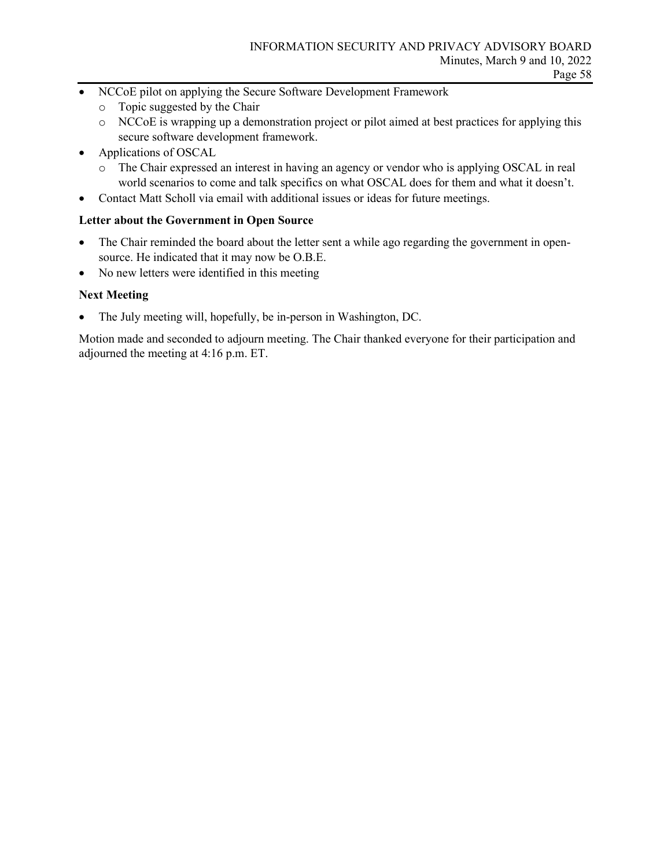- NCCoE pilot on applying the Secure Software Development Framework
	- o Topic suggested by the Chair
	- o NCCoE is wrapping up a demonstration project or pilot aimed at best practices for applying this secure software development framework.
- Applications of OSCAL
	- o The Chair expressed an interest in having an agency or vendor who is applying OSCAL in real world scenarios to come and talk specifics on what OSCAL does for them and what it doesn't.
- Contact Matt Scholl via email with additional issues or ideas for future meetings.

#### **Letter about the Government in Open Source**

- The Chair reminded the board about the letter sent a while ago regarding the government in opensource. He indicated that it may now be O.B.E.
- No new letters were identified in this meeting

#### **Next Meeting**

• The July meeting will, hopefully, be in-person in Washington, DC.

Motion made and seconded to adjourn meeting. The Chair thanked everyone for their participation and adjourned the meeting at 4:16 p.m. ET.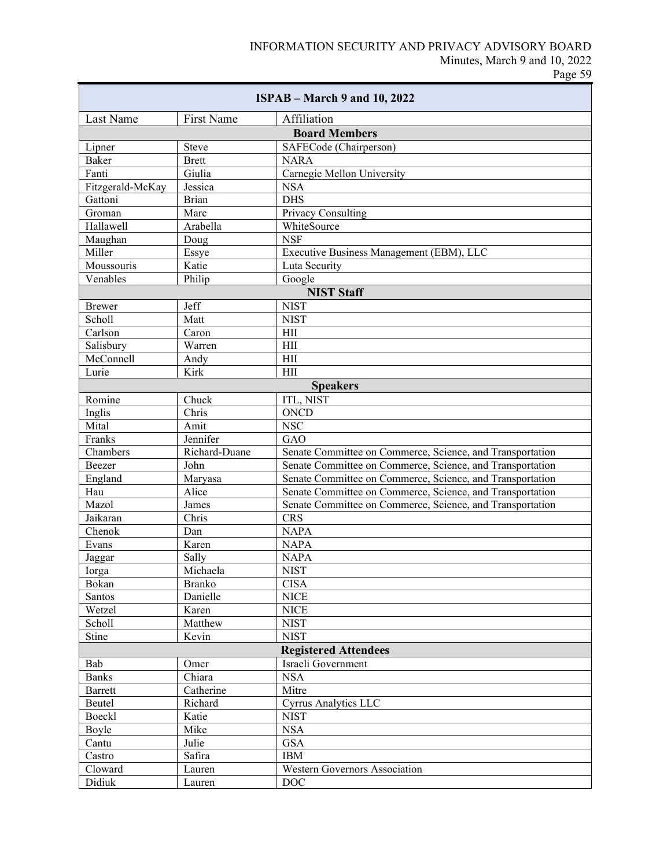| $ISPAB - March 9$ and 10, 2022 |                             |                                                           |  |  |  |
|--------------------------------|-----------------------------|-----------------------------------------------------------|--|--|--|
| Last Name                      | First Name                  | Affiliation                                               |  |  |  |
|                                |                             | <b>Board Members</b>                                      |  |  |  |
| Lipner                         | <b>Steve</b>                | SAFECode (Chairperson)                                    |  |  |  |
| Baker                          | <b>Brett</b>                | <b>NARA</b>                                               |  |  |  |
| Fanti                          | Giulia                      | Carnegie Mellon University                                |  |  |  |
| Fitzgerald-McKay               | Jessica                     | <b>NSA</b>                                                |  |  |  |
| Gattoni                        | <b>Brian</b>                | <b>DHS</b>                                                |  |  |  |
| Groman                         | Marc                        | Privacy Consulting                                        |  |  |  |
| Hallawell                      | Arabella                    | WhiteSource                                               |  |  |  |
| Maughan                        | Doug                        | <b>NSF</b>                                                |  |  |  |
| Miller                         | Essye                       | Executive Business Management (EBM), LLC                  |  |  |  |
| Moussouris                     | Katie                       | Luta Security                                             |  |  |  |
| Venables                       | Philip                      | Google                                                    |  |  |  |
| <b>NIST Staff</b>              |                             |                                                           |  |  |  |
| <b>Brewer</b>                  | Jeff                        | <b>NIST</b>                                               |  |  |  |
| Scholl                         | Matt                        | <b>NIST</b>                                               |  |  |  |
| Carlson                        | Caron                       | HII                                                       |  |  |  |
| Salisbury                      | Warren                      | HII                                                       |  |  |  |
| McConnell                      | Andy                        | HII                                                       |  |  |  |
| Lurie                          | Kirk                        | HII                                                       |  |  |  |
|                                |                             | <b>Speakers</b>                                           |  |  |  |
| Romine                         | Chuck                       | <b>ITL, NIST</b>                                          |  |  |  |
| Inglis                         | Chris                       | <b>ONCD</b>                                               |  |  |  |
| Mital                          | Amit                        | <b>NSC</b>                                                |  |  |  |
| Franks                         | Jennifer                    | GAO                                                       |  |  |  |
| Chambers                       | Richard-Duane               | Senate Committee on Commerce, Science, and Transportation |  |  |  |
| Beezer                         | John                        | Senate Committee on Commerce, Science, and Transportation |  |  |  |
| England                        | Maryasa                     | Senate Committee on Commerce, Science, and Transportation |  |  |  |
| Hau                            | Alice                       | Senate Committee on Commerce, Science, and Transportation |  |  |  |
| Mazol                          | James                       | Senate Committee on Commerce, Science, and Transportation |  |  |  |
| Jaikaran                       | Chris                       | <b>CRS</b>                                                |  |  |  |
| Chenok                         | Dan                         | <b>NAPA</b>                                               |  |  |  |
| Evans                          | Karen                       | <b>NAPA</b>                                               |  |  |  |
| Jaggar                         | Sally                       | <b>NAPA</b>                                               |  |  |  |
| Iorga                          | Michaela                    | <b>NIST</b>                                               |  |  |  |
| Bokan                          | <b>Branko</b>               | <b>CISA</b>                                               |  |  |  |
| Santos                         | Danielle                    | <b>NICE</b>                                               |  |  |  |
| Wetzel                         | Karen                       | <b>NICE</b>                                               |  |  |  |
| Scholl                         | Matthew                     | <b>NIST</b>                                               |  |  |  |
| Stine                          | Kevin                       | <b>NIST</b>                                               |  |  |  |
|                                | <b>Registered Attendees</b> |                                                           |  |  |  |
| Bab                            | Omer                        | Israeli Government                                        |  |  |  |
| <b>Banks</b>                   | Chiara                      | <b>NSA</b>                                                |  |  |  |
| Barrett                        | Catherine                   | Mitre                                                     |  |  |  |
| Beutel                         | Richard                     | <b>Cyrrus Analytics LLC</b>                               |  |  |  |
| Boeckl                         | Katie                       | <b>NIST</b>                                               |  |  |  |
| Boyle                          | Mike                        | <b>NSA</b>                                                |  |  |  |
| Cantu                          | Julie                       | <b>GSA</b>                                                |  |  |  |
| Castro                         | Safira                      | <b>IBM</b>                                                |  |  |  |
| Cloward                        | Lauren                      | Western Governors Association                             |  |  |  |
| Didiuk                         | Lauren                      | <b>DOC</b>                                                |  |  |  |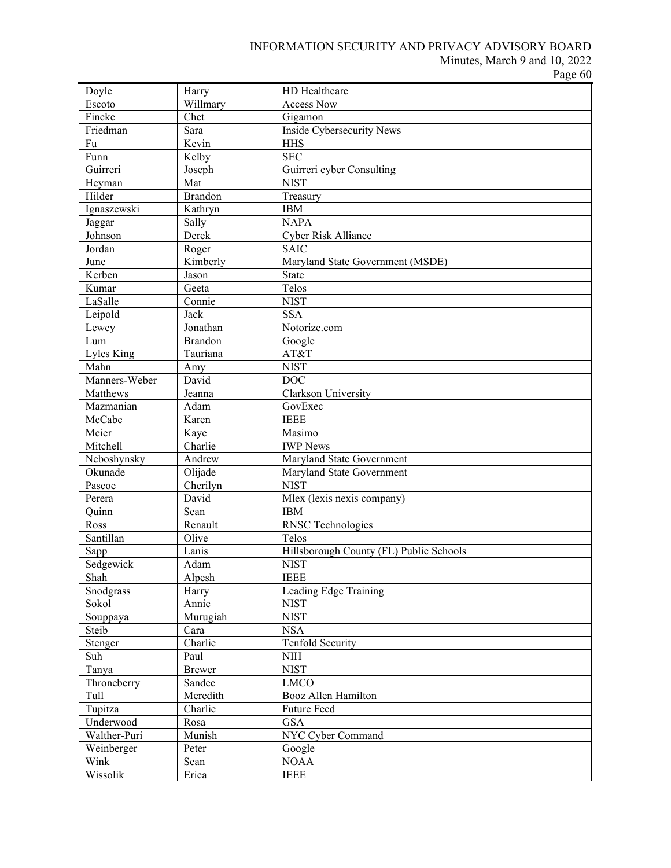## INFORMATION SECURITY AND PRIVACY ADVISORY BOARD

Minutes, March 9 and 10, 2022

Page 60

| Doyle         | Harry         | HD Healthcare                           |
|---------------|---------------|-----------------------------------------|
| Escoto        | Willmary      | <b>Access Now</b>                       |
| Fincke        | Chet          | Gigamon                                 |
| Friedman      | Sara          | Inside Cybersecurity News               |
| Fu            | Kevin         | <b>HHS</b>                              |
| Funn          | Kelby         | <b>SEC</b>                              |
| Guirreri      | Joseph        | Guirreri cyber Consulting               |
| Heyman        | Mat           | <b>NIST</b>                             |
| Hilder        | Brandon       | Treasury                                |
| Ignaszewski   | Kathryn       | <b>IBM</b>                              |
| Jaggar        | Sally         | <b>NAPA</b>                             |
| Johnson       | Derek         | Cyber Risk Alliance                     |
| Jordan        | Roger         | <b>SAIC</b>                             |
| June          | Kimberly      | Maryland State Government (MSDE)        |
| Kerben        | Jason         | <b>State</b>                            |
| Kumar         | Geeta         | Telos                                   |
| LaSalle       | Connie        | <b>NIST</b>                             |
| Leipold       | Jack          | <b>SSA</b>                              |
| Lewey         | Jonathan      | Notorize.com                            |
| Lum           | Brandon       | Google                                  |
| Lyles King    | Tauriana      | AT&T                                    |
| Mahn          | Amy           | <b>NIST</b>                             |
| Manners-Weber | David         | <b>DOC</b>                              |
| Matthews      | Jeanna        | Clarkson University                     |
| Mazmanian     | Adam          | GovExec                                 |
| McCabe        | Karen         | <b>IEEE</b>                             |
| Meier         | Kaye          | Masimo                                  |
| Mitchell      | Charlie       | <b>IWP</b> News                         |
| Neboshynsky   | Andrew        | Maryland State Government               |
| Okunade       | Olijade       | Maryland State Government               |
| Pascoe        | Cherilyn      | <b>NIST</b>                             |
| Perera        | David         | Mlex (lexis nexis company)              |
| Ouinn         | Sean          | <b>IBM</b>                              |
| Ross          | Renault       | <b>RNSC</b> Technologies                |
| Santillan     | Olive         | Telos                                   |
| Sapp          | Lanis         | Hillsborough County (FL) Public Schools |
| Sedgewick     | Adam          | <b>NIST</b>                             |
| Shah          | Alpesh        | <b>IEEE</b>                             |
|               |               | Leading Edge Training                   |
| Snodgrass     | Harry         | <b>NIST</b>                             |
| Sokol         | Annie         |                                         |
| Souppaya      | Murugiah      | <b>NIST</b>                             |
| Steib         | Cara          | <b>NSA</b>                              |
| Stenger       | Charlie       | <b>Tenfold Security</b>                 |
| Suh           | Paul          | <b>NIH</b>                              |
| Tanya         | <b>Brewer</b> | <b>NIST</b>                             |
| Throneberry   | Sandee        | <b>LMCO</b>                             |
| Tull          | Meredith      | Booz Allen Hamilton                     |
| Tupitza       | Charlie       | Future Feed                             |
| Underwood     | Rosa          | <b>GSA</b>                              |
| Walther-Puri  | Munish        | NYC Cyber Command                       |
| Weinberger    | Peter         | Google                                  |
| Wink          | Sean          | <b>NOAA</b>                             |
| Wissolik      | Erica         | <b>IEEE</b>                             |